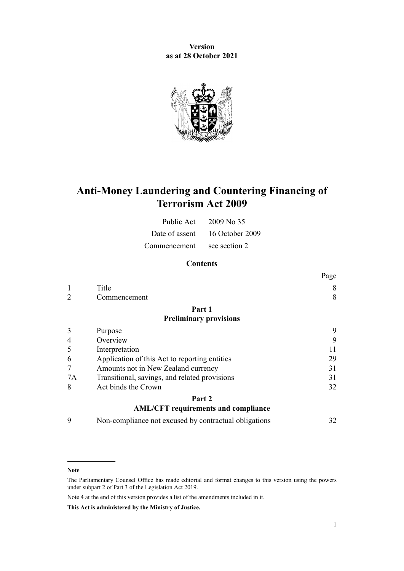**Version as at 28 October 2021**



# **Anti-Money Laundering and Countering Financing of Terrorism Act 2009**

| Public Act   | 2009 No 35                     |
|--------------|--------------------------------|
|              | Date of assent 16 October 2009 |
| Commencement | see section 2                  |

## **Contents**

|    |                                                       | Page |
|----|-------------------------------------------------------|------|
|    | Title                                                 | 8    |
|    | Commencement                                          | 8    |
|    | Part 1                                                |      |
|    | <b>Preliminary provisions</b>                         |      |
| 3  | Purpose                                               | 9    |
| 4  | Overview                                              | 9    |
| 5  | Interpretation                                        | 11   |
| 6  | Application of this Act to reporting entities         | 29   |
| 7  | Amounts not in New Zealand currency                   | 31   |
| 7A | Transitional, savings, and related provisions         | 31   |
| 8  | Act binds the Crown                                   | 32   |
|    | Part 2                                                |      |
|    | <b>AML/CFT</b> requirements and compliance            |      |
| 9  | Non-compliance not excused by contractual obligations | 32   |

#### **Note**

Note 4 at the end of this version provides a list of the amendments included in it.

**This Act is administered by the Ministry of Justice.**

The Parliamentary Counsel Office has made editorial and format changes to this version using the powers under [subpart 2](http://legislation.govt.nz/pdflink.aspx?id=DLM7298371) of Part 3 of the Legislation Act 2019.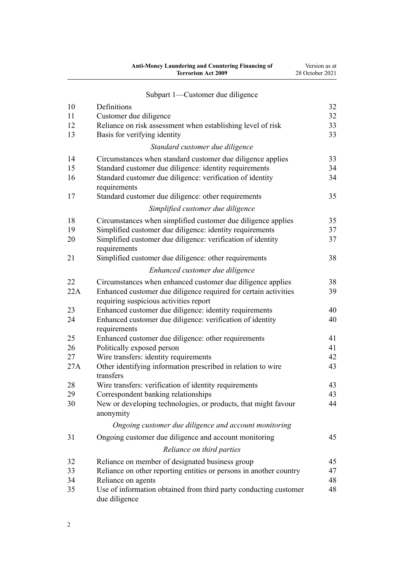| Anti-Money Laundering and Countering Financing of | Version as at   |
|---------------------------------------------------|-----------------|
| <b>Terrorism Act 2009</b>                         | 28 October 2021 |
|                                                   |                 |

| 10  | Definitions                                                                       | 32 |
|-----|-----------------------------------------------------------------------------------|----|
| 11  | Customer due diligence                                                            | 32 |
| 12  | Reliance on risk assessment when establishing level of risk                       | 33 |
| 13  | Basis for verifying identity                                                      | 33 |
|     | Standard customer due diligence                                                   |    |
| 14  | Circumstances when standard customer due diligence applies                        | 33 |
| 15  | Standard customer due diligence: identity requirements                            | 34 |
| 16  | Standard customer due diligence: verification of identity<br>requirements         | 34 |
| 17  | Standard customer due diligence: other requirements                               | 35 |
|     | Simplified customer due diligence                                                 |    |
| 18  | Circumstances when simplified customer due diligence applies                      | 35 |
| 19  | Simplified customer due diligence: identity requirements                          | 37 |
| 20  | Simplified customer due diligence: verification of identity<br>requirements       | 37 |
| 21  | Simplified customer due diligence: other requirements                             | 38 |
|     | Enhanced customer due diligence                                                   |    |
| 22  | Circumstances when enhanced customer due diligence applies                        | 38 |
| 22A | Enhanced customer due diligence required for certain activities                   | 39 |
|     | requiring suspicious activities report                                            |    |
| 23  | Enhanced customer due diligence: identity requirements                            | 40 |
| 24  | Enhanced customer due diligence: verification of identity                         | 40 |
|     | requirements                                                                      |    |
| 25  | Enhanced customer due diligence: other requirements                               | 41 |
| 26  | Politically exposed person                                                        | 41 |
| 27  | Wire transfers: identity requirements                                             | 42 |
| 27A | Other identifying information prescribed in relation to wire<br>transfers         | 43 |
| 28  | Wire transfers: verification of identity requirements                             | 43 |
| 29  | Correspondent banking relationships                                               | 43 |
| 30  | New or developing technologies, or products, that might favour<br>anonymity       | 44 |
|     | Ongoing customer due diligence and account monitoring                             |    |
| 31  | Ongoing customer due diligence and account monitoring                             | 45 |
|     | Reliance on third parties                                                         |    |
| 32  | Reliance on member of designated business group                                   | 45 |
| 33  | Reliance on other reporting entities or persons in another country                | 47 |
| 34  | Reliance on agents                                                                | 48 |
| 35  | Use of information obtained from third party conducting customer<br>due diligence | 48 |

[Subpart 1—Customer due diligence](#page-31-0)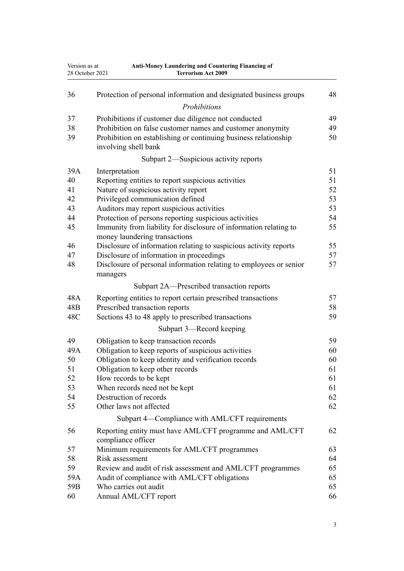| Version as at<br>Anti-Money Laundering and Countering Financing of<br>28 October 2021<br><b>Terrorism Act 2009</b> |                                                                                                    |    |
|--------------------------------------------------------------------------------------------------------------------|----------------------------------------------------------------------------------------------------|----|
| 36                                                                                                                 | Protection of personal information and designated business groups                                  | 48 |
|                                                                                                                    | Prohibitions                                                                                       |    |
| 37                                                                                                                 | Prohibitions if customer due diligence not conducted                                               | 49 |
| 38                                                                                                                 | Prohibition on false customer names and customer anonymity                                         | 49 |
| 39                                                                                                                 | Prohibition on establishing or continuing business relationship<br>involving shell bank            | 50 |
|                                                                                                                    | Subpart 2—Suspicious activity reports                                                              |    |
| 39A                                                                                                                | Interpretation                                                                                     | 51 |
| 40                                                                                                                 | Reporting entities to report suspicious activities                                                 | 51 |
| 41                                                                                                                 | Nature of suspicious activity report                                                               | 52 |
| 42                                                                                                                 | Privileged communication defined                                                                   | 53 |
| 43                                                                                                                 | Auditors may report suspicious activities                                                          | 53 |
| 44                                                                                                                 | Protection of persons reporting suspicious activities                                              | 54 |
| 45                                                                                                                 | Immunity from liability for disclosure of information relating to<br>money laundering transactions | 55 |
| 46                                                                                                                 | Disclosure of information relating to suspicious activity reports                                  | 55 |
| 47                                                                                                                 | Disclosure of information in proceedings                                                           | 57 |
| 48                                                                                                                 | Disclosure of personal information relating to employees or senior<br>managers                     | 57 |
|                                                                                                                    | Subpart 2A-Prescribed transaction reports                                                          |    |
| 48A                                                                                                                | Reporting entities to report certain prescribed transactions                                       | 57 |
| 48B                                                                                                                | Prescribed transaction reports                                                                     | 58 |
| 48C                                                                                                                | Sections 43 to 48 apply to prescribed transactions                                                 | 59 |
|                                                                                                                    | Subpart 3—Record keeping                                                                           |    |
| 49                                                                                                                 | Obligation to keep transaction records                                                             | 59 |
| 49A                                                                                                                | Obligation to keep reports of suspicious activities                                                | 60 |
| 50                                                                                                                 | Obligation to keep identity and verification records                                               | 60 |
| 51                                                                                                                 | Obligation to keep other records                                                                   | 61 |
| 52                                                                                                                 | How records to be kept                                                                             | 61 |
| 53                                                                                                                 | When records need not be kept                                                                      | 61 |
| 54                                                                                                                 | Destruction of records                                                                             | 62 |
| 55                                                                                                                 | Other laws not affected                                                                            | 62 |
|                                                                                                                    | Subpart 4—Compliance with AML/CFT requirements                                                     |    |
| 56                                                                                                                 | Reporting entity must have AML/CFT programme and AML/CFT<br>compliance officer                     | 62 |
| 57                                                                                                                 | Minimum requirements for AML/CFT programmes                                                        | 63 |
| 58                                                                                                                 | Risk assessment                                                                                    | 64 |
| 59                                                                                                                 | Review and audit of risk assessment and AML/CFT programmes                                         | 65 |
| 59A                                                                                                                | Audit of compliance with AML/CFT obligations                                                       | 65 |
| 59B                                                                                                                | Who carries out audit                                                                              | 65 |
| 60                                                                                                                 | Annual AML/CFT report                                                                              | 66 |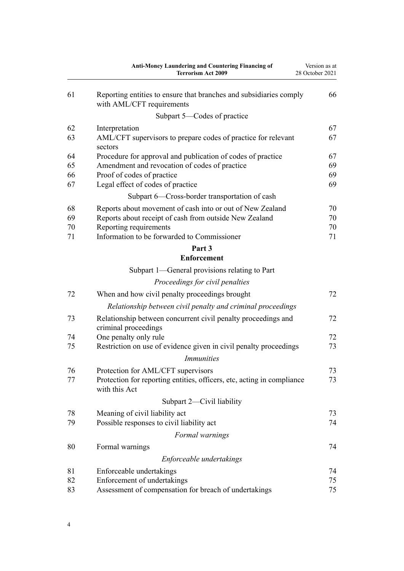|    | <b>Anti-Money Laundering and Countering Financing of</b><br><b>Terrorism Act 2009</b>           | Version as at<br>28 October 2021 |
|----|-------------------------------------------------------------------------------------------------|----------------------------------|
| 61 | Reporting entities to ensure that branches and subsidiaries comply<br>with AML/CFT requirements | 66                               |
|    | Subpart 5-Codes of practice                                                                     |                                  |
| 62 | Interpretation                                                                                  | 67                               |
| 63 | AML/CFT supervisors to prepare codes of practice for relevant<br>sectors                        | 67                               |
| 64 | Procedure for approval and publication of codes of practice                                     | 67                               |
| 65 | Amendment and revocation of codes of practice                                                   | 69                               |
| 66 | Proof of codes of practice                                                                      | 69                               |
| 67 | Legal effect of codes of practice                                                               | 69                               |
|    | Subpart 6—Cross-border transportation of cash                                                   |                                  |
| 68 | Reports about movement of cash into or out of New Zealand                                       | 70                               |
| 69 | Reports about receipt of cash from outside New Zealand                                          | 70                               |
| 70 | Reporting requirements                                                                          | 70                               |
| 71 | Information to be forwarded to Commissioner                                                     | 71                               |
|    | Part 3<br><b>Enforcement</b>                                                                    |                                  |
|    | Subpart 1—General provisions relating to Part                                                   |                                  |
|    | Proceedings for civil penalties                                                                 |                                  |
| 72 | When and how civil penalty proceedings brought                                                  | 72                               |
|    | Relationship between civil penalty and criminal proceedings                                     |                                  |
| 73 | Relationship between concurrent civil penalty proceedings and                                   | 72                               |
|    | criminal proceedings                                                                            |                                  |
| 74 | One penalty only rule                                                                           | 72                               |
| 75 | Restriction on use of evidence given in civil penalty proceedings                               | 73                               |
|    | <i>Immunities</i>                                                                               |                                  |
| 76 | Protection for AML/CFT supervisors                                                              | 73                               |
| 77 | Protection for reporting entities, officers, etc, acting in compliance<br>with this Act         | 73                               |
|    | Subpart 2—Civil liability                                                                       |                                  |
| 78 | Meaning of civil liability act                                                                  | 73                               |
| 79 | Possible responses to civil liability act                                                       | 74                               |
|    | Formal warnings                                                                                 |                                  |
| 80 | Formal warnings                                                                                 | 74                               |
|    | Enforceable undertakings                                                                        |                                  |
| 81 | Enforceable undertakings                                                                        | 74                               |
| 82 | Enforcement of undertakings                                                                     | 75                               |
| 83 | Assessment of compensation for breach of undertakings                                           | 75                               |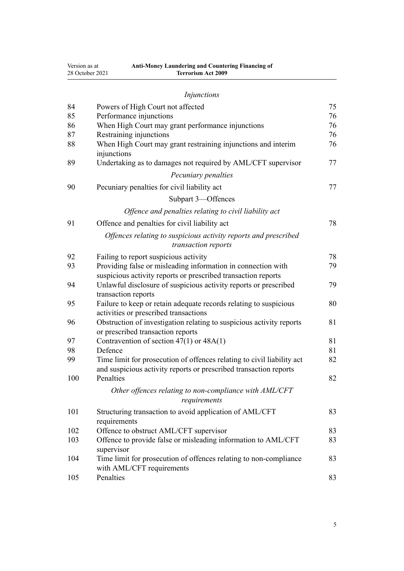| Version as at | Anti-Money Laundering and Countering Financing of<br><b>Terrorism Act 2009</b><br>28 October 2021                                           |    |
|---------------|---------------------------------------------------------------------------------------------------------------------------------------------|----|
|               | Injunctions                                                                                                                                 |    |
| 84            | Powers of High Court not affected                                                                                                           | 75 |
| 85            | Performance injunctions                                                                                                                     | 76 |
| 86            | When High Court may grant performance injunctions                                                                                           | 76 |
| 87            | Restraining injunctions                                                                                                                     | 76 |
| 88            | When High Court may grant restraining injunctions and interim<br>injunctions                                                                | 76 |
| 89            | Undertaking as to damages not required by AML/CFT supervisor                                                                                | 77 |
|               | Pecuniary penalties                                                                                                                         |    |
| 90            | Pecuniary penalties for civil liability act                                                                                                 | 77 |
|               | Subpart 3-Offences                                                                                                                          |    |
|               | Offence and penalties relating to civil liability act                                                                                       |    |
| 91            | Offence and penalties for civil liability act                                                                                               | 78 |
|               | Offences relating to suspicious activity reports and prescribed<br>transaction reports                                                      |    |
| 92            | Failing to report suspicious activity                                                                                                       | 78 |
| 93            | Providing false or misleading information in connection with<br>suspicious activity reports or prescribed transaction reports               | 79 |
| 94            | Unlawful disclosure of suspicious activity reports or prescribed<br>transaction reports                                                     | 79 |
| 95            | Failure to keep or retain adequate records relating to suspicious<br>activities or prescribed transactions                                  | 80 |
| 96            | Obstruction of investigation relating to suspicious activity reports<br>or prescribed transaction reports                                   | 81 |
| 97            | Contravention of section $47(1)$ or $48A(1)$                                                                                                | 81 |
| 98            | Defence                                                                                                                                     | 81 |
| 99            | Time limit for prosecution of offences relating to civil liability act<br>and suspicious activity reports or prescribed transaction reports | 82 |
| 100           | Penalties                                                                                                                                   | 82 |
|               | Other offences relating to non-compliance with AML/CFT<br>requirements                                                                      |    |
| 101           | Structuring transaction to avoid application of AML/CFT<br>requirements                                                                     | 83 |
| 102           | Offence to obstruct AML/CFT supervisor                                                                                                      | 83 |
| 103           | Offence to provide false or misleading information to AML/CFT<br>supervisor                                                                 | 83 |
| 104           | Time limit for prosecution of offences relating to non-compliance<br>with AML/CFT requirements                                              | 83 |
| 105           | Penalties                                                                                                                                   | 83 |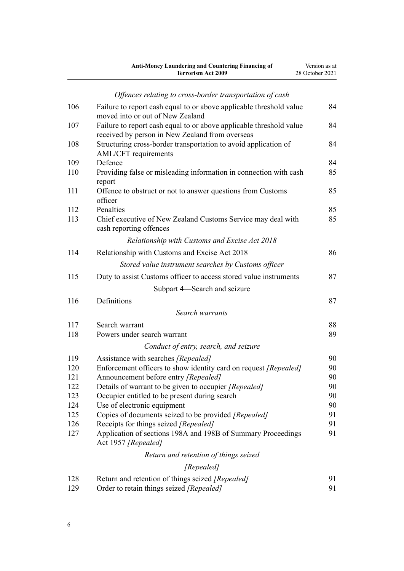|     | <b>Anti-Money Laundering and Countering Financing of</b><br><b>Terrorism Act 2009</b>                                  | Version as at<br>28 October 2021 |
|-----|------------------------------------------------------------------------------------------------------------------------|----------------------------------|
|     | Offences relating to cross-border transportation of cash                                                               |                                  |
| 106 | Failure to report cash equal to or above applicable threshold value<br>moved into or out of New Zealand                | 84                               |
| 107 | Failure to report cash equal to or above applicable threshold value<br>received by person in New Zealand from overseas | 84                               |
| 108 | Structuring cross-border transportation to avoid application of<br>AML/CFT requirements                                | 84                               |
| 109 | Defence                                                                                                                | 84                               |
| 110 | Providing false or misleading information in connection with cash<br>report                                            | 85                               |
| 111 | Offence to obstruct or not to answer questions from Customs<br>officer                                                 | 85                               |
| 112 | Penalties                                                                                                              | 85                               |
| 113 | Chief executive of New Zealand Customs Service may deal with<br>cash reporting offences                                | 85                               |
|     | Relationship with Customs and Excise Act 2018                                                                          |                                  |
| 114 | Relationship with Customs and Excise Act 2018                                                                          | 86                               |
|     | Stored value instrument searches by Customs officer                                                                    |                                  |
| 115 | Duty to assist Customs officer to access stored value instruments                                                      | 87                               |
|     | Subpart 4—Search and seizure                                                                                           |                                  |
| 116 | Definitions                                                                                                            | 87                               |
|     | Search warrants                                                                                                        |                                  |
| 117 | Search warrant                                                                                                         | 88                               |
| 118 | Powers under search warrant                                                                                            | 89                               |
|     | Conduct of entry, search, and seizure                                                                                  |                                  |
| 119 | Assistance with searches [Repealed]                                                                                    | 90                               |
| 120 | Enforcement officers to show identity card on request [Repealed]                                                       | 90                               |
| 121 | Announcement before entry [Repealed]                                                                                   | 90                               |
| 122 | Details of warrant to be given to occupier [Repealed]                                                                  | 90                               |
| 123 | Occupier entitled to be present during search                                                                          | 90                               |
| 124 | Use of electronic equipment                                                                                            | 90                               |
| 125 | Copies of documents seized to be provided [Repealed]                                                                   | 91                               |
| 126 | Receipts for things seized [Repealed]                                                                                  | 91                               |
| 127 | Application of sections 198A and 198B of Summary Proceedings<br>Act 1957 [Repealed]                                    | 91                               |
|     | Return and retention of things seized                                                                                  |                                  |
|     | [Repealed]                                                                                                             |                                  |
| 128 | Return and retention of things seized [Repealed]                                                                       | 91                               |
| 129 | Order to retain things seized [Repealed]                                                                               | 91                               |
|     |                                                                                                                        |                                  |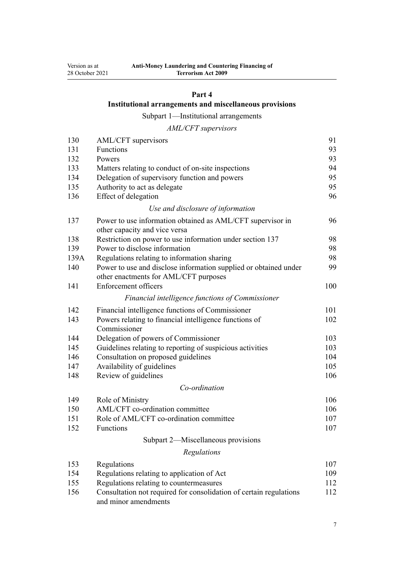## **[Part 4](#page-90-0)**

## **[Institutional arrangements and miscellaneous provisions](#page-90-0)**

[Subpart 1—Institutional arrangements](#page-90-0)

## *[AML/CFT supervisors](#page-90-0)*

| 130  | AML/CFT supervisors                                                                                       | 91  |
|------|-----------------------------------------------------------------------------------------------------------|-----|
| 131  | Functions                                                                                                 | 93  |
| 132  | Powers                                                                                                    | 93  |
| 133  | Matters relating to conduct of on-site inspections                                                        | 94  |
| 134  | Delegation of supervisory function and powers                                                             | 95  |
| 135  | Authority to act as delegate                                                                              | 95  |
| 136  | Effect of delegation                                                                                      | 96  |
|      | Use and disclosure of information                                                                         |     |
| 137  | Power to use information obtained as AML/CFT supervisor in<br>other capacity and vice versa               | 96  |
| 138  | Restriction on power to use information under section 137                                                 | 98  |
| 139  | Power to disclose information                                                                             | 98  |
| 139A | Regulations relating to information sharing                                                               | 98  |
| 140  | Power to use and disclose information supplied or obtained under<br>other enactments for AML/CFT purposes | 99  |
| 141  | <b>Enforcement officers</b>                                                                               | 100 |
|      | Financial intelligence functions of Commissioner                                                          |     |
| 142  | Financial intelligence functions of Commissioner                                                          | 101 |
| 143  | Powers relating to financial intelligence functions of                                                    | 102 |
|      | Commissioner                                                                                              |     |
| 144  | Delegation of powers of Commissioner                                                                      | 103 |
| 145  | Guidelines relating to reporting of suspicious activities                                                 | 103 |
| 146  | Consultation on proposed guidelines                                                                       | 104 |
| 147  | Availability of guidelines                                                                                | 105 |
| 148  | Review of guidelines                                                                                      | 106 |
|      | Co-ordination                                                                                             |     |
| 149  | Role of Ministry                                                                                          | 106 |
| 150  | AML/CFT co-ordination committee                                                                           | 106 |
| 151  | Role of AML/CFT co-ordination committee                                                                   | 107 |
| 152  | Functions                                                                                                 | 107 |
|      | Subpart 2-Miscellaneous provisions                                                                        |     |
|      | Regulations                                                                                               |     |
| 153  | Regulations                                                                                               | 107 |
| 154  | Regulations relating to application of Act                                                                | 109 |
| 155  | Regulations relating to countermeasures                                                                   | 112 |
| 156  | Consultation not required for consolidation of certain regulations<br>and minor amendments                | 112 |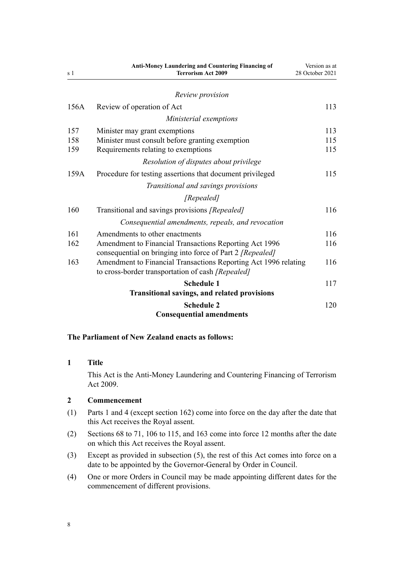<span id="page-7-0"></span>

| s <sub>1</sub> | <b>Anti-Money Laundering and Countering Financing of</b><br><b>Terrorism Act 2009</b>                                | Version as at<br>28 October 2021 |
|----------------|----------------------------------------------------------------------------------------------------------------------|----------------------------------|
|                | Review provision                                                                                                     |                                  |
| 156A           | Review of operation of Act                                                                                           | 113                              |
|                | Ministerial exemptions                                                                                               |                                  |
| 157            | Minister may grant exemptions                                                                                        | 113                              |
| 158            | Minister must consult before granting exemption                                                                      | 115                              |
| 159            | Requirements relating to exemptions                                                                                  | 115                              |
|                | Resolution of disputes about privilege                                                                               |                                  |
| 159A           | Procedure for testing assertions that document privileged                                                            | 115                              |
|                | Transitional and savings provisions                                                                                  |                                  |
|                | [Repealed]                                                                                                           |                                  |
| 160            | Transitional and savings provisions [Repealed]                                                                       | 116                              |
|                | Consequential amendments, repeals, and revocation                                                                    |                                  |
| 161            | Amendments to other enactments                                                                                       | 116                              |
| 162            | Amendment to Financial Transactions Reporting Act 1996<br>consequential on bringing into force of Part 2 [Repealed]  | 116                              |
| 163            | Amendment to Financial Transactions Reporting Act 1996 relating<br>to cross-border transportation of cash [Repealed] | 116                              |
|                | <b>Schedule 1</b>                                                                                                    | 117                              |
|                | <b>Transitional savings, and related provisions</b>                                                                  |                                  |
|                | <b>Schedule 2</b>                                                                                                    | 120                              |
|                | <b>Consequential amendments</b>                                                                                      |                                  |

## **The Parliament of New Zealand enacts as follows:**

## **1 Title**

This Act is the Anti-Money Laundering and Countering Financing of Terrorism Act 2009.

## **2 Commencement**

- (1) [Parts 1](#page-8-0) and [4](#page-90-0) (except [section 162](#page-115-0)) come into force on the day after the date that this Act receives the Royal assent.
- (2) [Sections 68 to 71,](#page-69-0) [106 to 115,](#page-83-0) and [163](#page-115-0) come into force 12 months after the date on which this Act receives the Royal assent.
- (3) Except as provided in subsection (5), the rest of this Act comes into force on a date to be appointed by the Governor-General by Order in Council.
- (4) One or more Orders in Council may be made appointing different dates for the commencement of different provisions.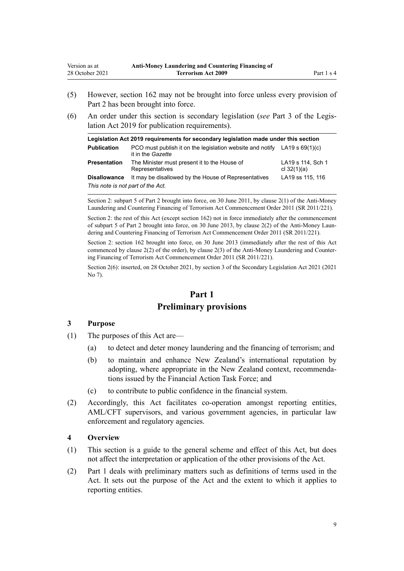- <span id="page-8-0"></span>(5) However, [section 162](#page-115-0) may not be brought into force unless every provision of [Part 2](#page-31-0) has been brought into force.
- (6) An order under this section is secondary legislation (*see* [Part 3](http://legislation.govt.nz/pdflink.aspx?id=DLM7298343) of the Legis‐ lation Act 2019 for publication requirements).

| Legislation Act 2019 requirements for secondary legislation made under this section |                                                                                                  |                                    |  |
|-------------------------------------------------------------------------------------|--------------------------------------------------------------------------------------------------|------------------------------------|--|
| <b>Publication</b>                                                                  | PCO must publish it on the legislation website and notify LA19 s $69(1)(c)$<br>it in the Gazette |                                    |  |
| <b>Presentation</b>                                                                 | The Minister must present it to the House of<br>Representatives                                  | LA19 s 114, Sch 1<br>cl $32(1)(a)$ |  |
| <b>Disallowance</b>                                                                 | It may be disallowed by the House of Representatives                                             | LA19 ss 115, 116                   |  |
| This note is not part of the Act.                                                   |                                                                                                  |                                    |  |

Section 2: subpart 5 of Part 2 brought into force, on 30 June 2011, by [clause 2\(1\)](http://legislation.govt.nz/pdflink.aspx?id=DLM3831005) of the Anti-Money Laundering and Countering Financing of Terrorism Act Commencement Order 2011 (SR 2011/221).

Section 2: the rest of this Act (except section 162) not in force immediately after the commencement of subpart 5 of Part 2 brought into force, on 30 June 2013, by [clause 2\(2\)](http://legislation.govt.nz/pdflink.aspx?id=DLM3831005) of the Anti-Money Laundering and Countering Financing of Terrorism Act Commencement Order 2011 (SR 2011/221).

Section 2: section 162 brought into force, on 30 June 2013 (immediately after the rest of this Act commenced by clause 2(2) of the order), by [clause 2\(3\)](http://legislation.govt.nz/pdflink.aspx?id=DLM3831005) of the Anti-Money Laundering and Counter‐ ing Financing of Terrorism Act Commencement Order 2011 (SR 2011/221).

Section 2(6): inserted, on 28 October 2021, by [section 3](http://legislation.govt.nz/pdflink.aspx?id=LMS268932) of the Secondary Legislation Act 2021 (2021 No 7).

## **Part 1 Preliminary provisions**

## **3 Purpose**

- (1) The purposes of this Act are—
	- (a) to detect and deter money laundering and the financing of terrorism; and
	- (b) to maintain and enhance New Zealand's international reputation by adopting, where appropriate in the New Zealand context, recommenda‐ tions issued by the Financial Action Task Force; and
	- (c) to contribute to public confidence in the financial system.
- (2) Accordingly, this Act facilitates co-operation amongst reporting entities, AML/CFT supervisors, and various government agencies, in particular law enforcement and regulatory agencies.

## **4 Overview**

- (1) This section is a guide to the general scheme and effect of this Act, but does not affect the interpretation or application of the other provisions of the Act.
- (2) Part 1 deals with preliminary matters such as definitions of terms used in the Act. It sets out the purpose of the Act and the extent to which it applies to reporting entities.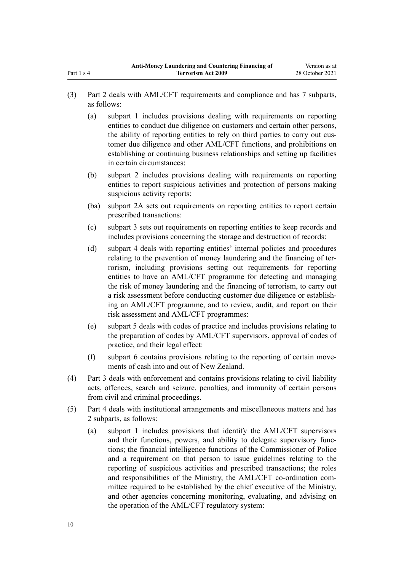- (3) [Part 2](#page-31-0) deals with AML/CFT requirements and compliance and has 7 subparts, as follows:
	- (a) [subpart 1](#page-31-0) includes provisions dealing with requirements on reporting entities to conduct due diligence on customers and certain other persons, the ability of reporting entities to rely on third parties to carry out cus‐ tomer due diligence and other AML/CFT functions, and prohibitions on establishing or continuing business relationships and setting up facilities in certain circumstances:
	- (b) [subpart 2](#page-50-0) includes provisions dealing with requirements on reporting entities to report suspicious activities and protection of persons making suspicious activity reports:
	- (ba) [subpart 2A](#page-56-0) sets out requirements on reporting entities to report certain prescribed transactions:
	- (c) [subpart 3](#page-58-0) sets out requirements on reporting entities to keep records and includes provisions concerning the storage and destruction of records:
	- (d) [subpart 4](#page-61-0) deals with reporting entities' internal policies and procedures relating to the prevention of money laundering and the financing of ter‐ rorism, including provisions setting out requirements for reporting entities to have an AML/CFT programme for detecting and managing the risk of money laundering and the financing of terrorism, to carry out a risk assessment before conducting customer due diligence or establish‐ ing an AML/CFT programme, and to review, audit, and report on their risk assessment and AML/CFT programmes:
	- (e) [subpart 5](#page-66-0) deals with codes of practice and includes provisions relating to the preparation of codes by AML/CFT supervisors, approval of codes of practice, and their legal effect:
	- (f) [subpart 6](#page-69-0) contains provisions relating to the reporting of certain move‐ ments of cash into and out of New Zealand.
- (4) [Part 3](#page-71-0) deals with enforcement and contains provisions relating to civil liability acts, offences, search and seizure, penalties, and immunity of certain persons from civil and criminal proceedings.
- (5) [Part 4](#page-90-0) deals with institutional arrangements and miscellaneous matters and has 2 subparts, as follows:
	- (a) [subpart 1](#page-90-0) includes provisions that identify the AML/CFT supervisors and their functions, powers, and ability to delegate supervisory func‐ tions; the financial intelligence functions of the Commissioner of Police and a requirement on that person to issue guidelines relating to the reporting of suspicious activities and prescribed transactions; the roles and responsibilities of the Ministry, the AML/CFT co-ordination com‐ mittee required to be established by the chief executive of the Ministry, and other agencies concerning monitoring, evaluating, and advising on the operation of the AML/CFT regulatory system: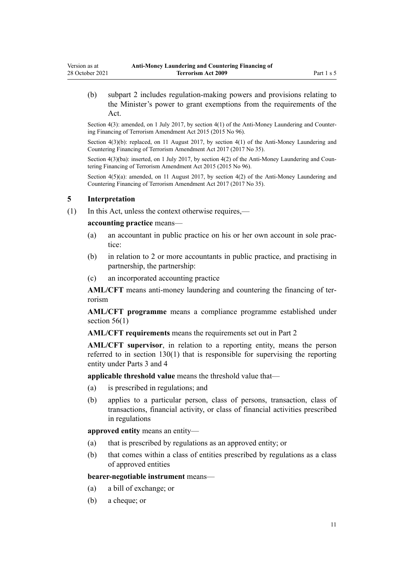<span id="page-10-0"></span>(b) [subpart 2](#page-106-0) includes regulation-making powers and provisions relating to the Minister's power to grant exemptions from the requirements of the Act.

Section 4(3): amended, on 1 July 2017, by [section 4\(1\)](http://legislation.govt.nz/pdflink.aspx?id=DLM6602208) of the Anti-Money Laundering and Countering Financing of Terrorism Amendment Act 2015 (2015 No 96).

Section 4(3)(b): replaced, on 11 August 2017, by [section 4\(1\)](http://legislation.govt.nz/pdflink.aspx?id=DLM7161215) of the Anti-Money Laundering and Countering Financing of Terrorism Amendment Act 2017 (2017 No 35).

Section  $4(3)(ba)$ : inserted, on 1 July 2017, by section  $4(2)$  of the Anti-Money Laundering and Countering Financing of Terrorism Amendment Act 2015 (2015 No 96).

Section  $4(5)(a)$ : amended, on 11 August 2017, by section  $4(2)$  of the Anti-Money Laundering and Countering Financing of Terrorism Amendment Act 2017 (2017 No 35).

## **5 Interpretation**

(1) In this Act, unless the context otherwise requires,—

#### **accounting practice** means—

- (a) an accountant in public practice on his or her own account in sole prac‐ tice:
- (b) in relation to 2 or more accountants in public practice, and practising in partnership, the partnership:
- (c) an incorporated accounting practice

**AML/CFT** means anti-money laundering and countering the financing of ter‐ rorism

**AML/CFT programme** means a compliance programme established under section  $56(1)$ 

**AML/CFT requirements** means the requirements set out in [Part 2](#page-31-0)

**AML/CFT supervisor**, in relation to a reporting entity, means the person referred to in [section 130\(1\)](#page-90-0) that is responsible for supervising the reporting entity under [Parts 3](#page-71-0) and [4](#page-90-0)

**applicable threshold value** means the threshold value that—

- (a) is prescribed in regulations; and
- (b) applies to a particular person, class of persons, transaction, class of transactions, financial activity, or class of financial activities prescribed in regulations

**approved entity** means an entity—

- (a) that is prescribed by regulations as an approved entity; or
- (b) that comes within a class of entities prescribed by regulations as a class of approved entities

#### **bearer-negotiable instrument** means—

- (a) a bill of exchange; or
- (b) a cheque; or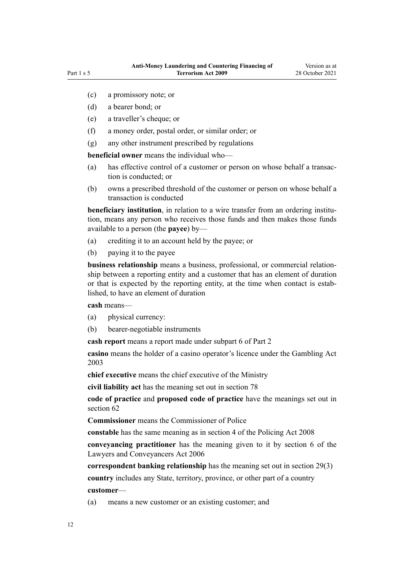- (c) a promissory note; or
- (d) a bearer bond; or
- (e) a traveller's cheque; or
- (f) a money order, postal order, or similar order; or
- (g) any other instrument prescribed by regulations

**beneficial owner** means the individual who—

- (a) has effective control of a customer or person on whose behalf a transaction is conducted; or
- (b) owns a prescribed threshold of the customer or person on whose behalf a transaction is conducted

**beneficiary institution**, in relation to a wire transfer from an ordering institution, means any person who receives those funds and then makes those funds available to a person (the **payee**) by—

- (a) crediting it to an account held by the payee; or
- (b) paying it to the payee

**business relationship** means a business, professional, or commercial relation‐ ship between a reporting entity and a customer that has an element of duration or that is expected by the reporting entity, at the time when contact is established, to have an element of duration

**cash** means—

- (a) physical currency:
- (b) bearer-negotiable instruments

**cash report** means a report made under [subpart 6](#page-69-0) of Part 2

**casino** means the holder of a casino operator's licence under the [Gambling Act](http://legislation.govt.nz/pdflink.aspx?id=DLM207496) [2003](http://legislation.govt.nz/pdflink.aspx?id=DLM207496)

**chief executive** means the chief executive of the Ministry

**civil liability act** has the meaning set out in [section 78](#page-72-0)

**code of practice** and **proposed code of practice** have the meanings set out in [section 62](#page-66-0)

**Commissioner** means the Commissioner of Police

**constable** has the same meaning as in [section 4](http://legislation.govt.nz/pdflink.aspx?id=DLM1102132) of the Policing Act 2008

**conveyancing practitioner** has the meaning given to it by [section 6](http://legislation.govt.nz/pdflink.aspx?id=DLM364948) of the Lawyers and Conveyancers Act 2006

**correspondent banking relationship** has the meaning set out in [section 29\(3\)](#page-42-0) **country** includes any State, territory, province, or other part of a country **customer**—

(a) means a new customer or an existing customer; and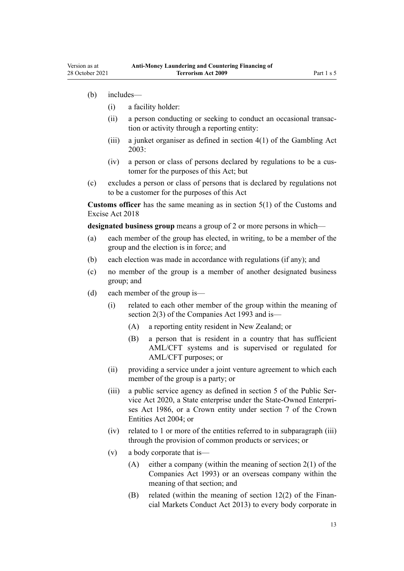(b) includes—

Version as at

- (i) a facility holder:
- (ii) a person conducting or seeking to conduct an occasional transaction or activity through a reporting entity:
- (iii) a junket organiser as defined in [section 4\(1\)](http://legislation.govt.nz/pdflink.aspx?id=DLM207804) of the Gambling Act 2003:
- (iv) a person or class of persons declared by regulations to be a cus‐ tomer for the purposes of this Act; but
- (c) excludes a person or class of persons that is declared by regulations not to be a customer for the purposes of this Act

**Customs officer** has the same meaning as in [section 5\(1\)](http://legislation.govt.nz/pdflink.aspx?id=DLM7038971) of the Customs and Excise Act 2018

**designated business group** means a group of 2 or more persons in which—

- (a) each member of the group has elected, in writing, to be a member of the group and the election is in force; and
- (b) each election was made in accordance with regulations (if any); and
- (c) no member of the group is a member of another designated business group; and
- (d) each member of the group is—
	- (i) related to each other member of the group within the meaning of [section 2\(3\)](http://legislation.govt.nz/pdflink.aspx?id=DLM319576) of the Companies Act 1993 and is—
		- (A) a reporting entity resident in New Zealand; or
		- (B) a person that is resident in a country that has sufficient AML/CFT systems and is supervised or regulated for AML/CFT purposes; or
	- (ii) providing a service under a joint venture agreement to which each member of the group is a party; or
	- (iii) a public service agency as defined in [section 5](http://legislation.govt.nz/pdflink.aspx?id=LMS356868) of the Public Ser‐ vice Act 2020, a State enterprise under the [State-Owned Enterpri‐](http://legislation.govt.nz/pdflink.aspx?id=DLM97376) [ses Act 1986,](http://legislation.govt.nz/pdflink.aspx?id=DLM97376) or a Crown entity under [section 7](http://legislation.govt.nz/pdflink.aspx?id=DLM329641) of the Crown Entities Act 2004; or
	- (iv) related to 1 or more of the entities referred to in subparagraph (iii) through the provision of common products or services; or
	- (v) a body corporate that is—
		- (A) either a company (within the meaning of [section 2\(1\)](http://legislation.govt.nz/pdflink.aspx?id=DLM319576) of the Companies Act 1993) or an overseas company within the meaning of that section; and
		- (B) related (within the meaning of section  $12(2)$  of the Financial Markets Conduct Act 2013) to every body corporate in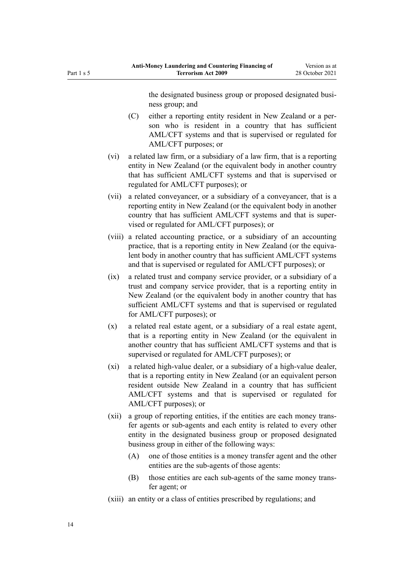ness group; and (C) either a reporting entity resident in New Zealand or a per‐ son who is resident in a country that has sufficient AML/CFT systems and that is supervised or regulated for AML/CFT purposes; or (vi) a related law firm, or a subsidiary of a law firm, that is a reporting entity in New Zealand (or the equivalent body in another country that has sufficient AML/CFT systems and that is supervised or regulated for AML/CFT purposes); or (vii) a related conveyancer, or a subsidiary of a conveyancer, that is a reporting entity in New Zealand (or the equivalent body in another country that has sufficient AML/CFT systems and that is super‐ vised or regulated for AML/CFT purposes); or

the designated business group or proposed designated busi-

- (viii) a related accounting practice, or a subsidiary of an accounting practice, that is a reporting entity in New Zealand (or the equivalent body in another country that has sufficient AML/CFT systems and that is supervised or regulated for AML/CFT purposes); or
- (ix) a related trust and company service provider, or a subsidiary of a trust and company service provider, that is a reporting entity in New Zealand (or the equivalent body in another country that has sufficient AML/CFT systems and that is supervised or regulated for AML/CFT purposes); or
- (x) a related real estate agent, or a subsidiary of a real estate agent, that is a reporting entity in New Zealand (or the equivalent in another country that has sufficient AML/CFT systems and that is supervised or regulated for AML/CFT purposes); or
- (xi) a related high-value dealer, or a subsidiary of a high-value dealer, that is a reporting entity in New Zealand (or an equivalent person resident outside New Zealand in a country that has sufficient AML/CFT systems and that is supervised or regulated for AML/CFT purposes); or
- (xii) a group of reporting entities, if the entities are each money trans‐ fer agents or sub-agents and each entity is related to every other entity in the designated business group or proposed designated business group in either of the following ways:
	- (A) one of those entities is a money transfer agent and the other entities are the sub-agents of those agents:
	- (B) those entities are each sub-agents of the same money transfer agent; or
- (xiii) an entity or a class of entities prescribed by regulations; and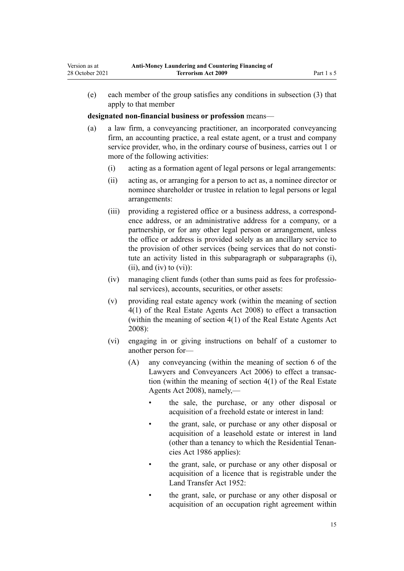(e) each member of the group satisfies any conditions in subsection (3) that apply to that member

**designated non-financial business or profession** means—

Version as at 28 October 2021

- (a) a law firm, a conveyancing practitioner, an incorporated conveyancing firm, an accounting practice, a real estate agent, or a trust and company service provider, who, in the ordinary course of business, carries out 1 or more of the following activities:
	- (i) acting as a formation agent of legal persons or legal arrangements:
	- (ii) acting as, or arranging for a person to act as, a nominee director or nominee shareholder or trustee in relation to legal persons or legal arrangements:
	- (iii) providing a registered office or a business address, a correspond‐ ence address, or an administrative address for a company, or a partnership, or for any other legal person or arrangement, unless the office or address is provided solely as an ancillary service to the provision of other services (being services that do not constitute an activity listed in this subparagraph or subparagraphs (i),  $(ii)$ , and  $(iv)$  to  $(vi)$ :
	- (iv) managing client funds (other than sums paid as fees for professio‐ nal services), accounts, securities, or other assets:
	- (v) providing real estate agency work (within the meaning of [section](http://legislation.govt.nz/pdflink.aspx?id=DLM1151928) [4\(1\)](http://legislation.govt.nz/pdflink.aspx?id=DLM1151928) of the Real Estate Agents Act 2008) to effect a transaction (within the meaning of section 4(1) of the Real Estate Agents Act 2008):
	- (vi) engaging in or giving instructions on behalf of a customer to another person for—
		- (A) any conveyancing (within the meaning of [section 6](http://legislation.govt.nz/pdflink.aspx?id=DLM364948) of the Lawyers and Conveyancers Act 2006) to effect a transac‐ tion (within the meaning of [section 4\(1\)](http://legislation.govt.nz/pdflink.aspx?id=DLM1151928) of the Real Estate Agents Act 2008), namely,
			- the sale, the purchase, or any other disposal or acquisition of a freehold estate or interest in land:
			- the grant, sale, or purchase or any other disposal or acquisition of a leasehold estate or interest in land (other than a tenancy to which the [Residential Tenan‐](http://legislation.govt.nz/pdflink.aspx?id=DLM94277) [cies Act 1986](http://legislation.govt.nz/pdflink.aspx?id=DLM94277) applies):
			- the grant, sale, or purchase or any other disposal or acquisition of a licence that is registrable under the [Land Transfer Act 1952:](http://legislation.govt.nz/pdflink.aspx?id=DLM269031)
			- the grant, sale, or purchase or any other disposal or acquisition of an occupation right agreement within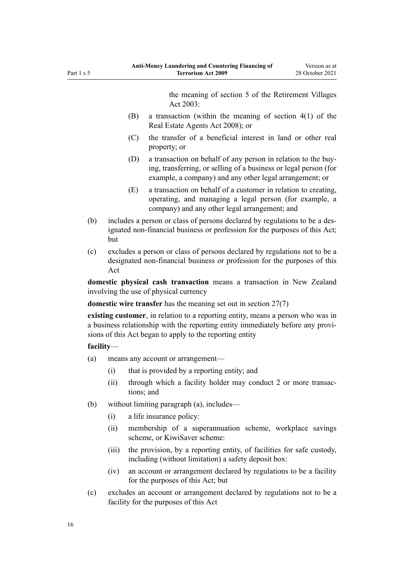the meaning of [section 5](http://legislation.govt.nz/pdflink.aspx?id=DLM220373) of the Retirement Villages Act 2003:

- (B) a transaction (within the meaning of [section 4\(1\)](http://legislation.govt.nz/pdflink.aspx?id=DLM1151928) of the Real Estate Agents Act 2008); or
- (C) the transfer of a beneficial interest in land or other real property; or
- (D) a transaction on behalf of any person in relation to the buy‐ ing, transferring, or selling of a business or legal person (for example, a company) and any other legal arrangement; or
- (E) a transaction on behalf of a customer in relation to creating, operating, and managing a legal person (for example, a company) and any other legal arrangement; and
- (b) includes a person or class of persons declared by regulations to be a des‐ ignated non-financial business or profession for the purposes of this Act; but
- (c) excludes a person or class of persons declared by regulations not to be a designated non-financial business or profession for the purposes of this Act

**domestic physical cash transaction** means a transaction in New Zealand involving the use of physical currency

**domestic wire transfer** has the meaning set out in [section 27\(7\)](#page-41-0)

**existing customer**, in relation to a reporting entity, means a person who was in a business relationship with the reporting entity immediately before any provisions of this Act began to apply to the reporting entity

## **facility**—

- (a) means any account or arrangement—
	- (i) that is provided by a reporting entity; and
	- (ii) through which a facility holder may conduct 2 or more transactions; and
- (b) without limiting paragraph (a), includes—
	- (i) a life insurance policy:
	- (ii) membership of a superannuation scheme, workplace savings scheme, or KiwiSaver scheme:
	- (iii) the provision, by a reporting entity, of facilities for safe custody, including (without limitation) a safety deposit box:
	- (iv) an account or arrangement declared by regulations to be a facility for the purposes of this Act; but
- (c) excludes an account or arrangement declared by regulations not to be a facility for the purposes of this Act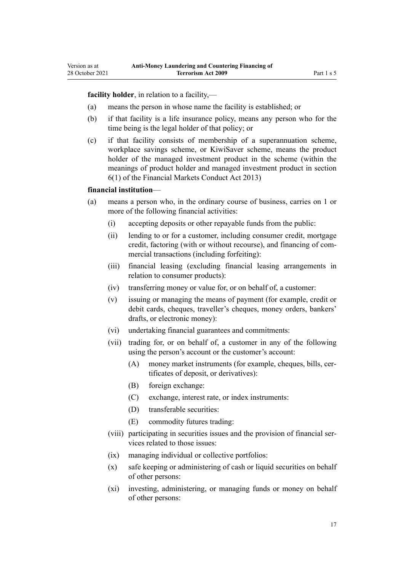**facility holder**, in relation to a facility,—

- (a) means the person in whose name the facility is established; or
- (b) if that facility is a life insurance policy, means any person who for the time being is the legal holder of that policy; or
- (c) if that facility consists of membership of a superannuation scheme, workplace savings scheme, or KiwiSaver scheme, means the product holder of the managed investment product in the scheme (within the meanings of product holder and managed investment product in [section](http://legislation.govt.nz/pdflink.aspx?id=DLM4090590) [6\(1\)](http://legislation.govt.nz/pdflink.aspx?id=DLM4090590) of the Financial Markets Conduct Act 2013)

### **financial institution**—

Version as at

- (a) means a person who, in the ordinary course of business, carries on 1 or more of the following financial activities:
	- (i) accepting deposits or other repayable funds from the public:
	- (ii) lending to or for a customer, including consumer credit, mortgage credit, factoring (with or without recourse), and financing of commercial transactions (including forfeiting):
	- (iii) financial leasing (excluding financial leasing arrangements in relation to consumer products):
	- (iv) transferring money or value for, or on behalf of, a customer:
	- (v) issuing or managing the means of payment (for example, credit or debit cards, cheques, traveller's cheques, money orders, bankers' drafts, or electronic money):
	- (vi) undertaking financial guarantees and commitments:
	- (vii) trading for, or on behalf of, a customer in any of the following using the person's account or the customer's account:
		- (A) money market instruments (for example, cheques, bills, certificates of deposit, or derivatives):
		- (B) foreign exchange:
		- (C) exchange, interest rate, or index instruments:
		- (D) transferable securities:
		- (E) commodity futures trading:
	- (viii) participating in securities issues and the provision of financial services related to those issues:
	- (ix) managing individual or collective portfolios:
	- (x) safe keeping or administering of cash or liquid securities on behalf of other persons:
	- (xi) investing, administering, or managing funds or money on behalf of other persons: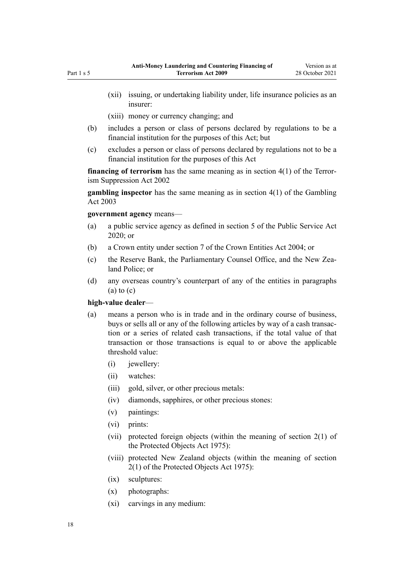- (xii) issuing, or undertaking liability under, life insurance policies as an insurer:
- (xiii) money or currency changing; and
- (b) includes a person or class of persons declared by regulations to be a financial institution for the purposes of this Act; but
- (c) excludes a person or class of persons declared by regulations not to be a financial institution for the purposes of this Act

**financing of terrorism** has the same meaning as in [section 4\(1\)](http://legislation.govt.nz/pdflink.aspx?id=DLM152400) of the Terrorism Suppression Act 2002

**gambling inspector** has the same meaning as in [section 4\(1\)](http://legislation.govt.nz/pdflink.aspx?id=DLM207804) of the Gambling Act 2003

**government agency** means—

- (a) a public service agency as defined in [section 5](http://legislation.govt.nz/pdflink.aspx?id=LMS356868) of the Public Service Act 2020; or
- (b) a Crown entity under [section 7](http://legislation.govt.nz/pdflink.aspx?id=DLM329641) of the Crown Entities Act 2004; or
- (c) the Reserve Bank, the Parliamentary Counsel Office, and the New Zealand Police; or
- (d) any overseas country's counterpart of any of the entities in paragraphs  $(a)$  to  $(c)$

## **high-value dealer**—

- (a) means a person who is in trade and in the ordinary course of business, buys or sells all or any of the following articles by way of a cash transaction or a series of related cash transactions, if the total value of that transaction or those transactions is equal to or above the applicable threshold value:
	- (i) jewellery:
	- (ii) watches:
	- (iii) gold, silver, or other precious metals:
	- (iv) diamonds, sapphires, or other precious stones:
	- (v) paintings:
	- (vi) prints:
	- (vii) protected foreign objects (within the meaning of [section 2\(1\)](http://legislation.govt.nz/pdflink.aspx?id=DLM432125) of the Protected Objects Act 1975):
	- (viii) protected New Zealand objects (within the meaning of [section](http://legislation.govt.nz/pdflink.aspx?id=DLM432125) [2\(1\)](http://legislation.govt.nz/pdflink.aspx?id=DLM432125) of the Protected Objects Act 1975):
	- (ix) sculptures:
	- (x) photographs:
	- (xi) carvings in any medium: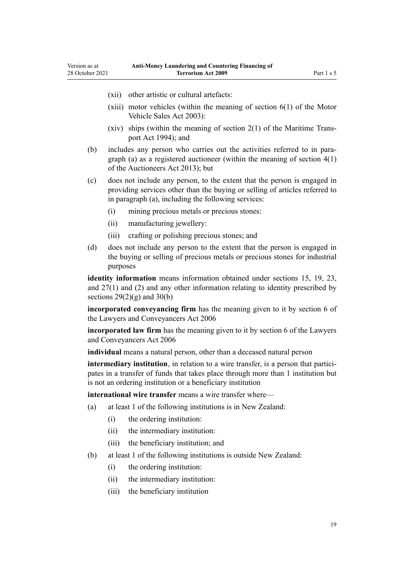(xii) other artistic or cultural artefacts:

Version as at 28 October 2021

- (xiii) motor vehicles (within the meaning of section  $6(1)$  of the Motor Vehicle Sales Act 2003):
- (xiv) ships (within the meaning of section  $2(1)$  of the Maritime Transport Act 1994); and
- (b) includes any person who carries out the activities referred to in paragraph (a) as a registered auctioneer (within the meaning of [section 4\(1\)](http://legislation.govt.nz/pdflink.aspx?id=DLM5788508) of the Auctioneers Act 2013); but
- (c) does not include any person, to the extent that the person is engaged in providing services other than the buying or selling of articles referred to in paragraph (a), including the following services:
	- (i) mining precious metals or precious stones:
	- (ii) manufacturing jewellery:
	- (iii) crafting or polishing precious stones; and
- (d) does not include any person to the extent that the person is engaged in the buying or selling of precious metals or precious stones for industrial purposes

**identity information** means information obtained under [sections 15](#page-33-0), [19](#page-36-0), [23](#page-39-0), and [27\(1\) and \(2\)](#page-41-0) and any other information relating to identity prescribed by sections  $29(2)(g)$  and  $30(b)$ 

**incorporated conveyancing firm** has the meaning given to it by [section 6](http://legislation.govt.nz/pdflink.aspx?id=DLM364948) of the Lawyers and Conveyancers Act 2006

**incorporated law firm** has the meaning given to it by [section 6](http://legislation.govt.nz/pdflink.aspx?id=DLM364948) of the Lawyers and Conveyancers Act 2006

**individual** means a natural person, other than a deceased natural person

**intermediary institution**, in relation to a wire transfer, is a person that participates in a transfer of funds that takes place through more than 1 institution but is not an ordering institution or a beneficiary institution

**international wire transfer** means a wire transfer where—

- (a) at least 1 of the following institutions is in New Zealand:
	- (i) the ordering institution:
	- (ii) the intermediary institution:
	- (iii) the beneficiary institution; and
- (b) at least 1 of the following institutions is outside New Zealand:
	- (i) the ordering institution:
	- (ii) the intermediary institution:
	- (iii) the beneficiary institution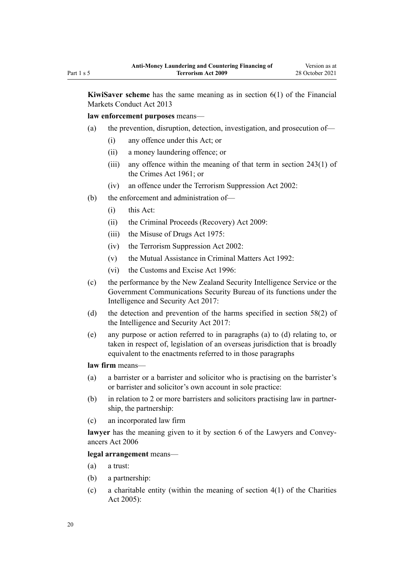**KiwiSaver scheme** has the same meaning as in [section 6\(1\)](http://legislation.govt.nz/pdflink.aspx?id=DLM4090590) of the Financial Markets Conduct Act 2013

**law enforcement purposes** means—

- (a) the prevention, disruption, detection, investigation, and prosecution of—
	- (i) any offence under this Act; or
	- (ii) a money laundering offence; or
	- (iii) any offence within the meaning of that term in [section 243\(1\)](http://legislation.govt.nz/pdflink.aspx?id=DLM330289) of the Crimes Act 1961; or
	- (iv) an offence under the [Terrorism Suppression Act 2002:](http://legislation.govt.nz/pdflink.aspx?id=DLM151490)
- (b) the enforcement and administration of—
	- (i) this Act:
	- (ii) the [Criminal Proceeds \(Recovery\) Act 2009](http://legislation.govt.nz/pdflink.aspx?id=BILL-SCDRAFT-7242):
	- (iii) the [Misuse of Drugs Act 1975](http://legislation.govt.nz/pdflink.aspx?id=DLM436100):
	- (iv) the [Terrorism Suppression Act 2002:](http://legislation.govt.nz/pdflink.aspx?id=DLM151490)
	- (v) the [Mutual Assistance in Criminal Matters Act 1992](http://legislation.govt.nz/pdflink.aspx?id=DLM273056):
	- (vi) the [Customs and Excise Act 1996:](http://legislation.govt.nz/pdflink.aspx?id=DLM377336)
- (c) the performance by the New Zealand Security Intelligence Service or the Government Communications Security Bureau of its functions under the [Intelligence and Security Act 2017:](http://legislation.govt.nz/pdflink.aspx?id=DLM6920802)
- (d) the detection and prevention of the harms specified in [section 58\(2\)](http://legislation.govt.nz/pdflink.aspx?id=DLM7118931) of the Intelligence and Security Act 2017:
- (e) any purpose or action referred to in paragraphs (a) to (d) relating to, or taken in respect of, legislation of an overseas jurisdiction that is broadly equivalent to the enactments referred to in those paragraphs

**law firm** means—

- (a) a barrister or a barrister and solicitor who is practising on the barrister's or barrister and solicitor's own account in sole practice:
- (b) in relation to 2 or more barristers and solicitors practising law in partner‐ ship, the partnership:
- (c) an incorporated law firm

lawyer has the meaning given to it by [section 6](http://legislation.govt.nz/pdflink.aspx?id=DLM364948) of the Lawyers and Conveyancers Act 2006

**legal arrangement** means—

- (a) a trust:
- (b) a partnership:
- (c) a charitable entity (within the meaning of section  $4(1)$  of the Charities Act 2005):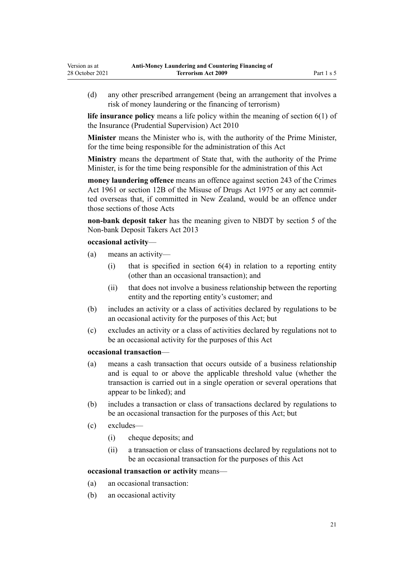(d) any other prescribed arrangement (being an arrangement that involves a risk of money laundering or the financing of terrorism)

**life insurance policy** means a life policy within the meaning of [section 6\(1\)](http://legislation.govt.nz/pdflink.aspx?id=DLM2478128) of the Insurance (Prudential Supervision) Act 2010

**Minister** means the Minister who is, with the authority of the Prime Minister, for the time being responsible for the administration of this Act

**Ministry** means the department of State that, with the authority of the Prime Minister, is for the time being responsible for the administration of this Act

**money laundering offence** means an offence against [section 243](http://legislation.govt.nz/pdflink.aspx?id=DLM330289) of the Crimes Act 1961 or [section 12B](http://legislation.govt.nz/pdflink.aspx?id=DLM436285) of the Misuse of Drugs Act 1975 or any act committed overseas that, if committed in New Zealand, would be an offence under those sections of those Acts

**non-bank deposit taker** has the meaning given to NBDT by [section 5](http://legislation.govt.nz/pdflink.aspx?id=DLM3918989) of the Non-bank Deposit Takers Act 2013

## **occasional activity**—

- (a) means an activity—
	- (i) that is specified in [section 6\(4\)](#page-28-0) in relation to a reporting entity (other than an occasional transaction); and
	- (ii) that does not involve a business relationship between the reporting entity and the reporting entity's customer; and
- (b) includes an activity or a class of activities declared by regulations to be an occasional activity for the purposes of this Act; but
- (c) excludes an activity or a class of activities declared by regulations not to be an occasional activity for the purposes of this Act

#### **occasional transaction**—

- (a) means a cash transaction that occurs outside of a business relationship and is equal to or above the applicable threshold value (whether the transaction is carried out in a single operation or several operations that appear to be linked); and
- (b) includes a transaction or class of transactions declared by regulations to be an occasional transaction for the purposes of this Act; but
- (c) excludes—
	- (i) cheque deposits; and
	- (ii) a transaction or class of transactions declared by regulations not to be an occasional transaction for the purposes of this Act

#### **occasional transaction or activity** means—

- (a) an occasional transaction:
- (b) an occasional activity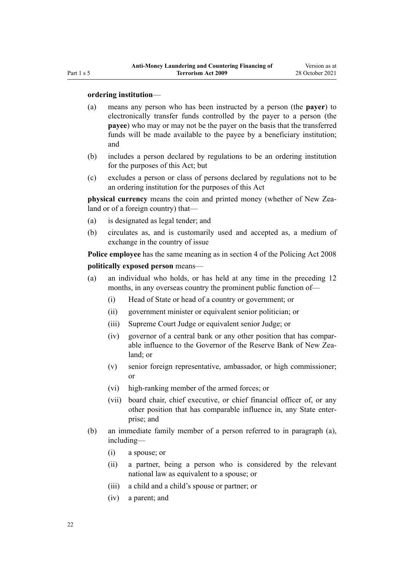#### **ordering institution**—

- (a) means any person who has been instructed by a person (the **payer**) to electronically transfer funds controlled by the payer to a person (the **payee**) who may or may not be the payer on the basis that the transferred funds will be made available to the payee by a beneficiary institution; and
- (b) includes a person declared by regulations to be an ordering institution for the purposes of this Act; but
- (c) excludes a person or class of persons declared by regulations not to be an ordering institution for the purposes of this Act

**physical currency** means the coin and printed money (whether of New Zealand or of a foreign country) that—

- (a) is designated as legal tender; and
- (b) circulates as, and is customarily used and accepted as, a medium of exchange in the country of issue

**Police employee** has the same meaning as in [section 4](http://legislation.govt.nz/pdflink.aspx?id=DLM1102132) of the Policing Act 2008 **politically exposed person** means—

- (a) an individual who holds, or has held at any time in the preceding 12 months, in any overseas country the prominent public function of—
	- (i) Head of State or head of a country or government; or
	- (ii) government minister or equivalent senior politician; or
	- (iii) Supreme Court Judge or equivalent senior Judge; or
	- (iv) governor of a central bank or any other position that has compar‐ able influence to the Governor of the Reserve Bank of New Zealand; or
	- (v) senior foreign representative, ambassador, or high commissioner; or
	- (vi) high-ranking member of the armed forces; or
	- (vii) board chair, chief executive, or chief financial officer of, or any other position that has comparable influence in, any State enter‐ prise; and
- (b) an immediate family member of a person referred to in paragraph (a), including—
	- (i) a spouse; or
	- (ii) a partner, being a person who is considered by the relevant national law as equivalent to a spouse; or
	- (iii) a child and a child's spouse or partner; or
	- (iv) a parent; and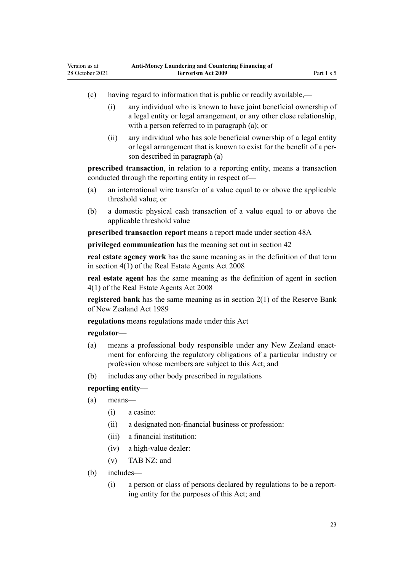- (c) having regard to information that is public or readily available,—
	- (i) any individual who is known to have joint beneficial ownership of a legal entity or legal arrangement, or any other close relationship, with a person referred to in paragraph (a); or
	- (ii) any individual who has sole beneficial ownership of a legal entity or legal arrangement that is known to exist for the benefit of a per‐ son described in paragraph (a)

**prescribed transaction**, in relation to a reporting entity, means a transaction conducted through the reporting entity in respect of—

- (a) an international wire transfer of a value equal to or above the applicable threshold value; or
- (b) a domestic physical cash transaction of a value equal to or above the applicable threshold value

**prescribed transaction report** means a report made under [section 48A](#page-56-0)

**privileged communication** has the meaning set out in [section 42](#page-52-0)

**real estate agency work** has the same meaning as in the definition of that term in [section 4\(1\)](http://legislation.govt.nz/pdflink.aspx?id=DLM1151928) of the Real Estate Agents Act 2008

**real estate agent** has the same meaning as the definition of agent in [section](http://legislation.govt.nz/pdflink.aspx?id=DLM1151928) [4\(1\)](http://legislation.govt.nz/pdflink.aspx?id=DLM1151928) of the Real Estate Agents Act 2008

**registered bank** has the same meaning as in [section 2\(1\)](http://legislation.govt.nz/pdflink.aspx?id=DLM199370) of the Reserve Bank of New Zealand Act 1989

**regulations** means regulations made under this Act

## **regulator**—

- (a) means a professional body responsible under any New Zealand enactment for enforcing the regulatory obligations of a particular industry or profession whose members are subject to this Act; and
- (b) includes any other body prescribed in regulations

## **reporting entity**—

- (a) means—
	- (i) a casino:
	- (ii) a designated non-financial business or profession:
	- (iii) a financial institution:
	- (iv) a high-value dealer:
	- (v) TAB NZ; and
- (b) includes—
	- (i) a person or class of persons declared by regulations to be a report‐ ing entity for the purposes of this Act; and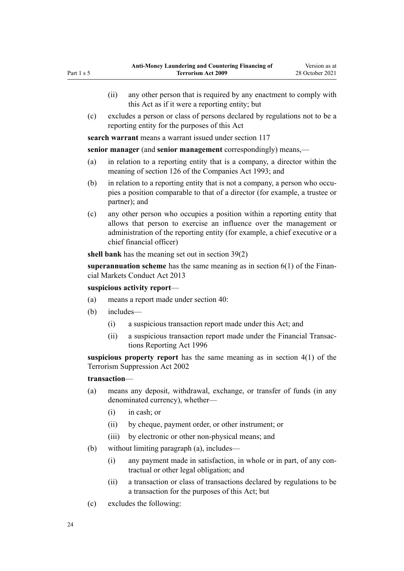(c) excludes a person or class of persons declared by regulations not to be a reporting entity for the purposes of this Act

**search warrant** means a warrant issued under [section 117](#page-87-0)

**senior manager** (and **senior management** correspondingly) means,—

- (a) in relation to a reporting entity that is a company, a director within the meaning of [section 126](http://legislation.govt.nz/pdflink.aspx?id=DLM320630) of the Companies Act 1993; and
- $(b)$  in relation to a reporting entity that is not a company, a person who occupies a position comparable to that of a director (for example, a trustee or partner); and
- (c) any other person who occupies a position within a reporting entity that allows that person to exercise an influence over the management or administration of the reporting entity (for example, a chief executive or a chief financial officer)

**shell bank** has the meaning set out in [section 39\(2\)](#page-49-0)

**superannuation scheme** has the same meaning as in [section 6\(1\)](http://legislation.govt.nz/pdflink.aspx?id=DLM4090590) of the Financial Markets Conduct Act 2013

## **suspicious activity report**—

- (a) means a report made under [section 40:](#page-50-0)
- (b) includes—
	- (i) a suspicious transaction report made under this Act; and
	- (ii) a suspicious transaction report made under the [Financial Transac‐](http://legislation.govt.nz/pdflink.aspx?id=DLM373803) [tions Reporting Act 1996](http://legislation.govt.nz/pdflink.aspx?id=DLM373803)

**suspicious property report** has the same meaning as in [section 4\(1\)](http://legislation.govt.nz/pdflink.aspx?id=DLM152400) of the Terrorism Suppression Act 2002

#### **transaction**—

- (a) means any deposit, withdrawal, exchange, or transfer of funds (in any denominated currency), whether—
	- (i) in cash; or
	- (ii) by cheque, payment order, or other instrument; or
	- (iii) by electronic or other non-physical means; and
- (b) without limiting paragraph (a), includes—
	- (i) any payment made in satisfaction, in whole or in part, of any con‐ tractual or other legal obligation; and
	- (ii) a transaction or class of transactions declared by regulations to be a transaction for the purposes of this Act; but
- (c) excludes the following: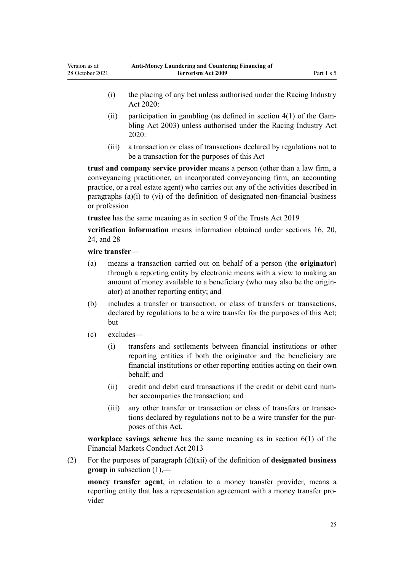- (i) the placing of any bet unless authorised under the [Racing Industry](http://legislation.govt.nz/pdflink.aspx?id=LMS291909) [Act 2020:](http://legislation.govt.nz/pdflink.aspx?id=LMS291909)
- (ii) participation in gambling (as defined in section  $4(1)$  of the Gambling Act 2003) unless authorised under the [Racing Industry Act](http://legislation.govt.nz/pdflink.aspx?id=LMS291909) [2020](http://legislation.govt.nz/pdflink.aspx?id=LMS291909):
- (iii) a transaction or class of transactions declared by regulations not to be a transaction for the purposes of this Act

**trust and company service provider** means a person (other than a law firm, a conveyancing practitioner, an incorporated conveyancing firm, an accounting practice, or a real estate agent) who carries out any of the activities described in paragraphs (a)(i) to (vi) of the definition of designated non-financial business or profession

**trustee** has the same meaning as in [section 9](http://legislation.govt.nz/pdflink.aspx?id=DLM7382827) of the Trusts Act 2019

**verification information** means information obtained under [sections 16](#page-33-0), [20](#page-36-0), [24,](#page-39-0) and [28](#page-42-0)

#### **wire transfer**—

- (a) means a transaction carried out on behalf of a person (the **originator**) through a reporting entity by electronic means with a view to making an amount of money available to a beneficiary (who may also be the origin‐ ator) at another reporting entity; and
- (b) includes a transfer or transaction, or class of transfers or transactions, declared by regulations to be a wire transfer for the purposes of this Act; but
- (c) excludes—
	- (i) transfers and settlements between financial institutions or other reporting entities if both the originator and the beneficiary are financial institutions or other reporting entities acting on their own behalf; and
	- (ii) credit and debit card transactions if the credit or debit card num‐ ber accompanies the transaction; and
	- (iii) any other transfer or transaction or class of transfers or transactions declared by regulations not to be a wire transfer for the pur‐ poses of this Act.

**workplace savings scheme** has the same meaning as in [section 6\(1\)](http://legislation.govt.nz/pdflink.aspx?id=DLM4090590) of the Financial Markets Conduct Act 2013

(2) For the purposes of paragraph (d)(xii) of the definition of **designated business group** in subsection (1),—

**money transfer agent**, in relation to a money transfer provider, means a reporting entity that has a representation agreement with a money transfer provider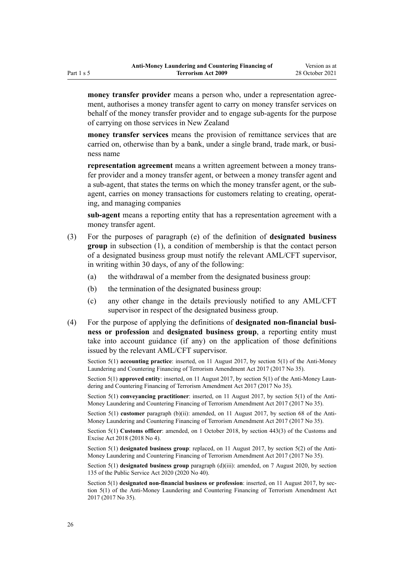**money transfer provider** means a person who, under a representation agreement, authorises a money transfer agent to carry on money transfer services on behalf of the money transfer provider and to engage sub-agents for the purpose of carrying on those services in New Zealand

**money transfer services** means the provision of remittance services that are carried on, otherwise than by a bank, under a single brand, trade mark, or business name

**representation agreement** means a written agreement between a money trans‐ fer provider and a money transfer agent, or between a money transfer agent and a sub-agent, that states the terms on which the money transfer agent, or the subagent, carries on money transactions for customers relating to creating, operating, and managing companies

**sub-agent** means a reporting entity that has a representation agreement with a money transfer agent.

- (3) For the purposes of paragraph (e) of the definition of **designated business group** in subsection (1), a condition of membership is that the contact person of a designated business group must notify the relevant AML/CFT supervisor, in writing within 30 days, of any of the following:
	- (a) the withdrawal of a member from the designated business group:
	- (b) the termination of the designated business group:
	- (c) any other change in the details previously notified to any AML/CFT supervisor in respect of the designated business group.
- (4) For the purpose of applying the definitions of **designated non-financial busi‐ ness or profession** and **designated business group**, a reporting entity must take into account guidance (if any) on the application of those definitions issued by the relevant AML/CFT supervisor.

Section 5(1) **accounting practice**: inserted, on 11 August 2017, by [section 5\(1\)](http://legislation.govt.nz/pdflink.aspx?id=DLM7161216) of the Anti-Money Laundering and Countering Financing of Terrorism Amendment Act 2017 (2017 No 35).

Section 5(1) **approved entity**: inserted, on 11 August 2017, by [section 5\(1\)](http://legislation.govt.nz/pdflink.aspx?id=DLM7161216) of the Anti-Money Laundering and Countering Financing of Terrorism Amendment Act 2017 (2017 No 35).

Section 5(1) **conveyancing practitioner**: inserted, on 11 August 2017, by [section 5\(1\)](http://legislation.govt.nz/pdflink.aspx?id=DLM7161216) of the Anti-Money Laundering and Countering Financing of Terrorism Amendment Act 2017 (2017 No 35).

Section 5(1) **customer** paragraph (b)(ii): amended, on 11 August 2017, by [section 68](http://legislation.govt.nz/pdflink.aspx?id=DLM7340644) of the Anti-Money Laundering and Countering Financing of Terrorism Amendment Act 2017 (2017 No 35).

Section 5(1) **Customs officer**: amended, on 1 October 2018, by [section 443\(3\)](http://legislation.govt.nz/pdflink.aspx?id=DLM7039957) of the Customs and Excise Act 2018 (2018 No 4).

Section 5(1) **designated business group**: replaced, on 11 August 2017, by [section 5\(2\)](http://legislation.govt.nz/pdflink.aspx?id=DLM7161216) of the Anti-Money Laundering and Countering Financing of Terrorism Amendment Act 2017 (2017 No 35).

Section 5(1) **designated business group** paragraph (d)(iii): amended, on 7 August 2020, by [section](http://legislation.govt.nz/pdflink.aspx?id=LMS176959) [135](http://legislation.govt.nz/pdflink.aspx?id=LMS176959) of the Public Service Act 2020 (2020 No 40).

Section 5(1) **designated non-financial business or profession**: inserted, on 11 August 2017, by sec[tion 5\(1\)](http://legislation.govt.nz/pdflink.aspx?id=DLM7161216) of the Anti-Money Laundering and Countering Financing of Terrorism Amendment Act 2017 (2017 No 35).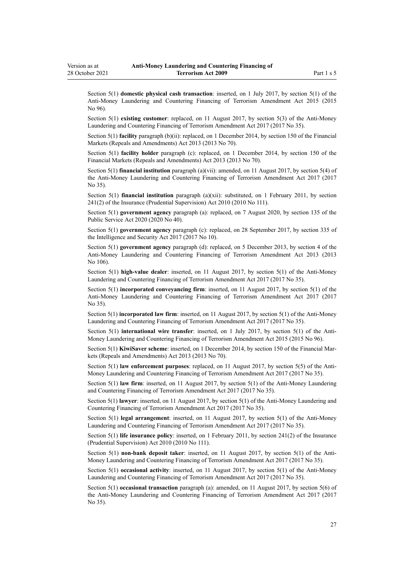Section 5(1) **domestic physical cash transaction**: inserted, on 1 July 2017, by [section 5\(1\)](http://legislation.govt.nz/pdflink.aspx?id=DLM6602209) of the Anti-Money Laundering and Countering Financing of Terrorism Amendment Act 2015 (2015 No 96).

Section 5(1) **existing customer**: replaced, on 11 August 2017, by [section 5\(3\)](http://legislation.govt.nz/pdflink.aspx?id=DLM7161216) of the Anti-Money Laundering and Countering Financing of Terrorism Amendment Act 2017 (2017 No 35).

Section 5(1) **facility** paragraph (b)(ii): replaced, on 1 December 2014, by [section 150](http://legislation.govt.nz/pdflink.aspx?id=DLM5561603) of the Financial Markets (Repeals and Amendments) Act 2013 (2013 No 70).

Section 5(1) **facility holder** paragraph (c): replaced, on 1 December 2014, by [section 150](http://legislation.govt.nz/pdflink.aspx?id=DLM5561603) of the Financial Markets (Repeals and Amendments) Act 2013 (2013 No 70).

Section 5(1) **financial institution** paragraph (a)(vii): amended, on 11 August 2017, by [section 5\(4\)](http://legislation.govt.nz/pdflink.aspx?id=DLM7161216) of the Anti-Money Laundering and Countering Financing of Terrorism Amendment Act 2017 (2017 No 35).

Section 5(1) **financial institution** paragraph (a)(xii): substituted, on 1 February 2011, by [section](http://legislation.govt.nz/pdflink.aspx?id=DLM2478612) [241\(2\)](http://legislation.govt.nz/pdflink.aspx?id=DLM2478612) of the Insurance (Prudential Supervision) Act 2010 (2010 No 111).

Section 5(1) **government agency** paragraph (a): replaced, on 7 August 2020, by [section 135](http://legislation.govt.nz/pdflink.aspx?id=LMS176959) of the Public Service Act 2020 (2020 No 40).

Section 5(1) **government agency** paragraph (c): replaced, on 28 September 2017, by [section 335](http://legislation.govt.nz/pdflink.aspx?id=DLM6921475) of the Intelligence and Security Act 2017 (2017 No 10).

Section 5(1) **government agency** paragraph (d): replaced, on 5 December 2013, by [section 4](http://legislation.govt.nz/pdflink.aspx?id=DLM5621507) of the Anti-Money Laundering and Countering Financing of Terrorism Amendment Act 2013 (2013 No 106).

Section 5(1) **high-value dealer**: inserted, on 11 August 2017, by [section 5\(1\)](http://legislation.govt.nz/pdflink.aspx?id=DLM7161216) of the Anti-Money Laundering and Countering Financing of Terrorism Amendment Act 2017 (2017 No 35).

Section 5(1) **incorporated conveyancing firm**: inserted, on 11 August 2017, by [section 5\(1\)](http://legislation.govt.nz/pdflink.aspx?id=DLM7161216) of the Anti-Money Laundering and Countering Financing of Terrorism Amendment Act 2017 (2017 No 35).

Section 5(1) **incorporated law firm**: inserted, on 11 August 2017, by [section 5\(1\)](http://legislation.govt.nz/pdflink.aspx?id=DLM7161216) of the Anti-Money Laundering and Countering Financing of Terrorism Amendment Act 2017 (2017 No 35).

Section 5(1) **international wire transfer**: inserted, on 1 July 2017, by [section 5\(1\)](http://legislation.govt.nz/pdflink.aspx?id=DLM6602209) of the Anti-Money Laundering and Countering Financing of Terrorism Amendment Act 2015 (2015 No 96).

Section 5(1) **KiwiSaver scheme**: inserted, on 1 December 2014, by [section 150](http://legislation.govt.nz/pdflink.aspx?id=DLM5561603) of the Financial Markets (Repeals and Amendments) Act 2013 (2013 No 70).

Section 5(1) **law enforcement purposes**: replaced, on 11 August 2017, by [section 5\(5\)](http://legislation.govt.nz/pdflink.aspx?id=DLM7161216) of the Anti-Money Laundering and Countering Financing of Terrorism Amendment Act 2017 (2017 No 35).

Section 5(1) **law firm**: inserted, on 11 August 2017, by [section 5\(1\)](http://legislation.govt.nz/pdflink.aspx?id=DLM7161216) of the Anti-Money Laundering and Countering Financing of Terrorism Amendment Act 2017 (2017 No 35).

Section 5(1) **lawyer**: inserted, on 11 August 2017, by [section 5\(1\)](http://legislation.govt.nz/pdflink.aspx?id=DLM7161216) of the Anti-Money Laundering and Countering Financing of Terrorism Amendment Act 2017 (2017 No 35).

Section 5(1) **legal arrangement**: inserted, on 11 August 2017, by [section 5\(1\)](http://legislation.govt.nz/pdflink.aspx?id=DLM7161216) of the Anti-Money Laundering and Countering Financing of Terrorism Amendment Act 2017 (2017 No 35).

Section 5(1) **life insurance policy**: inserted, on 1 February 2011, by [section 241\(2\)](http://legislation.govt.nz/pdflink.aspx?id=DLM2478612) of the Insurance (Prudential Supervision) Act 2010 (2010 No 111).

Section 5(1) **non-bank deposit taker**: inserted, on 11 August 2017, by [section 5\(1\)](http://legislation.govt.nz/pdflink.aspx?id=DLM7161216) of the Anti-Money Laundering and Countering Financing of Terrorism Amendment Act 2017 (2017 No 35).

Section 5(1) **occasional activity**: inserted, on 11 August 2017, by [section 5\(1\)](http://legislation.govt.nz/pdflink.aspx?id=DLM7161216) of the Anti-Money Laundering and Countering Financing of Terrorism Amendment Act 2017 (2017 No 35).

Section 5(1) **occasional transaction** paragraph (a): amended, on 11 August 2017, by [section 5\(6\)](http://legislation.govt.nz/pdflink.aspx?id=DLM7161216) of the Anti-Money Laundering and Countering Financing of Terrorism Amendment Act 2017 (2017 No 35).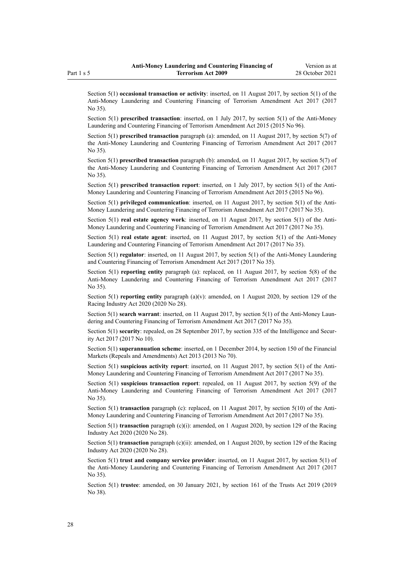Section 5(1) **occasional transaction or activity**: inserted, on 11 August 2017, by [section 5\(1\)](http://legislation.govt.nz/pdflink.aspx?id=DLM7161216) of the Anti-Money Laundering and Countering Financing of Terrorism Amendment Act 2017 (2017 No 35).

Section 5(1) **prescribed transaction**: inserted, on 1 July 2017, by [section 5\(1\)](http://legislation.govt.nz/pdflink.aspx?id=DLM6602209) of the Anti-Money Laundering and Countering Financing of Terrorism Amendment Act 2015 (2015 No 96).

Section 5(1) **prescribed transaction** paragraph (a): amended, on 11 August 2017, by [section 5\(7\)](http://legislation.govt.nz/pdflink.aspx?id=DLM7161216) of the Anti-Money Laundering and Countering Financing of Terrorism Amendment Act 2017 (2017 No 35).

Section 5(1) **prescribed transaction** paragraph (b): amended, on 11 August 2017, by [section 5\(7\)](http://legislation.govt.nz/pdflink.aspx?id=DLM7161216) of the Anti-Money Laundering and Countering Financing of Terrorism Amendment Act 2017 (2017 No 35).

Section 5(1) **prescribed transaction report**: inserted, on 1 July 2017, by [section 5\(1\)](http://legislation.govt.nz/pdflink.aspx?id=DLM6602209) of the Anti-Money Laundering and Countering Financing of Terrorism Amendment Act 2015 (2015 No 96).

Section 5(1) **privileged communication**: inserted, on 11 August 2017, by [section 5\(1\)](http://legislation.govt.nz/pdflink.aspx?id=DLM7161216) of the Anti-Money Laundering and Countering Financing of Terrorism Amendment Act 2017 (2017 No 35).

Section 5(1) **real estate agency work**: inserted, on 11 August 2017, by [section 5\(1\)](http://legislation.govt.nz/pdflink.aspx?id=DLM7161216) of the Anti-Money Laundering and Countering Financing of Terrorism Amendment Act 2017 (2017 No 35).

Section 5(1) **real estate agent**: inserted, on 11 August 2017, by [section 5\(1\)](http://legislation.govt.nz/pdflink.aspx?id=DLM7161216) of the Anti-Money Laundering and Countering Financing of Terrorism Amendment Act 2017 (2017 No 35).

Section 5(1) **regulator**: inserted, on 11 August 2017, by [section 5\(1\)](http://legislation.govt.nz/pdflink.aspx?id=DLM7161216) of the Anti-Money Laundering and Countering Financing of Terrorism Amendment Act 2017 (2017 No 35).

Section 5(1) **reporting entity** paragraph (a): replaced, on 11 August 2017, by [section 5\(8\)](http://legislation.govt.nz/pdflink.aspx?id=DLM7161216) of the Anti-Money Laundering and Countering Financing of Terrorism Amendment Act 2017 (2017 No 35).

Section 5(1) **reporting entity** paragraph (a)(v): amended, on 1 August 2020, by [section 129](http://legislation.govt.nz/pdflink.aspx?id=LMS292230) of the Racing Industry Act 2020 (2020 No 28).

Section 5(1) **search warrant**: inserted, on 11 August 2017, by [section 5\(1\)](http://legislation.govt.nz/pdflink.aspx?id=DLM7161216) of the Anti-Money Laundering and Countering Financing of Terrorism Amendment Act 2017 (2017 No 35).

Section 5(1) **security**: repealed, on 28 September 2017, by [section 335](http://legislation.govt.nz/pdflink.aspx?id=DLM6921475) of the Intelligence and Security Act 2017 (2017 No 10).

Section 5(1) **superannuation scheme**: inserted, on 1 December 2014, by [section 150](http://legislation.govt.nz/pdflink.aspx?id=DLM5561603) of the Financial Markets (Repeals and Amendments) Act 2013 (2013 No 70).

Section 5(1) **suspicious activity report**: inserted, on 11 August 2017, by [section 5\(1\)](http://legislation.govt.nz/pdflink.aspx?id=DLM7161216) of the Anti-Money Laundering and Countering Financing of Terrorism Amendment Act 2017 (2017 No 35).

Section 5(1) **suspicious transaction report**: repealed, on 11 August 2017, by [section 5\(9\)](http://legislation.govt.nz/pdflink.aspx?id=DLM7161216) of the Anti-Money Laundering and Countering Financing of Terrorism Amendment Act 2017 (2017 No 35).

Section 5(1) **transaction** paragraph (c): replaced, on 11 August 2017, by [section 5\(10\)](http://legislation.govt.nz/pdflink.aspx?id=DLM7161216) of the Anti-Money Laundering and Countering Financing of Terrorism Amendment Act 2017 (2017 No 35).

Section 5(1) **transaction** paragraph (c)(i): amended, on 1 August 2020, by [section 129](http://legislation.govt.nz/pdflink.aspx?id=LMS292230) of the Racing Industry Act 2020 (2020 No 28).

Section 5(1) **transaction** paragraph (c)(ii): amended, on 1 August 2020, by [section 129](http://legislation.govt.nz/pdflink.aspx?id=LMS292230) of the Racing Industry Act 2020 (2020 No 28).

Section 5(1) **trust and company service provider**: inserted, on 11 August 2017, by [section 5\(1\)](http://legislation.govt.nz/pdflink.aspx?id=DLM7161216) of the Anti-Money Laundering and Countering Financing of Terrorism Amendment Act 2017 (2017 No 35).

Section 5(1) **trustee**: amended, on 30 January 2021, by [section 161](http://legislation.govt.nz/pdflink.aspx?id=DLM7383110) of the Trusts Act 2019 (2019 No 38).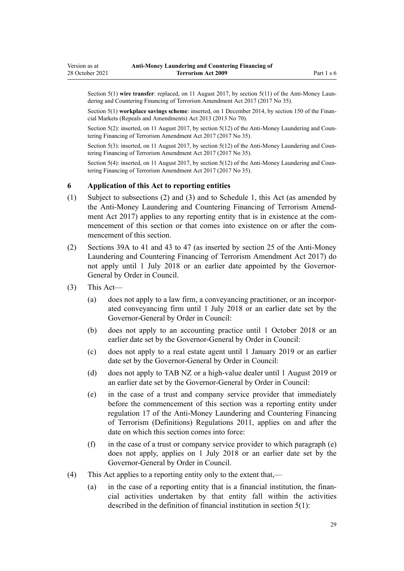<span id="page-28-0"></span>Section 5(1) wire transfer: replaced, on 11 August 2017, by [section 5\(11\)](http://legislation.govt.nz/pdflink.aspx?id=DLM7161216) of the Anti-Money Laundering and Countering Financing of Terrorism Amendment Act 2017 (2017 No 35).

Section 5(1) **workplace savings scheme**: inserted, on 1 December 2014, by [section 150](http://legislation.govt.nz/pdflink.aspx?id=DLM5561603) of the Financial Markets (Repeals and Amendments) Act 2013 (2013 No 70).

Section 5(2): inserted, on 11 August 2017, by [section 5\(12\)](http://legislation.govt.nz/pdflink.aspx?id=DLM7161216) of the Anti-Money Laundering and Countering Financing of Terrorism Amendment Act 2017 (2017 No 35).

Section 5(3): inserted, on 11 August 2017, by [section 5\(12\)](http://legislation.govt.nz/pdflink.aspx?id=DLM7161216) of the Anti-Money Laundering and Countering Financing of Terrorism Amendment Act 2017 (2017 No 35).

Section 5(4): inserted, on 11 August 2017, by [section 5\(12\)](http://legislation.govt.nz/pdflink.aspx?id=DLM7161216) of the Anti-Money Laundering and Countering Financing of Terrorism Amendment Act 2017 (2017 No 35).

#### **6 Application of this Act to reporting entities**

- (1) Subject to subsections (2) and (3) and to [Schedule 1](#page-116-0), this Act (as amended by the [Anti-Money Laundering and Countering Financing of Terrorism Amend‐](http://legislation.govt.nz/pdflink.aspx?id=DLM7161200) [ment Act 2017](http://legislation.govt.nz/pdflink.aspx?id=DLM7161200)) applies to any reporting entity that is in existence at the commencement of this section or that comes into existence on or after the commencement of this section.
- (2) [Sections 39A to 41](#page-50-0) and [43 to 47](#page-52-0) (as inserted by [section 25](http://legislation.govt.nz/pdflink.aspx?id=DLM7161289) of the Anti-Money Laundering and Countering Financing of Terrorism Amendment Act 2017) do not apply until 1 July 2018 or an earlier date appointed by the Governor-General by Order in Council.
- (3) This Act—
	- (a) does not apply to a law firm, a conveyancing practitioner, or an incorpor‐ ated conveyancing firm until 1 July 2018 or an earlier date set by the Governor-General by Order in Council:
	- (b) does not apply to an accounting practice until 1 October 2018 or an earlier date set by the Governor-General by Order in Council:
	- (c) does not apply to a real estate agent until 1 January 2019 or an earlier date set by the Governor-General by Order in Council:
	- (d) does not apply to TAB NZ or a high-value dealer until 1 August 2019 or an earlier date set by the Governor-General by Order in Council:
	- (e) in the case of a trust and company service provider that immediately before the commencement of this section was a reporting entity under [regulation 17](http://legislation.govt.nz/pdflink.aspx?id=DLM3845869) of the Anti-Money Laundering and Countering Financing of Terrorism (Definitions) Regulations 2011, applies on and after the date on which this section comes into force:
	- (f) in the case of a trust or company service provider to which paragraph (e) does not apply, applies on 1 July 2018 or an earlier date set by the Governor-General by Order in Council.
- (4) This Act applies to a reporting entity only to the extent that,—
	- (a) in the case of a reporting entity that is a financial institution, the finan‐ cial activities undertaken by that entity fall within the activities described in the definition of financial institution in [section 5\(1\):](#page-10-0)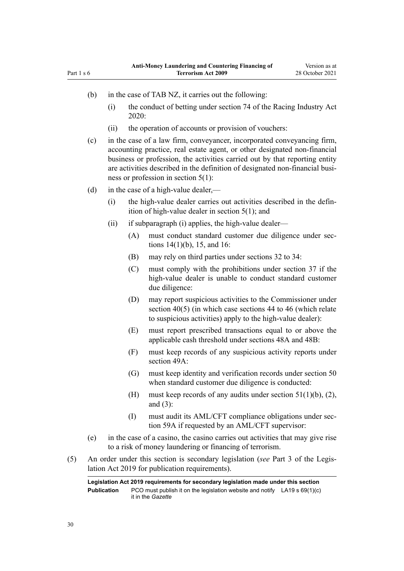- (b) in the case of TAB NZ, it carries out the following:
	- (i) the conduct of betting under [section 74](http://legislation.govt.nz/pdflink.aspx?id=LMS292132) of the Racing Industry Act 2020:
	- (ii) the operation of accounts or provision of vouchers:
- (c) in the case of a law firm, conveyancer, incorporated conveyancing firm, accounting practice, real estate agent, or other designated non-financial business or profession, the activities carried out by that reporting entity are activities described in the definition of designated non-financial business or profession in [section 5\(1\):](#page-10-0)

(d) in the case of a high-value dealer,—

- (i) the high-value dealer carries out activities described in the defin‐ ition of high-value dealer in [section 5\(1\)](#page-10-0); and
- (ii) if subparagraph (i) applies, the high-value dealer—
	- (A) must conduct standard customer due diligence under sec[tions 14\(1\)\(b\),](#page-32-0) [15](#page-33-0), and [16:](#page-33-0)
	- (B) may rely on third parties under [sections 32 to 34:](#page-44-0)
	- (C) must comply with the prohibitions under [section 37](#page-48-0) if the high-value dealer is unable to conduct standard customer due diligence:
	- (D) may report suspicious activities to the Commissioner under [section 40\(5\)](#page-50-0) (in which case [sections 44 to 46](#page-53-0) (which relate to suspicious activities) apply to the high-value dealer):
	- (E) must report prescribed transactions equal to or above the applicable cash threshold under [sections 48A](#page-56-0) and [48B:](#page-57-0)
	- (F) must keep records of any suspicious activity reports under [section 49A](#page-59-0):
	- (G) must keep identity and verification records under [section 50](#page-59-0) when standard customer due diligence is conducted:
	- (H) must keep records of any audits under section  $51(1)(b)$ , (2), [and \(3\)](#page-60-0):
	- (I) must audit its AML/CFT compliance obligations under [sec‐](#page-64-0) [tion 59A](#page-64-0) if requested by an AML/CFT supervisor:
- (e) in the case of a casino, the casino carries out activities that may give rise to a risk of money laundering or financing of terrorism.
- (5) An order under this section is secondary legislation (*see* Part 3 of the Legis‐ lation Act 2019 for publication requirements).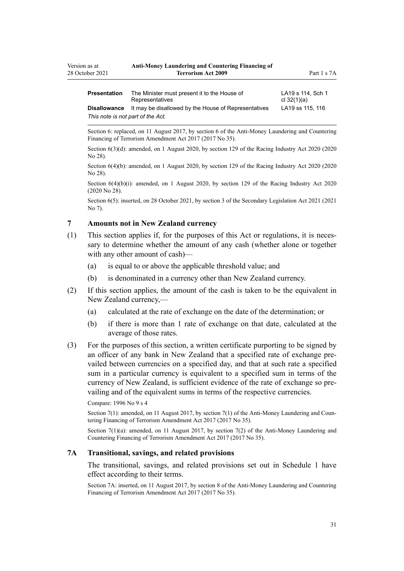<span id="page-30-0"></span>

| <b>Presentation</b>               | The Minister must present it to the House of         | LA19 s 114, Sch 1 |  |
|-----------------------------------|------------------------------------------------------|-------------------|--|
|                                   | Representatives                                      | cl $32(1)(a)$     |  |
| <b>Disallowance</b>               | It may be disallowed by the House of Representatives | LA19 ss 115, 116  |  |
| This note is not part of the Act. |                                                      |                   |  |

Section 6: replaced, on 11 August 2017, by [section 6](http://legislation.govt.nz/pdflink.aspx?id=DLM7161276) of the Anti-Money Laundering and Countering Financing of Terrorism Amendment Act 2017 (2017 No 35).

Section 6(3)(d): amended, on 1 August 2020, by [section 129](http://legislation.govt.nz/pdflink.aspx?id=LMS292230) of the Racing Industry Act 2020 (2020 No 28).

Section 6(4)(b): amended, on 1 August 2020, by [section 129](http://legislation.govt.nz/pdflink.aspx?id=LMS292230) of the Racing Industry Act 2020 (2020 No 28).

Section  $6(4)(b)(i)$ : amended, on 1 August 2020, by [section 129](http://legislation.govt.nz/pdflink.aspx?id=LMS292230) of the Racing Industry Act 2020 (2020 No 28).

Section 6(5): inserted, on 28 October 2021, by [section 3](http://legislation.govt.nz/pdflink.aspx?id=LMS268932) of the Secondary Legislation Act 2021 (2021  $N_0$  7).

## **7 Amounts not in New Zealand currency**

- (1) This section applies if, for the purposes of this Act or regulations, it is neces‐ sary to determine whether the amount of any cash (whether alone or together with any other amount of cash)—
	- (a) is equal to or above the applicable threshold value; and
	- (b) is denominated in a currency other than New Zealand currency.
- (2) If this section applies, the amount of the cash is taken to be the equivalent in New Zealand currency,—
	- (a) calculated at the rate of exchange on the date of the determination; or
	- (b) if there is more than 1 rate of exchange on that date, calculated at the average of those rates.
- (3) For the purposes of this section, a written certificate purporting to be signed by an officer of any bank in New Zealand that a specified rate of exchange pre‐ vailed between currencies on a specified day, and that at such rate a specified sum in a particular currency is equivalent to a specified sum in terms of the currency of New Zealand, is sufficient evidence of the rate of exchange so prevailing and of the equivalent sums in terms of the respective currencies.

#### Compare: 1996 No 9 [s 4](http://legislation.govt.nz/pdflink.aspx?id=DLM373879)

Section 7(1): amended, on 11 August 2017, by [section 7\(1\)](http://legislation.govt.nz/pdflink.aspx?id=DLM7161278) of the Anti-Money Laundering and Countering Financing of Terrorism Amendment Act 2017 (2017 No 35).

Section 7(1)(a): amended, on 11 August 2017, by [section 7\(2\)](http://legislation.govt.nz/pdflink.aspx?id=DLM7161278) of the Anti-Money Laundering and Countering Financing of Terrorism Amendment Act 2017 (2017 No 35).

#### **7A Transitional, savings, and related provisions**

The transitional, savings, and related provisions set out in [Schedule 1](#page-116-0) have effect according to their terms.

Section 7A: inserted, on 11 August 2017, by [section 8](http://legislation.govt.nz/pdflink.aspx?id=DLM7340617) of the Anti-Money Laundering and Countering Financing of Terrorism Amendment Act 2017 (2017 No 35).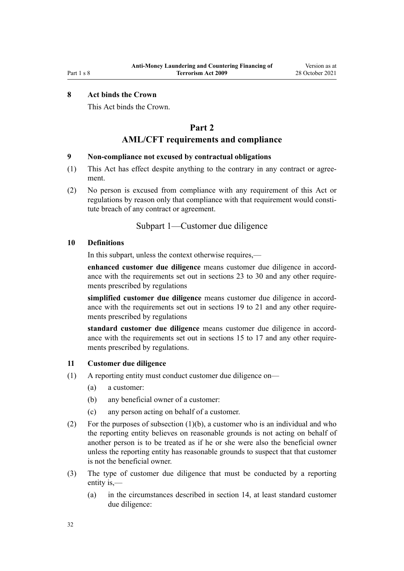## <span id="page-31-0"></span>**8 Act binds the Crown**

This Act binds the Crown.

## **Part 2**

## **AML/CFT requirements and compliance**

#### **9 Non-compliance not excused by contractual obligations**

- (1) This Act has effect despite anything to the contrary in any contract or agree‐ ment.
- (2) No person is excused from compliance with any requirement of this Act or regulations by reason only that compliance with that requirement would constitute breach of any contract or agreement.

## Subpart 1—Customer due diligence

### **10 Definitions**

In this subpart, unless the context otherwise requires,—

**enhanced customer due diligence** means customer due diligence in accord‐ ance with the requirements set out in [sections 23 to 30](#page-39-0) and any other requirements prescribed by regulations

simplified customer due diligence means customer due diligence in accordance with the requirements set out in [sections 19 to 21](#page-36-0) and any other requirements prescribed by regulations

**standard customer due diligence** means customer due diligence in accord‐ ance with the requirements set out in [sections 15 to 17](#page-33-0) and any other requirements prescribed by regulations.

#### **11 Customer due diligence**

- (1) A reporting entity must conduct customer due diligence on—
	- (a) a customer:
	- (b) any beneficial owner of a customer:
	- (c) any person acting on behalf of a customer.
- (2) For the purposes of subsection (1)(b), a customer who is an individual and who the reporting entity believes on reasonable grounds is not acting on behalf of another person is to be treated as if he or she were also the beneficial owner unless the reporting entity has reasonable grounds to suspect that that customer is not the beneficial owner.
- (3) The type of customer due diligence that must be conducted by a reporting entity is,—
	- (a) in the circumstances described in [section 14](#page-32-0), at least standard customer due diligence: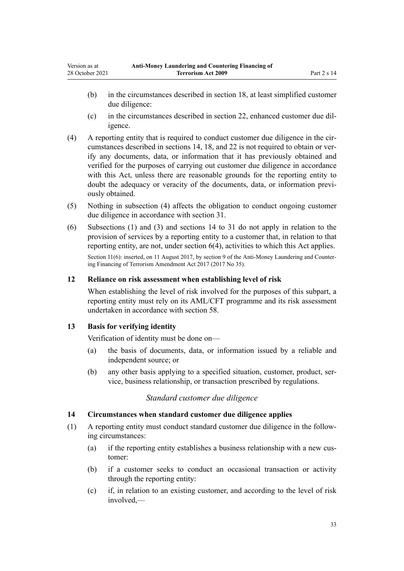- <span id="page-32-0"></span>(b) in the circumstances described in [section 18,](#page-34-0) at least simplified customer due diligence:
- (c) in the circumstances described in [section 22,](#page-37-0) enhanced customer due dil‐ igence.
- $(4)$  A reporting entity that is required to conduct customer due diligence in the cir-cumstances described in sections 14, [18,](#page-34-0) and [22](#page-37-0) is not required to obtain or verify any documents, data, or information that it has previously obtained and verified for the purposes of carrying out customer due diligence in accordance with this Act, unless there are reasonable grounds for the reporting entity to doubt the adequacy or veracity of the documents, data, or information previously obtained.
- (5) Nothing in subsection (4) affects the obligation to conduct ongoing customer due diligence in accordance with [section 31](#page-44-0).
- (6) Subsections (1) and (3) and sections 14 to 31 do not apply in relation to the provision of services by a reporting entity to a customer that, in relation to that reporting entity, are not, under [section 6\(4\)](#page-28-0), activities to which this Act applies. Section 11(6): inserted, on 11 August 2017, by [section 9](http://legislation.govt.nz/pdflink.aspx?id=DLM7340619) of the Anti-Money Laundering and Countering Financing of Terrorism Amendment Act 2017 (2017 No 35).

## **12 Reliance on risk assessment when establishing level of risk**

When establishing the level of risk involved for the purposes of this subpart, a reporting entity must rely on its AML/CFT programme and its risk assessment undertaken in accordance with [section 58.](#page-63-0)

## **13 Basis for verifying identity**

Verification of identity must be done on—

- (a) the basis of documents, data, or information issued by a reliable and independent source; or
- (b) any other basis applying to a specified situation, customer, product, ser‐ vice, business relationship, or transaction prescribed by regulations.

## *Standard customer due diligence*

## **14 Circumstances when standard customer due diligence applies**

- (1) A reporting entity must conduct standard customer due diligence in the follow‐ ing circumstances:
	- (a) if the reporting entity establishes a business relationship with a new customer:
	- (b) if a customer seeks to conduct an occasional transaction or activity through the reporting entity:
	- (c) if, in relation to an existing customer, and according to the level of risk involved,—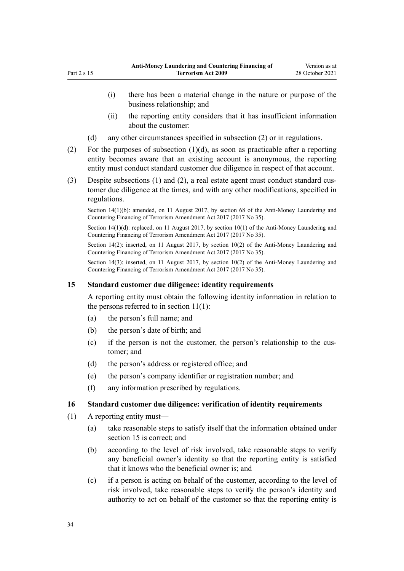- <span id="page-33-0"></span>(i) there has been a material change in the nature or purpose of the business relationship; and
- (ii) the reporting entity considers that it has insufficient information about the customer:
- (d) any other circumstances specified in subsection (2) or in regulations.
- (2) For the purposes of subsection  $(1)(d)$ , as soon as practicable after a reporting entity becomes aware that an existing account is anonymous, the reporting entity must conduct standard customer due diligence in respect of that account.
- (3) Despite subsections (1) and (2), a real estate agent must conduct standard customer due diligence at the times, and with any other modifications, specified in regulations.

Section 14(1)(b): amended, on 11 August 2017, by [section 68](http://legislation.govt.nz/pdflink.aspx?id=DLM7340644) of the Anti-Money Laundering and Countering Financing of Terrorism Amendment Act 2017 (2017 No 35).

Section 14(1)(d): replaced, on 11 August 2017, by [section 10\(1\)](http://legislation.govt.nz/pdflink.aspx?id=DLM7161279) of the Anti-Money Laundering and Countering Financing of Terrorism Amendment Act 2017 (2017 No 35).

Section 14(2): inserted, on 11 August 2017, by [section 10\(2\)](http://legislation.govt.nz/pdflink.aspx?id=DLM7161279) of the Anti-Money Laundering and Countering Financing of Terrorism Amendment Act 2017 (2017 No 35).

Section 14(3): inserted, on 11 August 2017, by [section 10\(2\)](http://legislation.govt.nz/pdflink.aspx?id=DLM7161279) of the Anti-Money Laundering and Countering Financing of Terrorism Amendment Act 2017 (2017 No 35).

### **15 Standard customer due diligence: identity requirements**

A reporting entity must obtain the following identity information in relation to the persons referred to in section  $11(1)$ :

- (a) the person's full name; and
- (b) the person's date of birth; and
- (c) if the person is not the customer, the person's relationship to the customer; and
- (d) the person's address or registered office; and
- (e) the person's company identifier or registration number; and
- (f) any information prescribed by regulations.

#### **16 Standard customer due diligence: verification of identity requirements**

- (1) A reporting entity must—
	- (a) take reasonable steps to satisfy itself that the information obtained under section 15 is correct; and
	- (b) according to the level of risk involved, take reasonable steps to verify any beneficial owner's identity so that the reporting entity is satisfied that it knows who the beneficial owner is; and
	- (c) if a person is acting on behalf of the customer, according to the level of risk involved, take reasonable steps to verify the person's identity and authority to act on behalf of the customer so that the reporting entity is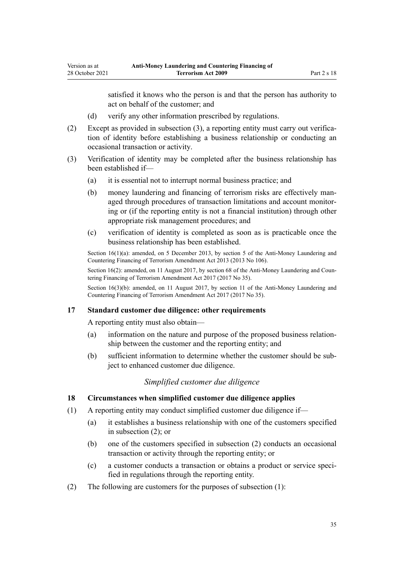<span id="page-34-0"></span>satisfied it knows who the person is and that the person has authority to act on behalf of the customer; and

- (d) verify any other information prescribed by regulations.
- (2) Except as provided in subsection (3), a reporting entity must carry out verifica‐ tion of identity before establishing a business relationship or conducting an occasional transaction or activity.
- (3) Verification of identity may be completed after the business relationship has been established if—
	- (a) it is essential not to interrupt normal business practice; and
	- (b) money laundering and financing of terrorism risks are effectively managed through procedures of transaction limitations and account monitor‐ ing or (if the reporting entity is not a financial institution) through other appropriate risk management procedures; and
	- (c) verification of identity is completed as soon as is practicable once the business relationship has been established.

Section 16(1)(a): amended, on 5 December 2013, by [section 5](http://legislation.govt.nz/pdflink.aspx?id=DLM5621509) of the Anti-Money Laundering and Countering Financing of Terrorism Amendment Act 2013 (2013 No 106).

Section 16(2): amended, on 11 August 2017, by [section 68](http://legislation.govt.nz/pdflink.aspx?id=DLM7340644) of the Anti-Money Laundering and Countering Financing of Terrorism Amendment Act 2017 (2017 No 35).

Section 16(3)(b): amended, on 11 August 2017, by [section 11](http://legislation.govt.nz/pdflink.aspx?id=DLM7340620) of the Anti-Money Laundering and Countering Financing of Terrorism Amendment Act 2017 (2017 No 35).

## **17 Standard customer due diligence: other requirements**

A reporting entity must also obtain—

- (a) information on the nature and purpose of the proposed business relation‐ ship between the customer and the reporting entity; and
- (b) sufficient information to determine whether the customer should be sub‐ ject to enhanced customer due diligence.

### *Simplified customer due diligence*

#### **18 Circumstances when simplified customer due diligence applies**

- (1) A reporting entity may conduct simplified customer due diligence if—
	- (a) it establishes a business relationship with one of the customers specified in subsection (2); or
	- (b) one of the customers specified in subsection (2) conducts an occasional transaction or activity through the reporting entity; or
	- (c) a customer conducts a transaction or obtains a product or service speci‐ fied in regulations through the reporting entity.
- (2) The following are customers for the purposes of subsection (1):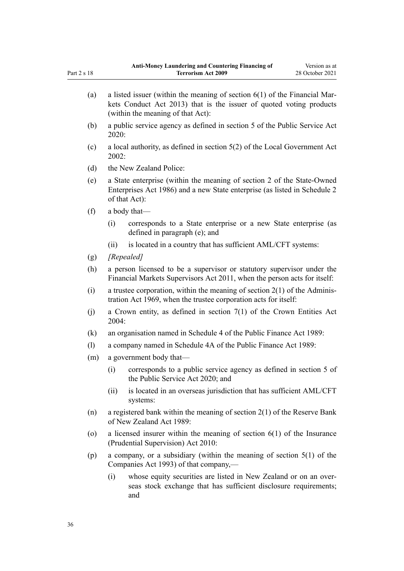| (a)     | a listed issuer (within the meaning of section $6(1)$ of the Financial Mar-<br>kets Conduct Act 2013) that is the issuer of quoted voting products<br>(within the meaning of that Act): |
|---------|-----------------------------------------------------------------------------------------------------------------------------------------------------------------------------------------|
| (b)     | a public service agency as defined in section 5 of the Public Service Act<br>2020:                                                                                                      |
| (c)     | a local authority, as defined in section $5(2)$ of the Local Government Act<br>2002:                                                                                                    |
| (d)     | the New Zealand Police:                                                                                                                                                                 |
| (e)     | a State enterprise (within the meaning of section 2 of the State-Owned<br>Enterprises Act 1986) and a new State enterprise (as listed in Schedule 2<br>of that Act):                    |
| (f)     | a body that—                                                                                                                                                                            |
|         | corresponds to a State enterprise or a new State enterprise (as<br>(i)<br>defined in paragraph (e); and                                                                                 |
|         | is located in a country that has sufficient AML/CFT systems:<br>(ii)                                                                                                                    |
| (g)     | [Repealed]                                                                                                                                                                              |
| (h)     | a person licensed to be a supervisor or statutory supervisor under the<br>Financial Markets Supervisors Act 2011, when the person acts for itself:                                      |
| (i)     | a trustee corporation, within the meaning of section $2(1)$ of the Adminis-<br>tration Act 1969, when the trustee corporation acts for itself:                                          |
| (j)     | a Crown entity, as defined in section $7(1)$ of the Crown Entities Act<br>2004:                                                                                                         |
| (k)     | an organisation named in Schedule 4 of the Public Finance Act 1989:                                                                                                                     |
| (1)     | a company named in Schedule 4A of the Public Finance Act 1989:                                                                                                                          |
| (m)     | a government body that—                                                                                                                                                                 |
|         | corresponds to a public service agency as defined in section 5 of<br>(i)<br>the Public Service Act 2020; and                                                                            |
|         | is located in an overseas jurisdiction that has sufficient AML/CFT<br>(ii)<br>systems:                                                                                                  |
| (n)     | a registered bank within the meaning of section $2(1)$ of the Reserve Bank<br>of New Zealand Act 1989:                                                                                  |
| $\circ$ | a licensed insurer within the meaning of section $6(1)$ of the Insurance<br>(Prudential Supervision) Act 2010:                                                                          |
| (p)     | a company, or a subsidiary (within the meaning of section $5(1)$ of the<br>Companies Act 1993) of that company,—                                                                        |
|         |                                                                                                                                                                                         |

(i) whose equity securities are listed in New Zealand or on an over‐ seas stock exchange that has sufficient disclosure requirements; and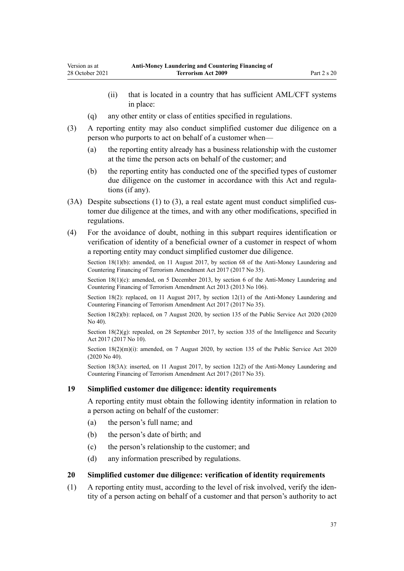- <span id="page-36-0"></span>(ii) that is located in a country that has sufficient AML/CFT systems in place:
- (q) any other entity or class of entities specified in regulations.
- (3) A reporting entity may also conduct simplified customer due diligence on a person who purports to act on behalf of a customer when—
	- (a) the reporting entity already has a business relationship with the customer at the time the person acts on behalf of the customer; and
	- (b) the reporting entity has conducted one of the specified types of customer due diligence on the customer in accordance with this Act and regulations (if any).
- $(3A)$  Despite subsections  $(1)$  to  $(3)$ , a real estate agent must conduct simplified customer due diligence at the times, and with any other modifications, specified in regulations.
- (4) For the avoidance of doubt, nothing in this subpart requires identification or verification of identity of a beneficial owner of a customer in respect of whom a reporting entity may conduct simplified customer due diligence.

Section 18(1)(b): amended, on 11 August 2017, by [section 68](http://legislation.govt.nz/pdflink.aspx?id=DLM7340644) of the Anti-Money Laundering and Countering Financing of Terrorism Amendment Act 2017 (2017 No 35).

Section 18(1)(c): amended, on 5 December 2013, by [section 6](http://legislation.govt.nz/pdflink.aspx?id=DLM5621510) of the Anti-Money Laundering and Countering Financing of Terrorism Amendment Act 2013 (2013 No 106).

Section 18(2): replaced, on 11 August 2017, by [section 12\(1\)](http://legislation.govt.nz/pdflink.aspx?id=DLM7161280) of the Anti-Money Laundering and Countering Financing of Terrorism Amendment Act 2017 (2017 No 35).

Section 18(2)(b): replaced, on 7 August 2020, by [section 135](http://legislation.govt.nz/pdflink.aspx?id=LMS176959) of the Public Service Act 2020 (2020 No 40).

Section  $18(2)(g)$ : repealed, on 28 September 2017, by [section 335](http://legislation.govt.nz/pdflink.aspx?id=DLM6921475) of the Intelligence and Security Act 2017 (2017 No 10).

Section  $18(2)(m)(i)$ : amended, on 7 August 2020, by [section 135](http://legislation.govt.nz/pdflink.aspx?id=LMS176959) of the Public Service Act 2020 (2020 No 40).

Section 18(3A): inserted, on 11 August 2017, by [section 12\(2\)](http://legislation.govt.nz/pdflink.aspx?id=DLM7161280) of the Anti-Money Laundering and Countering Financing of Terrorism Amendment Act 2017 (2017 No 35).

### **19 Simplified customer due diligence: identity requirements**

A reporting entity must obtain the following identity information in relation to a person acting on behalf of the customer:

- (a) the person's full name; and
- (b) the person's date of birth; and
- (c) the person's relationship to the customer; and
- (d) any information prescribed by regulations.

### **20 Simplified customer due diligence: verification of identity requirements**

 $(1)$  A reporting entity must, according to the level of risk involved, verify the identity of a person acting on behalf of a customer and that person's authority to act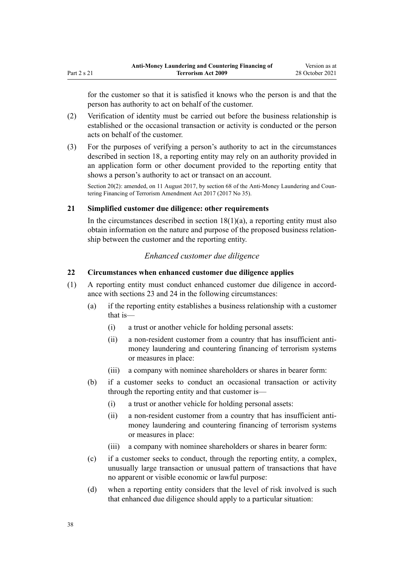<span id="page-37-0"></span>for the customer so that it is satisfied it knows who the person is and that the person has authority to act on behalf of the customer.

- (2) Verification of identity must be carried out before the business relationship is established or the occasional transaction or activity is conducted or the person acts on behalf of the customer.
- (3) For the purposes of verifying a person's authority to act in the circumstances described in [section 18,](#page-34-0) a reporting entity may rely on an authority provided in an application form or other document provided to the reporting entity that shows a person's authority to act or transact on an account.

Section 20(2): amended, on 11 August 2017, by [section 68](http://legislation.govt.nz/pdflink.aspx?id=DLM7340644) of the Anti-Money Laundering and Countering Financing of Terrorism Amendment Act 2017 (2017 No 35).

### **21 Simplified customer due diligence: other requirements**

In the circumstances described in section  $18(1)(a)$ , a reporting entity must also obtain information on the nature and purpose of the proposed business relation‐ ship between the customer and the reporting entity.

## *Enhanced customer due diligence*

### **22 Circumstances when enhanced customer due diligence applies**

- (1) A reporting entity must conduct enhanced customer due diligence in accord‐ ance with [sections 23](#page-39-0) and [24](#page-39-0) in the following circumstances:
	- (a) if the reporting entity establishes a business relationship with a customer that is—
		- (i) a trust or another vehicle for holding personal assets:
		- (ii) a non-resident customer from a country that has insufficient antimoney laundering and countering financing of terrorism systems or measures in place:
		- (iii) a company with nominee shareholders or shares in bearer form:
	- (b) if a customer seeks to conduct an occasional transaction or activity through the reporting entity and that customer is—
		- (i) a trust or another vehicle for holding personal assets:
		- (ii) a non-resident customer from a country that has insufficient antimoney laundering and countering financing of terrorism systems or measures in place:
		- (iii) a company with nominee shareholders or shares in bearer form:
	- (c) if a customer seeks to conduct, through the reporting entity, a complex, unusually large transaction or unusual pattern of transactions that have no apparent or visible economic or lawful purpose:
	- (d) when a reporting entity considers that the level of risk involved is such that enhanced due diligence should apply to a particular situation: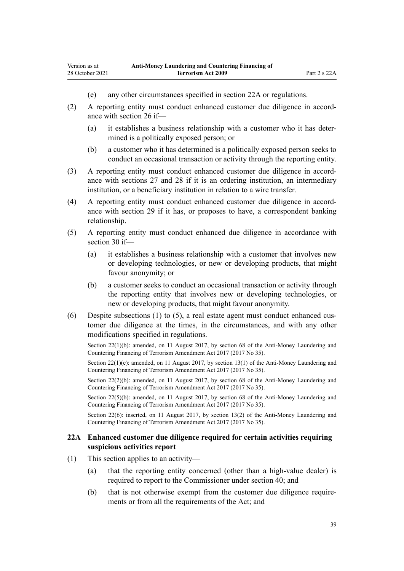- (e) any other circumstances specified in section 22A or regulations.
- (2) A reporting entity must conduct enhanced customer due diligence in accord‐ ance with [section 26](#page-40-0) if—
	- (a) it establishes a business relationship with a customer who it has deter‐ mined is a politically exposed person; or
	- (b) a customer who it has determined is a politically exposed person seeks to conduct an occasional transaction or activity through the reporting entity.
- (3) A reporting entity must conduct enhanced customer due diligence in accord‐ ance with [sections 27](#page-41-0) and [28](#page-42-0) if it is an ordering institution, an intermediary institution, or a beneficiary institution in relation to a wire transfer.
- (4) A reporting entity must conduct enhanced customer due diligence in accord‐ ance with [section 29](#page-42-0) if it has, or proposes to have, a correspondent banking relationship.
- (5) A reporting entity must conduct enhanced due diligence in accordance with [section 30](#page-43-0) if—
	- (a) it establishes a business relationship with a customer that involves new or developing technologies, or new or developing products, that might favour anonymity; or
	- (b) a customer seeks to conduct an occasional transaction or activity through the reporting entity that involves new or developing technologies, or new or developing products, that might favour anonymity.
- (6) Despite subsections (1) to (5), a real estate agent must conduct enhanced customer due diligence at the times, in the circumstances, and with any other modifications specified in regulations.

Section 22(1)(b): amended, on 11 August 2017, by [section 68](http://legislation.govt.nz/pdflink.aspx?id=DLM7340644) of the Anti-Money Laundering and Countering Financing of Terrorism Amendment Act 2017 (2017 No 35).

Section 22(1)(e): amended, on 11 August 2017, by [section 13\(1\)](http://legislation.govt.nz/pdflink.aspx?id=DLM7161281) of the Anti-Money Laundering and Countering Financing of Terrorism Amendment Act 2017 (2017 No 35).

Section 22(2)(b): amended, on 11 August 2017, by [section 68](http://legislation.govt.nz/pdflink.aspx?id=DLM7340644) of the Anti-Money Laundering and Countering Financing of Terrorism Amendment Act 2017 (2017 No 35).

Section 22(5)(b): amended, on 11 August 2017, by [section 68](http://legislation.govt.nz/pdflink.aspx?id=DLM7340644) of the Anti-Money Laundering and Countering Financing of Terrorism Amendment Act 2017 (2017 No 35).

Section 22(6): inserted, on 11 August 2017, by [section 13\(2\)](http://legislation.govt.nz/pdflink.aspx?id=DLM7161281) of the Anti-Money Laundering and Countering Financing of Terrorism Amendment Act 2017 (2017 No 35).

### **22A Enhanced customer due diligence required for certain activities requiring suspicious activities report**

- (1) This section applies to an activity—
	- (a) that the reporting entity concerned (other than a high-value dealer) is required to report to the Commissioner under [section 40](#page-50-0); and
	- (b) that is not otherwise exempt from the customer due diligence requirements or from all the requirements of the Act; and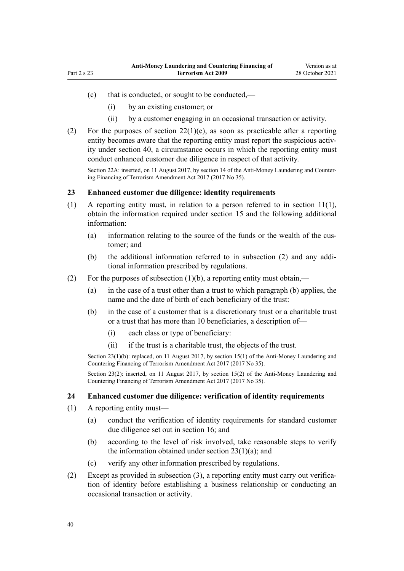- <span id="page-39-0"></span>(c) that is conducted, or sought to be conducted,—
	- (i) by an existing customer; or
	- (ii) by a customer engaging in an occasional transaction or activity.
- (2) For the purposes of [section 22\(1\)\(e\)](#page-37-0), as soon as practicable after a reporting entity becomes aware that the reporting entity must report the suspicious activity under [section 40,](#page-50-0) a circumstance occurs in which the reporting entity must conduct enhanced customer due diligence in respect of that activity.

Section 22A: inserted, on 11 August 2017, by [section 14](http://legislation.govt.nz/pdflink.aspx?id=DLM7340621) of the Anti-Money Laundering and Countering Financing of Terrorism Amendment Act 2017 (2017 No 35).

### **23 Enhanced customer due diligence: identity requirements**

- (1) A reporting entity must, in relation to a person referred to in [section 11\(1\)](#page-31-0), obtain the information required under [section 15](#page-33-0) and the following additional information:
	- (a) information relating to the source of the funds or the wealth of the cus‐ tomer; and
	- (b) the additional information referred to in subsection (2) and any addi‐ tional information prescribed by regulations.
- (2) For the purposes of subsection  $(1)(b)$ , a reporting entity must obtain,—
	- (a) in the case of a trust other than a trust to which paragraph (b) applies, the name and the date of birth of each beneficiary of the trust:
	- (b) in the case of a customer that is a discretionary trust or a charitable trust or a trust that has more than 10 beneficiaries, a description of—
		- (i) each class or type of beneficiary:
		- (ii) if the trust is a charitable trust, the objects of the trust.

Section 23(1)(b): replaced, on 11 August 2017, by [section 15\(1\)](http://legislation.govt.nz/pdflink.aspx?id=DLM7161282) of the Anti-Money Laundering and Countering Financing of Terrorism Amendment Act 2017 (2017 No 35).

Section 23(2): inserted, on 11 August 2017, by [section 15\(2\)](http://legislation.govt.nz/pdflink.aspx?id=DLM7161282) of the Anti-Money Laundering and Countering Financing of Terrorism Amendment Act 2017 (2017 No 35).

### **24 Enhanced customer due diligence: verification of identity requirements**

- (1) A reporting entity must—
	- (a) conduct the verification of identity requirements for standard customer due diligence set out in [section 16;](#page-33-0) and
	- (b) according to the level of risk involved, take reasonable steps to verify the information obtained under section  $23(1)(a)$ ; and
	- (c) verify any other information prescribed by regulations.
- (2) Except as provided in subsection (3), a reporting entity must carry out verifica‐ tion of identity before establishing a business relationship or conducting an occasional transaction or activity.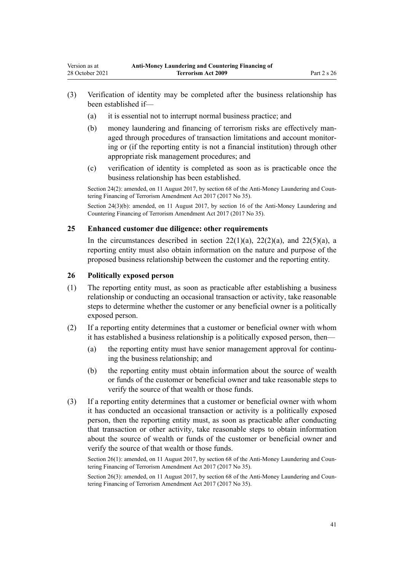- <span id="page-40-0"></span>(3) Verification of identity may be completed after the business relationship has been established if—
	- (a) it is essential not to interrupt normal business practice; and
	- (b) money laundering and financing of terrorism risks are effectively managed through procedures of transaction limitations and account monitor‐ ing or (if the reporting entity is not a financial institution) through other appropriate risk management procedures; and
	- (c) verification of identity is completed as soon as is practicable once the business relationship has been established.

Section 24(2): amended, on 11 August 2017, by [section 68](http://legislation.govt.nz/pdflink.aspx?id=DLM7340644) of the Anti-Money Laundering and Countering Financing of Terrorism Amendment Act 2017 (2017 No 35).

Section 24(3)(b): amended, on 11 August 2017, by [section 16](http://legislation.govt.nz/pdflink.aspx?id=DLM7340623) of the Anti-Money Laundering and Countering Financing of Terrorism Amendment Act 2017 (2017 No 35).

### **25 Enhanced customer due diligence: other requirements**

In the circumstances described in section  $22(1)(a)$ ,  $22(2)(a)$ , and  $22(5)(a)$ , a reporting entity must also obtain information on the nature and purpose of the proposed business relationship between the customer and the reporting entity.

#### **26 Politically exposed person**

- (1) The reporting entity must, as soon as practicable after establishing a business relationship or conducting an occasional transaction or activity, take reasonable steps to determine whether the customer or any beneficial owner is a politically exposed person.
- (2) If a reporting entity determines that a customer or beneficial owner with whom it has established a business relationship is a politically exposed person, then—
	- (a) the reporting entity must have senior management approval for continuing the business relationship; and
	- (b) the reporting entity must obtain information about the source of wealth or funds of the customer or beneficial owner and take reasonable steps to verify the source of that wealth or those funds.
- (3) If a reporting entity determines that a customer or beneficial owner with whom it has conducted an occasional transaction or activity is a politically exposed person, then the reporting entity must, as soon as practicable after conducting that transaction or other activity, take reasonable steps to obtain information about the source of wealth or funds of the customer or beneficial owner and verify the source of that wealth or those funds.

Section 26(1): amended, on 11 August 2017, by [section 68](http://legislation.govt.nz/pdflink.aspx?id=DLM7340644) of the Anti-Money Laundering and Countering Financing of Terrorism Amendment Act 2017 (2017 No 35).

Section 26(3): amended, on 11 August 2017, by [section 68](http://legislation.govt.nz/pdflink.aspx?id=DLM7340644) of the Anti-Money Laundering and Countering Financing of Terrorism Amendment Act 2017 (2017 No 35).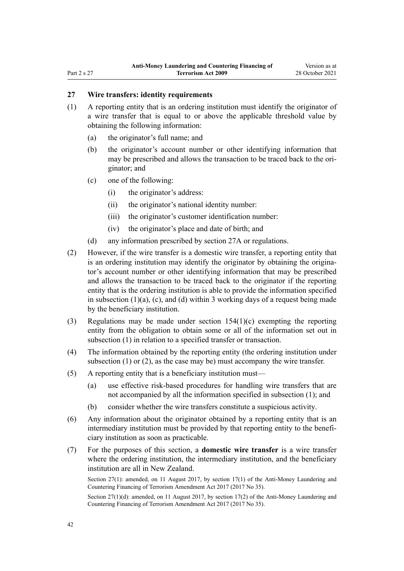# <span id="page-41-0"></span>**27 Wire transfers: identity requirements**

- (1) A reporting entity that is an ordering institution must identify the originator of a wire transfer that is equal to or above the applicable threshold value by obtaining the following information:
	- (a) the originator's full name; and
	- (b) the originator's account number or other identifying information that may be prescribed and allows the transaction to be traced back to the originator; and
	- (c) one of the following:
		- (i) the originator's address:
		- (ii) the originator's national identity number:
		- (iii) the originator's customer identification number:
		- (iv) the originator's place and date of birth; and
	- (d) any information prescribed by [section 27A](#page-42-0) or regulations.
- (2) However, if the wire transfer is a domestic wire transfer, a reporting entity that is an ordering institution may identify the originator by obtaining the originator's account number or other identifying information that may be prescribed and allows the transaction to be traced back to the originator if the reporting entity that is the ordering institution is able to provide the information specified in subsection (1)(a), (c), and (d) within 3 working days of a request being made by the beneficiary institution.
- (3) Regulations may be made under [section 154\(1\)\(c\)](#page-108-0) exempting the reporting entity from the obligation to obtain some or all of the information set out in subsection (1) in relation to a specified transfer or transaction.
- (4) The information obtained by the reporting entity (the ordering institution under subsection (1) or (2), as the case may be) must accompany the wire transfer.
- (5) A reporting entity that is a beneficiary institution must—
	- (a) use effective risk-based procedures for handling wire transfers that are not accompanied by all the information specified in subsection (1); and
	- (b) consider whether the wire transfers constitute a suspicious activity.
- (6) Any information about the originator obtained by a reporting entity that is an intermediary institution must be provided by that reporting entity to the beneficiary institution as soon as practicable.
- (7) For the purposes of this section, a **domestic wire transfer** is a wire transfer where the ordering institution, the intermediary institution, and the beneficiary institution are all in New Zealand.

Section 27(1): amended, on 11 August 2017, by [section 17\(1\)](http://legislation.govt.nz/pdflink.aspx?id=DLM7161283) of the Anti-Money Laundering and Countering Financing of Terrorism Amendment Act 2017 (2017 No 35).

Section 27(1)(d): amended, on 11 August 2017, by [section 17\(2\)](http://legislation.govt.nz/pdflink.aspx?id=DLM7161283) of the Anti-Money Laundering and Countering Financing of Terrorism Amendment Act 2017 (2017 No 35).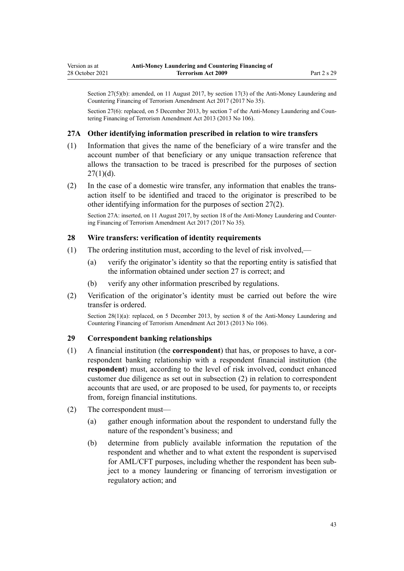<span id="page-42-0"></span>Section 27(5)(b): amended, on 11 August 2017, by [section 17\(3\)](http://legislation.govt.nz/pdflink.aspx?id=DLM7161283) of the Anti-Money Laundering and Countering Financing of Terrorism Amendment Act 2017 (2017 No 35).

Section 27(6): replaced, on 5 December 2013, by [section 7](http://legislation.govt.nz/pdflink.aspx?id=DLM5621511) of the Anti-Money Laundering and Countering Financing of Terrorism Amendment Act 2013 (2013 No 106).

### **27A Other identifying information prescribed in relation to wire transfers**

- (1) Information that gives the name of the beneficiary of a wire transfer and the account number of that beneficiary or any unique transaction reference that allows the transaction to be traced is prescribed for the purposes of [section](#page-41-0)  $27(1)(d)$ .
- (2) In the case of a domestic wire transfer, any information that enables the trans‐ action itself to be identified and traced to the originator is prescribed to be other identifying information for the purposes of [section 27\(2\)](#page-41-0).

Section 27A: inserted, on 11 August 2017, by [section 18](http://legislation.govt.nz/pdflink.aspx?id=DLM7340624) of the Anti-Money Laundering and Countering Financing of Terrorism Amendment Act 2017 (2017 No 35).

#### **28 Wire transfers: verification of identity requirements**

- (1) The ordering institution must, according to the level of risk involved,—
	- (a) verify the originator's identity so that the reporting entity is satisfied that the information obtained under [section 27](#page-41-0) is correct; and
	- (b) verify any other information prescribed by regulations.
- (2) Verification of the originator's identity must be carried out before the wire transfer is ordered.

Section 28(1)(a): replaced, on 5 December 2013, by [section 8](http://legislation.govt.nz/pdflink.aspx?id=DLM5621512) of the Anti-Money Laundering and Countering Financing of Terrorism Amendment Act 2013 (2013 No 106).

### **29 Correspondent banking relationships**

- (1) A financial institution (the **correspondent**) that has, or proposes to have, a cor‐ respondent banking relationship with a respondent financial institution (the **respondent**) must, according to the level of risk involved, conduct enhanced customer due diligence as set out in subsection (2) in relation to correspondent accounts that are used, or are proposed to be used, for payments to, or receipts from, foreign financial institutions.
- (2) The correspondent must—
	- (a) gather enough information about the respondent to understand fully the nature of the respondent's business; and
	- (b) determine from publicly available information the reputation of the respondent and whether and to what extent the respondent is supervised for AML/CFT purposes, including whether the respondent has been subject to a money laundering or financing of terrorism investigation or regulatory action; and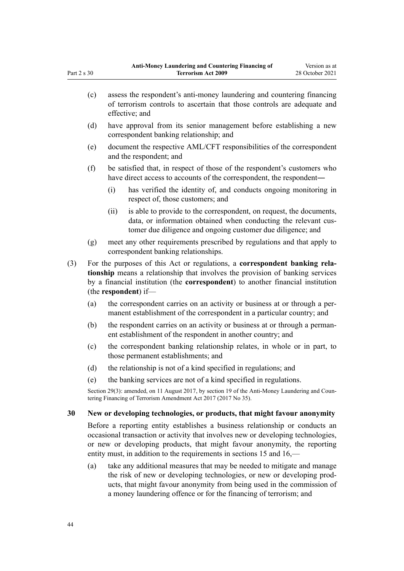|     | (c)                                                                                                                                                               |                                                                                                                                                                                                                                                                                                                       | assess the respondent's anti-money laundering and countering financing<br>of terrorism controls to ascertain that those controls are adequate and<br>effective; and                                                                                                                             |  |  |  |
|-----|-------------------------------------------------------------------------------------------------------------------------------------------------------------------|-----------------------------------------------------------------------------------------------------------------------------------------------------------------------------------------------------------------------------------------------------------------------------------------------------------------------|-------------------------------------------------------------------------------------------------------------------------------------------------------------------------------------------------------------------------------------------------------------------------------------------------|--|--|--|
|     | (d)                                                                                                                                                               | have approval from its senior management before establishing a new<br>correspondent banking relationship; and                                                                                                                                                                                                         |                                                                                                                                                                                                                                                                                                 |  |  |  |
|     | (e)                                                                                                                                                               | document the respective AML/CFT responsibilities of the correspondent<br>and the respondent; and                                                                                                                                                                                                                      |                                                                                                                                                                                                                                                                                                 |  |  |  |
|     | (f)                                                                                                                                                               |                                                                                                                                                                                                                                                                                                                       | be satisfied that, in respect of those of the respondent's customers who<br>have direct access to accounts of the correspondent, the respondent-                                                                                                                                                |  |  |  |
|     |                                                                                                                                                                   | (i)                                                                                                                                                                                                                                                                                                                   | has verified the identity of, and conducts ongoing monitoring in<br>respect of, those customers; and                                                                                                                                                                                            |  |  |  |
|     |                                                                                                                                                                   | (ii)                                                                                                                                                                                                                                                                                                                  | is able to provide to the correspondent, on request, the documents,<br>data, or information obtained when conducting the relevant cus-<br>tomer due diligence and ongoing customer due diligence; and                                                                                           |  |  |  |
|     | (g)                                                                                                                                                               |                                                                                                                                                                                                                                                                                                                       | meet any other requirements prescribed by regulations and that apply to<br>correspondent banking relationships.                                                                                                                                                                                 |  |  |  |
| (3) |                                                                                                                                                                   | For the purposes of this Act or regulations, a correspondent banking rela-<br>tionship means a relationship that involves the provision of banking services<br>by a financial institution (the correspondent) to another financial institution<br>(the respondent) if—                                                |                                                                                                                                                                                                                                                                                                 |  |  |  |
|     | (a)                                                                                                                                                               |                                                                                                                                                                                                                                                                                                                       | the correspondent carries on an activity or business at or through a per-<br>manent establishment of the correspondent in a particular country; and                                                                                                                                             |  |  |  |
|     | (b)                                                                                                                                                               |                                                                                                                                                                                                                                                                                                                       | the respondent carries on an activity or business at or through a perman-<br>ent establishment of the respondent in another country; and                                                                                                                                                        |  |  |  |
|     | (c)                                                                                                                                                               |                                                                                                                                                                                                                                                                                                                       | the correspondent banking relationship relates, in whole or in part, to<br>those permanent establishments; and                                                                                                                                                                                  |  |  |  |
|     | (d)                                                                                                                                                               |                                                                                                                                                                                                                                                                                                                       | the relationship is not of a kind specified in regulations; and                                                                                                                                                                                                                                 |  |  |  |
|     | (e)                                                                                                                                                               |                                                                                                                                                                                                                                                                                                                       | the banking services are not of a kind specified in regulations.                                                                                                                                                                                                                                |  |  |  |
|     | Section 29(3): amended, on 11 August 2017, by section 19 of the Anti-Money Laundering and Coun-<br>tering Financing of Terrorism Amendment Act 2017 (2017 No 35). |                                                                                                                                                                                                                                                                                                                       |                                                                                                                                                                                                                                                                                                 |  |  |  |
| 30  | New or developing technologies, or products, that might favour anonymity                                                                                          |                                                                                                                                                                                                                                                                                                                       |                                                                                                                                                                                                                                                                                                 |  |  |  |
|     |                                                                                                                                                                   | Before a reporting entity establishes a business relationship or conducts an<br>occasional transaction or activity that involves new or developing technologies,<br>or new or developing products, that might favour anonymity, the reporting<br>entity must, in addition to the requirements in sections 15 and 16,— |                                                                                                                                                                                                                                                                                                 |  |  |  |
|     | (a)                                                                                                                                                               |                                                                                                                                                                                                                                                                                                                       | take any additional measures that may be needed to mitigate and manage<br>the risk of new or developing technologies, or new or developing prod-<br>ucts, that might favour anonymity from being used in the commission of<br>a money laundering offence or for the financing of terrorism; and |  |  |  |

<span id="page-43-0"></span>Part 2 s 30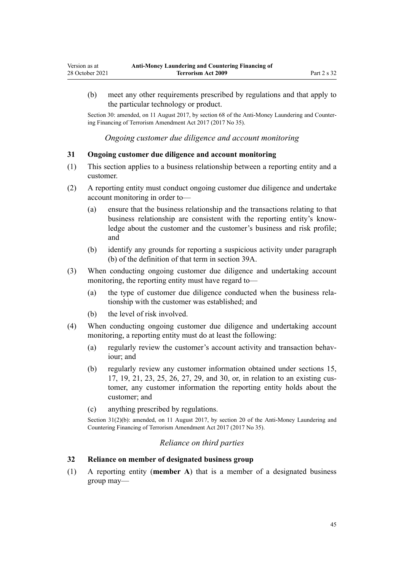<span id="page-44-0"></span>(b) meet any other requirements prescribed by regulations and that apply to the particular technology or product.

Section 30: amended, on 11 August 2017, by [section 68](http://legislation.govt.nz/pdflink.aspx?id=DLM7340644) of the Anti-Money Laundering and Countering Financing of Terrorism Amendment Act 2017 (2017 No 35).

*Ongoing customer due diligence and account monitoring*

### **31 Ongoing customer due diligence and account monitoring**

- (1) This section applies to a business relationship between a reporting entity and a customer.
- (2) A reporting entity must conduct ongoing customer due diligence and undertake account monitoring in order to—
	- (a) ensure that the business relationship and the transactions relating to that business relationship are consistent with the reporting entity's know‐ ledge about the customer and the customer's business and risk profile; and
	- (b) identify any grounds for reporting a suspicious activity under paragraph (b) of the definition of that term in [section 39A](#page-50-0).
- (3) When conducting ongoing customer due diligence and undertaking account monitoring, the reporting entity must have regard to—
	- (a) the type of customer due diligence conducted when the business rela‐ tionship with the customer was established; and
	- (b) the level of risk involved.
- (4) When conducting ongoing customer due diligence and undertaking account monitoring, a reporting entity must do at least the following:
	- (a) regularly review the customer's account activity and transaction behaviour; and
	- (b) regularly review any customer information obtained under [sections 15](#page-33-0), [17,](#page-34-0) [19,](#page-36-0) [21,](#page-37-0) [23,](#page-39-0) [25](#page-40-0), [26](#page-40-0), [27](#page-41-0), [29](#page-42-0), and [30,](#page-43-0) or, in relation to an existing cus‐ tomer, any customer information the reporting entity holds about the customer; and
	- (c) anything prescribed by regulations.

Section 31(2)(b): amended, on 11 August 2017, by [section 20](http://legislation.govt.nz/pdflink.aspx?id=DLM7386133) of the Anti-Money Laundering and Countering Financing of Terrorism Amendment Act 2017 (2017 No 35).

### *Reliance on third parties*

## **32 Reliance on member of designated business group**

(1) A reporting entity (**member A**) that is a member of a designated business group may—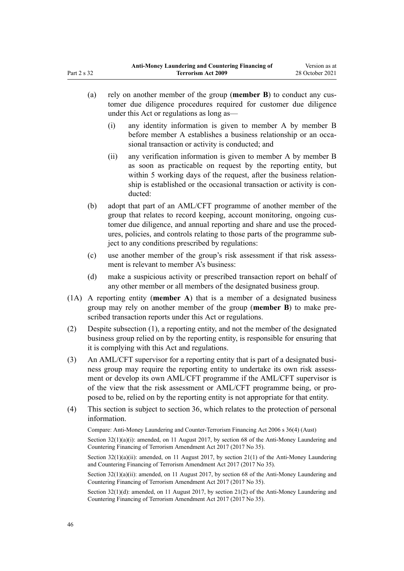- (a) rely on another member of the group (**member B**) to conduct any cus‐ tomer due diligence procedures required for customer due diligence under this Act or regulations as long as—
	- (i) any identity information is given to member A by member B before member A establishes a business relationship or an occasional transaction or activity is conducted; and
	- (ii) any verification information is given to member A by member B as soon as practicable on request by the reporting entity, but within 5 working days of the request, after the business relationship is established or the occasional transaction or activity is conducted:
- (b) adopt that part of an AML/CFT programme of another member of the group that relates to record keeping, account monitoring, ongoing cus‐ tomer due diligence, and annual reporting and share and use the procedures, policies, and controls relating to those parts of the programme sub‐ ject to any conditions prescribed by regulations:
- (c) use another member of the group's risk assessment if that risk assessment is relevant to member A's business:
- (d) make a suspicious activity or prescribed transaction report on behalf of any other member or all members of the designated business group.
- (1A) A reporting entity (**member A**) that is a member of a designated business group may rely on another member of the group (**member B**) to make pre‐ scribed transaction reports under this Act or regulations.
- (2) Despite subsection (1), a reporting entity, and not the member of the designated business group relied on by the reporting entity, is responsible for ensuring that it is complying with this Act and regulations.
- (3) An AML/CFT supervisor for a reporting entity that is part of a designated business group may require the reporting entity to undertake its own risk assessment or develop its own AML/CFT programme if the AML/CFT supervisor is of the view that the risk assessment or AML/CFT programme being, or pro‐ posed to be, relied on by the reporting entity is not appropriate for that entity.
- (4) This section is subject to [section 36,](#page-47-0) which relates to the protection of personal information.

Compare: Anti-Money Laundering and Counter-Terrorism Financing Act 2006 s 36(4) (Aust)

Section  $32(1)(a)(i)$ : amended, on 11 August 2017, by [section 68](http://legislation.govt.nz/pdflink.aspx?id=DLM7340644) of the Anti-Money Laundering and Countering Financing of Terrorism Amendment Act 2017 (2017 No 35).

Section  $32(1)(a)(ii)$ : amended, on 11 August 2017, by section  $21(1)$  of the Anti-Money Laundering and Countering Financing of Terrorism Amendment Act 2017 (2017 No 35).

Section  $32(1)(a)(ii)$ : amended, on 11 August 2017, by [section 68](http://legislation.govt.nz/pdflink.aspx?id=DLM7340644) of the Anti-Money Laundering and Countering Financing of Terrorism Amendment Act 2017 (2017 No 35).

Section 32(1)(d): amended, on 11 August 2017, by [section 21\(2\)](http://legislation.govt.nz/pdflink.aspx?id=DLM7161285) of the Anti-Money Laundering and Countering Financing of Terrorism Amendment Act 2017 (2017 No 35).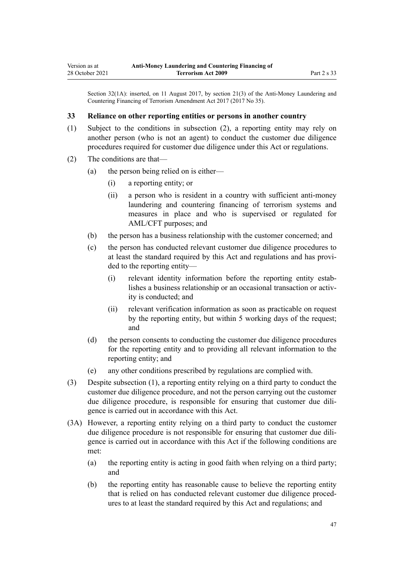Section 32(1A): inserted, on 11 August 2017, by [section 21\(3\)](http://legislation.govt.nz/pdflink.aspx?id=DLM7161285) of the Anti-Money Laundering and Countering Financing of Terrorism Amendment Act 2017 (2017 No 35).

### **33 Reliance on other reporting entities or persons in another country**

- (1) Subject to the conditions in subsection (2), a reporting entity may rely on another person (who is not an agent) to conduct the customer due diligence procedures required for customer due diligence under this Act or regulations.
- (2) The conditions are that—
	- (a) the person being relied on is either—
		- (i) a reporting entity; or
		- (ii) a person who is resident in a country with sufficient anti-money laundering and countering financing of terrorism systems and measures in place and who is supervised or regulated for AML/CFT purposes; and
	- (b) the person has a business relationship with the customer concerned; and
	- (c) the person has conducted relevant customer due diligence procedures to at least the standard required by this Act and regulations and has provi‐ ded to the reporting entity—
		- (i) relevant identity information before the reporting entity estab‐ lishes a business relationship or an occasional transaction or activ‐ ity is conducted; and
		- (ii) relevant verification information as soon as practicable on request by the reporting entity, but within 5 working days of the request; and
	- (d) the person consents to conducting the customer due diligence procedures for the reporting entity and to providing all relevant information to the reporting entity; and
	- (e) any other conditions prescribed by regulations are complied with.
- (3) Despite subsection (1), a reporting entity relying on a third party to conduct the customer due diligence procedure, and not the person carrying out the customer due diligence procedure, is responsible for ensuring that customer due diligence is carried out in accordance with this Act.
- (3A) However, a reporting entity relying on a third party to conduct the customer due diligence procedure is not responsible for ensuring that customer due diligence is carried out in accordance with this Act if the following conditions are met:
	- (a) the reporting entity is acting in good faith when relying on a third party; and
	- (b) the reporting entity has reasonable cause to believe the reporting entity that is relied on has conducted relevant customer due diligence proced‐ ures to at least the standard required by this Act and regulations; and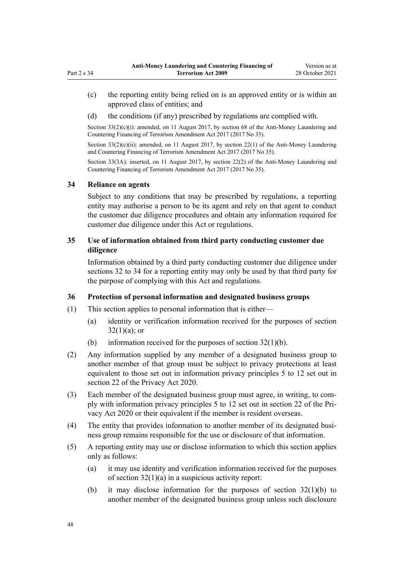- <span id="page-47-0"></span>(c) the reporting entity being relied on is an approved entity or is within an approved class of entities; and
- (d) the conditions (if any) prescribed by regulations are complied with.

Section  $33(2)(c)(i)$ : amended, on 11 August 2017, by [section 68](http://legislation.govt.nz/pdflink.aspx?id=DLM7340644) of the Anti-Money Laundering and Countering Financing of Terrorism Amendment Act 2017 (2017 No 35).

Section  $33(2)(c)(ii)$ : amended, on 11 August 2017, by [section 22\(1\)](http://legislation.govt.nz/pdflink.aspx?id=DLM7161286) of the Anti-Money Laundering and Countering Financing of Terrorism Amendment Act 2017 (2017 No 35).

Section 33(3A): inserted, on 11 August 2017, by [section 22\(2\)](http://legislation.govt.nz/pdflink.aspx?id=DLM7161286) of the Anti-Money Laundering and Countering Financing of Terrorism Amendment Act 2017 (2017 No 35).

#### **34 Reliance on agents**

Subject to any conditions that may be prescribed by regulations, a reporting entity may authorise a person to be its agent and rely on that agent to conduct the customer due diligence procedures and obtain any information required for customer due diligence under this Act or regulations.

## **35 Use of information obtained from third party conducting customer due diligence**

Information obtained by a third party conducting customer due diligence under [sections 32 to 34](#page-44-0) for a reporting entity may only be used by that third party for the purpose of complying with this Act and regulations.

### **36 Protection of personal information and designated business groups**

- (1) This section applies to personal information that is either—
	- (a) identity or verification information received for the purposes of [section](#page-44-0)  $32(1)(a)$ ; or
	- (b) information received for the purposes of section  $32(1)(b)$ .
- (2) Any information supplied by any member of a designated business group to another member of that group must be subject to privacy protections at least equivalent to those set out in information privacy principles 5 to 12 set out in [section 22](http://legislation.govt.nz/pdflink.aspx?id=LMS23342) of the Privacy Act 2020.
- (3) Each member of the designated business group must agree, in writing, to com‐ ply with information privacy principles 5 to 12 set out in [section 22](http://legislation.govt.nz/pdflink.aspx?id=LMS23342) of the Pri‐ vacy Act 2020 or their equivalent if the member is resident overseas.
- (4) The entity that provides information to another member of its designated busi‐ ness group remains responsible for the use or disclosure of that information.
- (5) A reporting entity may use or disclose information to which this section applies only as follows:
	- (a) it may use identity and verification information received for the purposes of [section 32\(1\)\(a\)](#page-44-0) in a suspicious activity report:
	- (b) it may disclose information for the purposes of [section 32\(1\)\(b\)](#page-44-0) to another member of the designated business group unless such disclosure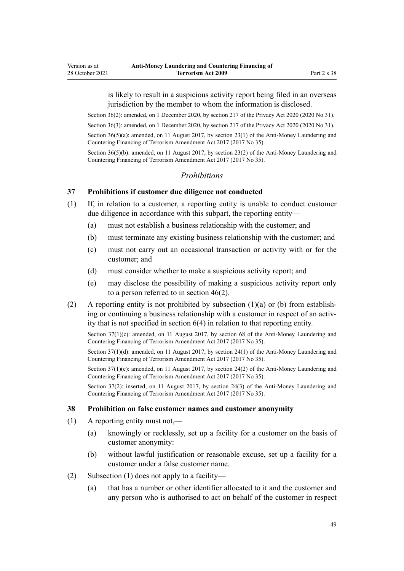is likely to result in a suspicious activity report being filed in an overseas jurisdiction by the member to whom the information is disclosed.

Section 36(2): amended, on 1 December 2020, by [section 217](http://legislation.govt.nz/pdflink.aspx?id=LMS23706) of the Privacy Act 2020 (2020 No 31).

Section 36(3): amended, on 1 December 2020, by [section 217](http://legislation.govt.nz/pdflink.aspx?id=LMS23706) of the Privacy Act 2020 (2020 No 31).

Section 36(5)(a): amended, on 11 August 2017, by [section 23\(1\)](http://legislation.govt.nz/pdflink.aspx?id=DLM7161287) of the Anti-Money Laundering and Countering Financing of Terrorism Amendment Act 2017 (2017 No 35).

Section 36(5)(b): amended, on 11 August 2017, by [section 23\(2\)](http://legislation.govt.nz/pdflink.aspx?id=DLM7161287) of the Anti-Money Laundering and Countering Financing of Terrorism Amendment Act 2017 (2017 No 35).

#### *Prohibitions*

### **37 Prohibitions if customer due diligence not conducted**

- (1) If, in relation to a customer, a reporting entity is unable to conduct customer due diligence in accordance with this subpart, the reporting entity—
	- (a) must not establish a business relationship with the customer; and
	- (b) must terminate any existing business relationship with the customer; and
	- (c) must not carry out an occasional transaction or activity with or for the customer; and
	- (d) must consider whether to make a suspicious activity report; and
	- (e) may disclose the possibility of making a suspicious activity report only to a person referred to in [section 46\(2\).](#page-54-0)
- (2) A reporting entity is not prohibited by subsection  $(1)(a)$  or (b) from establishing or continuing a business relationship with a customer in respect of an activity that is not specified in [section 6\(4\)](#page-28-0) in relation to that reporting entity.

Section  $37(1)(c)$ : amended, on 11 August 2017, by [section 68](http://legislation.govt.nz/pdflink.aspx?id=DLM7340644) of the Anti-Money Laundering and Countering Financing of Terrorism Amendment Act 2017 (2017 No 35).

Section 37(1)(d): amended, on 11 August 2017, by [section 24\(1\)](http://legislation.govt.nz/pdflink.aspx?id=DLM7161288) of the Anti-Money Laundering and Countering Financing of Terrorism Amendment Act 2017 (2017 No 35).

Section  $37(1)(e)$ : amended, on 11 August 2017, by [section 24\(2\)](http://legislation.govt.nz/pdflink.aspx?id=DLM7161288) of the Anti-Money Laundering and Countering Financing of Terrorism Amendment Act 2017 (2017 No 35).

Section 37(2): inserted, on 11 August 2017, by [section 24\(3\)](http://legislation.govt.nz/pdflink.aspx?id=DLM7161288) of the Anti-Money Laundering and Countering Financing of Terrorism Amendment Act 2017 (2017 No 35).

#### **38 Prohibition on false customer names and customer anonymity**

- (1) A reporting entity must not,—
	- (a) knowingly or recklessly, set up a facility for a customer on the basis of customer anonymity:
	- (b) without lawful justification or reasonable excuse, set up a facility for a customer under a false customer name.
- (2) Subsection (1) does not apply to a facility—
	- (a) that has a number or other identifier allocated to it and the customer and any person who is authorised to act on behalf of the customer in respect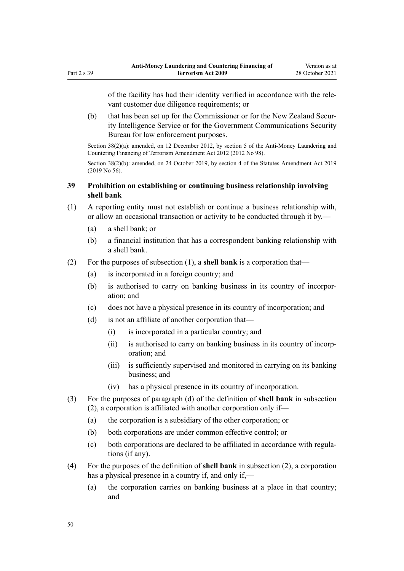of the facility has had their identity verified in accordance with the rele‐ vant customer due diligence requirements; or

(b) that has been set up for the Commissioner or for the New Zealand Security Intelligence Service or for the Government Communications Security Bureau for law enforcement purposes.

Section 38(2)(a): amended, on 12 December 2012, by [section 5](http://legislation.govt.nz/pdflink.aspx?id=DLM4989303) of the Anti-Money Laundering and Countering Financing of Terrorism Amendment Act 2012 (2012 No 98).

Section 38(2)(b): amended, on 24 October 2019, by [section 4](http://legislation.govt.nz/pdflink.aspx?id=LMS58872) of the Statutes Amendment Act 2019 (2019 No 56).

## **39 Prohibition on establishing or continuing business relationship involving shell bank**

- (1) A reporting entity must not establish or continue a business relationship with, or allow an occasional transaction or activity to be conducted through it by,—
	- (a) a shell bank; or
	- (b) a financial institution that has a correspondent banking relationship with a shell bank.
- (2) For the purposes of subsection (1), a **shell bank** is a corporation that—
	- (a) is incorporated in a foreign country; and
	- (b) is authorised to carry on banking business in its country of incorpor‐ ation; and
	- (c) does not have a physical presence in its country of incorporation; and
	- (d) is not an affiliate of another corporation that—
		- (i) is incorporated in a particular country; and
		- (ii) is authorised to carry on banking business in its country of incorp‐ oration; and
		- (iii) is sufficiently supervised and monitored in carrying on its banking business; and
		- (iv) has a physical presence in its country of incorporation.
- (3) For the purposes of paragraph (d) of the definition of **shell bank** in subsection (2), a corporation is affiliated with another corporation only if—
	- (a) the corporation is a subsidiary of the other corporation; or
	- (b) both corporations are under common effective control; or
	- (c) both corporations are declared to be affiliated in accordance with regula‐ tions (if any).
- (4) For the purposes of the definition of **shell bank** in subsection (2), a corporation has a physical presence in a country if, and only if,—
	- (a) the corporation carries on banking business at a place in that country; and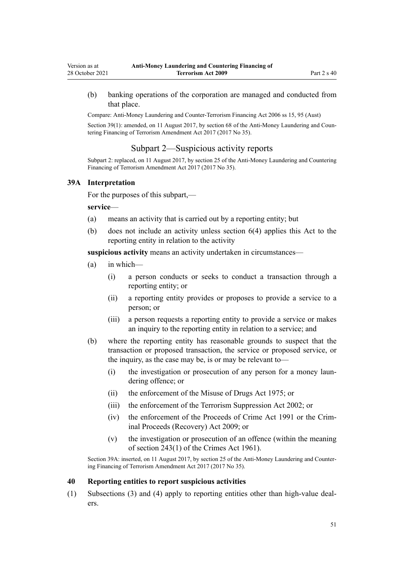<span id="page-50-0"></span>(b) banking operations of the corporation are managed and conducted from that place.

Compare: Anti-Money Laundering and Counter-Terrorism Financing Act 2006 ss 15, 95 (Aust)

Section 39(1): amended, on 11 August 2017, by [section 68](http://legislation.govt.nz/pdflink.aspx?id=DLM7340644) of the Anti-Money Laundering and Countering Financing of Terrorism Amendment Act 2017 (2017 No 35).

### Subpart 2—Suspicious activity reports

Subpart 2: replaced, on 11 August 2017, by [section 25](http://legislation.govt.nz/pdflink.aspx?id=DLM7161289) of the Anti-Money Laundering and Countering Financing of Terrorism Amendment Act 2017 (2017 No 35).

#### **39A Interpretation**

For the purposes of this subpart,—

#### **service**—

- (a) means an activity that is carried out by a reporting entity; but
- (b) does not include an activity unless [section 6\(4\)](#page-28-0) applies this Act to the reporting entity in relation to the activity

**suspicious activity** means an activity undertaken in circumstances—

- (a) in which—
	- (i) a person conducts or seeks to conduct a transaction through a reporting entity; or
	- (ii) a reporting entity provides or proposes to provide a service to a person; or
	- (iii) a person requests a reporting entity to provide a service or makes an inquiry to the reporting entity in relation to a service; and
- (b) where the reporting entity has reasonable grounds to suspect that the transaction or proposed transaction, the service or proposed service, or the inquiry, as the case may be, is or may be relevant to—
	- (i) the investigation or prosecution of any person for a money laun‐ dering offence; or
	- (ii) the enforcement of the [Misuse of Drugs Act 1975;](http://legislation.govt.nz/pdflink.aspx?id=DLM436100) or
	- (iii) the enforcement of the [Terrorism Suppression Act 2002](http://legislation.govt.nz/pdflink.aspx?id=DLM151490); or
	- (iv) the enforcement of the [Proceeds of Crime Act 1991](http://legislation.govt.nz/pdflink.aspx?id=DLM250668) or the [Crim‐](http://legislation.govt.nz/pdflink.aspx?id=BILL-SCDRAFT-7242) [inal Proceeds \(Recovery\) Act 2009;](http://legislation.govt.nz/pdflink.aspx?id=BILL-SCDRAFT-7242) or
	- (v) the investigation or prosecution of an offence (within the meaning of [section 243\(1\)](http://legislation.govt.nz/pdflink.aspx?id=DLM330289) of the Crimes Act 1961).

Section 39A: inserted, on 11 August 2017, by [section 25](http://legislation.govt.nz/pdflink.aspx?id=DLM7161289) of the Anti-Money Laundering and Counter‐ ing Financing of Terrorism Amendment Act 2017 (2017 No 35).

#### **40 Reporting entities to report suspicious activities**

(1) Subsections (3) and (4) apply to reporting entities other than high-value deal‐ ers.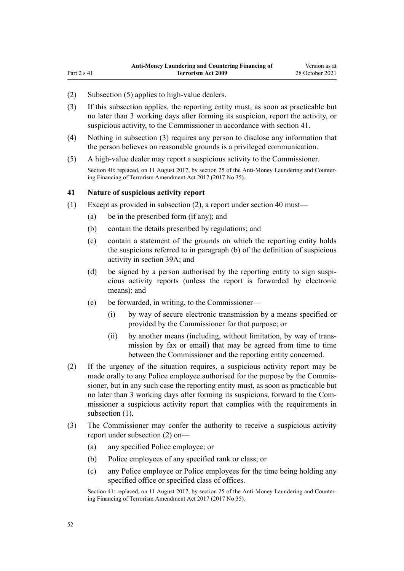(2) Subsection (5) applies to high-value dealers.

Part  $2 s 41$ 

- (3) If this subsection applies, the reporting entity must, as soon as practicable but no later than 3 working days after forming its suspicion, report the activity, or suspicious activity, to the Commissioner in accordance with section 41.
- (4) Nothing in subsection (3) requires any person to disclose any information that the person believes on reasonable grounds is a privileged communication.
- (5) A high-value dealer may report a suspicious activity to the Commissioner. Section 40: replaced, on 11 August 2017, by [section 25](http://legislation.govt.nz/pdflink.aspx?id=DLM7161289) of the Anti-Money Laundering and Countering Financing of Terrorism Amendment Act 2017 (2017 No 35).

### **41 Nature of suspicious activity report**

- (1) Except as provided in subsection (2), a report under [section 40](#page-50-0) must—
	- (a) be in the prescribed form (if any); and
	- (b) contain the details prescribed by regulations; and
	- (c) contain a statement of the grounds on which the reporting entity holds the suspicions referred to in paragraph (b) of the definition of suspicious activity in [section 39A;](#page-50-0) and
	- (d) be signed by a person authorised by the reporting entity to sign suspicious activity reports (unless the report is forwarded by electronic means); and
	- (e) be forwarded, in writing, to the Commissioner—
		- (i) by way of secure electronic transmission by a means specified or provided by the Commissioner for that purpose; or
		- (ii) by another means (including, without limitation, by way of trans‐ mission by fax or email) that may be agreed from time to time between the Commissioner and the reporting entity concerned.
- (2) If the urgency of the situation requires, a suspicious activity report may be made orally to any Police employee authorised for the purpose by the Commissioner, but in any such case the reporting entity must, as soon as practicable but no later than 3 working days after forming its suspicions, forward to the Com‐ missioner a suspicious activity report that complies with the requirements in subsection (1).
- (3) The Commissioner may confer the authority to receive a suspicious activity report under subsection (2) on—
	- (a) any specified Police employee; or
	- (b) Police employees of any specified rank or class; or
	- (c) any Police employee or Police employees for the time being holding any specified office or specified class of offices.

Section 41: replaced, on 11 August 2017, by [section 25](http://legislation.govt.nz/pdflink.aspx?id=DLM7161289) of the Anti-Money Laundering and Countering Financing of Terrorism Amendment Act 2017 (2017 No 35).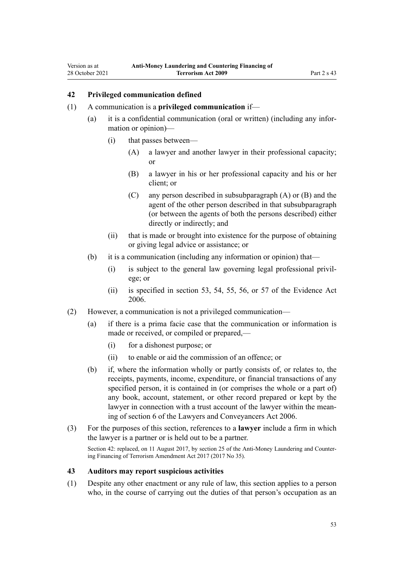### **42 Privileged communication defined**

<span id="page-52-0"></span>Version as at 28 October 2021

- (1) A communication is a **privileged communication** if—
	- (a) it is a confidential communication (oral or written) (including any infor‐ mation or opinion)—
		- (i) that passes between—
			- (A) a lawyer and another lawyer in their professional capacity; or
			- (B) a lawyer in his or her professional capacity and his or her client; or
			- (C) any person described in subsubparagraph (A) or (B) and the agent of the other person described in that subsubparagraph (or between the agents of both the persons described) either directly or indirectly; and
		- (ii) that is made or brought into existence for the purpose of obtaining or giving legal advice or assistance; or
	- (b) it is a communication (including any information or opinion) that—
		- (i) is subject to the general law governing legal professional privil‐ ege; or
		- (ii) is specified in [section 53](http://legislation.govt.nz/pdflink.aspx?id=DLM393658), [54,](http://legislation.govt.nz/pdflink.aspx?id=DLM393659) [55](http://legislation.govt.nz/pdflink.aspx?id=DLM393662), [56,](http://legislation.govt.nz/pdflink.aspx?id=DLM393663) or [57](http://legislation.govt.nz/pdflink.aspx?id=DLM393664) of the Evidence Act 2006.
- (2) However, a communication is not a privileged communication—
	- (a) if there is a prima facie case that the communication or information is made or received, or compiled or prepared,—
		- (i) for a dishonest purpose; or
		- (ii) to enable or aid the commission of an offence; or
	- (b) if, where the information wholly or partly consists of, or relates to, the receipts, payments, income, expenditure, or financial transactions of any specified person, it is contained in (or comprises the whole or a part of) any book, account, statement, or other record prepared or kept by the lawyer in connection with a trust account of the lawyer within the meaning of [section 6](http://legislation.govt.nz/pdflink.aspx?id=DLM364948) of the Lawyers and Conveyancers Act 2006.
- (3) For the purposes of this section, references to a **lawyer** include a firm in which the lawyer is a partner or is held out to be a partner. Section 42: replaced, on 11 August 2017, by [section 25](http://legislation.govt.nz/pdflink.aspx?id=DLM7161289) of the Anti-Money Laundering and Countering Financing of Terrorism Amendment Act 2017 (2017 No 35).

### **43 Auditors may report suspicious activities**

(1) Despite any other enactment or any rule of law, this section applies to a person who, in the course of carrying out the duties of that person's occupation as an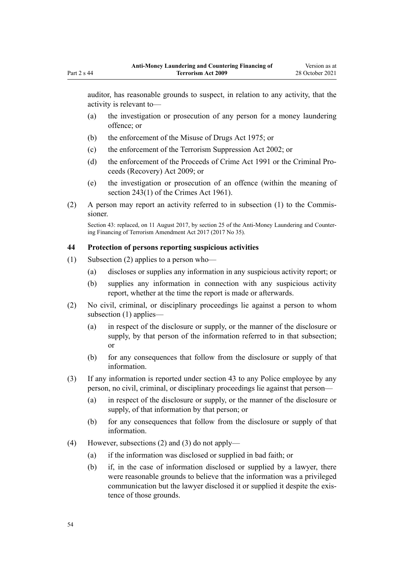<span id="page-53-0"></span>auditor, has reasonable grounds to suspect, in relation to any activity, that the activity is relevant to—

- (a) the investigation or prosecution of any person for a money laundering offence; or
- (b) the enforcement of the [Misuse of Drugs Act 1975;](http://legislation.govt.nz/pdflink.aspx?id=DLM436100) or
- (c) the enforcement of the [Terrorism Suppression Act 2002](http://legislation.govt.nz/pdflink.aspx?id=DLM151490); or
- (d) the enforcement of the [Proceeds of Crime Act 1991](http://legislation.govt.nz/pdflink.aspx?id=DLM250668) or the [Criminal Pro‐](http://legislation.govt.nz/pdflink.aspx?id=BILL-SCDRAFT-7242) [ceeds \(Recovery\) Act 2009;](http://legislation.govt.nz/pdflink.aspx?id=BILL-SCDRAFT-7242) or
- (e) the investigation or prosecution of an offence (within the meaning of [section 243\(1\)](http://legislation.govt.nz/pdflink.aspx?id=DLM330289) of the Crimes Act 1961).
- (2) A person may report an activity referred to in subsection  $(1)$  to the Commissioner.

Section 43: replaced, on 11 August 2017, by [section 25](http://legislation.govt.nz/pdflink.aspx?id=DLM7161289) of the Anti-Money Laundering and Countering Financing of Terrorism Amendment Act 2017 (2017 No 35).

#### **44 Protection of persons reporting suspicious activities**

- (1) Subsection (2) applies to a person who—
	- (a) discloses or supplies any information in any suspicious activity report; or
	- (b) supplies any information in connection with any suspicious activity report, whether at the time the report is made or afterwards.
- (2) No civil, criminal, or disciplinary proceedings lie against a person to whom subsection (1) applies—
	- (a) in respect of the disclosure or supply, or the manner of the disclosure or supply, by that person of the information referred to in that subsection; or
	- (b) for any consequences that follow from the disclosure or supply of that information.
- (3) If any information is reported under [section 43](#page-52-0) to any Police employee by any person, no civil, criminal, or disciplinary proceedings lie against that person—
	- (a) in respect of the disclosure or supply, or the manner of the disclosure or supply, of that information by that person; or
	- (b) for any consequences that follow from the disclosure or supply of that information.
- (4) However, subsections (2) and (3) do not apply—
	- (a) if the information was disclosed or supplied in bad faith; or
	- (b) if, in the case of information disclosed or supplied by a lawyer, there were reasonable grounds to believe that the information was a privileged communication but the lawyer disclosed it or supplied it despite the existence of those grounds.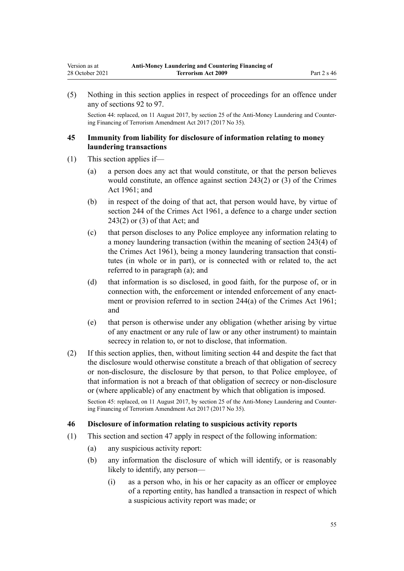<span id="page-54-0"></span>(5) Nothing in this section applies in respect of proceedings for an offence under any of [sections 92 to 97.](#page-77-0)

Section 44: replaced, on 11 August 2017, by [section 25](http://legislation.govt.nz/pdflink.aspx?id=DLM7161289) of the Anti-Money Laundering and Countering Financing of Terrorism Amendment Act 2017 (2017 No 35).

### **45 Immunity from liability for disclosure of information relating to money laundering transactions**

- (1) This section applies if—
	- (a) a person does any act that would constitute, or that the person believes would constitute, an offence against [section 243\(2\) or \(3\)](http://legislation.govt.nz/pdflink.aspx?id=DLM330289) of the Crimes Act 1961; and
	- (b) in respect of the doing of that act, that person would have, by virtue of [section 244](http://legislation.govt.nz/pdflink.aspx?id=DLM330403) of the Crimes Act 1961, a defence to a charge under [section](http://legislation.govt.nz/pdflink.aspx?id=DLM330289) [243\(2\) or \(3\)](http://legislation.govt.nz/pdflink.aspx?id=DLM330289) of that Act; and
	- (c) that person discloses to any Police employee any information relating to a money laundering transaction (within the meaning of [section 243\(4\)](http://legislation.govt.nz/pdflink.aspx?id=DLM330289) of the Crimes Act 1961), being a money laundering transaction that constitutes (in whole or in part), or is connected with or related to, the act referred to in paragraph (a); and
	- (d) that information is so disclosed, in good faith, for the purpose of, or in connection with, the enforcement or intended enforcement of any enactment or provision referred to in [section 244\(a\)](http://legislation.govt.nz/pdflink.aspx?id=DLM330403) of the Crimes Act 1961; and
	- (e) that person is otherwise under any obligation (whether arising by virtue of any enactment or any rule of law or any other instrument) to maintain secrecy in relation to, or not to disclose, that information.
- (2) If this section applies, then, without limiting [section 44](#page-53-0) and despite the fact that the disclosure would otherwise constitute a breach of that obligation of secrecy or non-disclosure, the disclosure by that person, to that Police employee, of that information is not a breach of that obligation of secrecy or non-disclosure or (where applicable) of any enactment by which that obligation is imposed.

Section 45: replaced, on 11 August 2017, by [section 25](http://legislation.govt.nz/pdflink.aspx?id=DLM7161289) of the Anti-Money Laundering and Countering Financing of Terrorism Amendment Act 2017 (2017 No 35).

### **46 Disclosure of information relating to suspicious activity reports**

- (1) This section and [section 47](#page-56-0) apply in respect of the following information:
	- (a) any suspicious activity report:
	- (b) any information the disclosure of which will identify, or is reasonably likely to identify, any person—
		- (i) as a person who, in his or her capacity as an officer or employee of a reporting entity, has handled a transaction in respect of which a suspicious activity report was made; or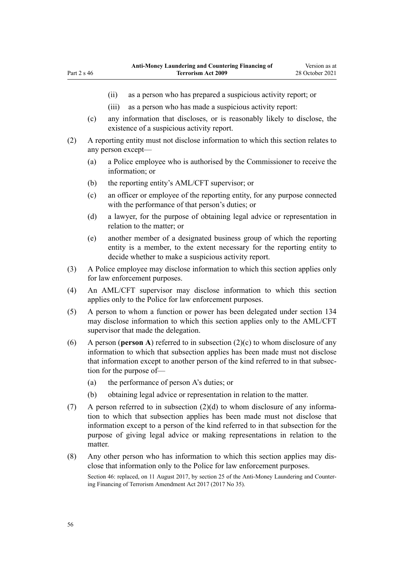Part 2 s 46

- (ii) as a person who has prepared a suspicious activity report; or
- (iii) as a person who has made a suspicious activity report:
- (c) any information that discloses, or is reasonably likely to disclose, the existence of a suspicious activity report.
- (2) A reporting entity must not disclose information to which this section relates to any person except—
	- (a) a Police employee who is authorised by the Commissioner to receive the information; or
	- (b) the reporting entity's AML/CFT supervisor; or
	- (c) an officer or employee of the reporting entity, for any purpose connected with the performance of that person's duties; or
	- (d) a lawyer, for the purpose of obtaining legal advice or representation in relation to the matter; or
	- (e) another member of a designated business group of which the reporting entity is a member, to the extent necessary for the reporting entity to decide whether to make a suspicious activity report.
- (3) A Police employee may disclose information to which this section applies only for law enforcement purposes.
- (4) An AML/CFT supervisor may disclose information to which this section applies only to the Police for law enforcement purposes.
- (5) A person to whom a function or power has been delegated under [section 134](#page-94-0) may disclose information to which this section applies only to the AML/CFT supervisor that made the delegation.
- (6) A person (**person A**) referred to in subsection (2)(c) to whom disclosure of any information to which that subsection applies has been made must not disclose that information except to another person of the kind referred to in that subsection for the purpose of—
	- (a) the performance of person A's duties; or
	- (b) obtaining legal advice or representation in relation to the matter.
- (7) A person referred to in subsection  $(2)(d)$  to whom disclosure of any information to which that subsection applies has been made must not disclose that information except to a person of the kind referred to in that subsection for the purpose of giving legal advice or making representations in relation to the matter.
- (8) Any other person who has information to which this section applies may dis‐ close that information only to the Police for law enforcement purposes.

Section 46: replaced, on 11 August 2017, by [section 25](http://legislation.govt.nz/pdflink.aspx?id=DLM7161289) of the Anti-Money Laundering and Countering Financing of Terrorism Amendment Act 2017 (2017 No 35).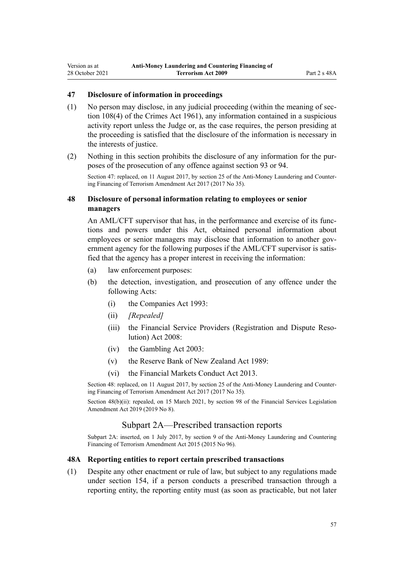## <span id="page-56-0"></span>**47 Disclosure of information in proceedings**

- (1) No person may disclose, in any judicial proceeding (within the meaning of [sec‐](http://legislation.govt.nz/pdflink.aspx?id=DLM328793) [tion 108\(4\)](http://legislation.govt.nz/pdflink.aspx?id=DLM328793) of the Crimes Act 1961), any information contained in a suspicious activity report unless the Judge or, as the case requires, the person presiding at the proceeding is satisfied that the disclosure of the information is necessary in the interests of justice.
- (2) Nothing in this section prohibits the disclosure of any information for the pur‐ poses of the prosecution of any offence against [section 93](#page-78-0) or [94.](#page-78-0)

Section 47: replaced, on 11 August 2017, by [section 25](http://legislation.govt.nz/pdflink.aspx?id=DLM7161289) of the Anti-Money Laundering and Countering Financing of Terrorism Amendment Act 2017 (2017 No 35).

### **48 Disclosure of personal information relating to employees or senior managers**

An AML/CFT supervisor that has, in the performance and exercise of its functions and powers under this Act, obtained personal information about employees or senior managers may disclose that information to another government agency for the following purposes if the AML/CFT supervisor is satisfied that the agency has a proper interest in receiving the information:

- (a) law enforcement purposes:
- (b) the detection, investigation, and prosecution of any offence under the following Acts:
	- (i) the [Companies Act 1993](http://legislation.govt.nz/pdflink.aspx?id=DLM319569):
	- (ii) *[Repealed]*
	- (iii) the Financial Service Providers (Registration and Dispute Reso[lution\) Act 2008](http://legislation.govt.nz/pdflink.aspx?id=DLM1109400):
	- (iv) the [Gambling Act 2003](http://legislation.govt.nz/pdflink.aspx?id=DLM207496):
	- (v) the [Reserve Bank of New Zealand Act 1989:](http://legislation.govt.nz/pdflink.aspx?id=DLM199363)
	- (vi) the [Financial Markets Conduct Act 2013.](http://legislation.govt.nz/pdflink.aspx?id=DLM4090503)

Section 48: replaced, on 11 August 2017, by [section 25](http://legislation.govt.nz/pdflink.aspx?id=DLM7161289) of the Anti-Money Laundering and Countering Financing of Terrorism Amendment Act 2017 (2017 No 35).

Section 48(b)(ii): repealed, on 15 March 2021, by [section 98](http://legislation.govt.nz/pdflink.aspx?id=DLM7386624) of the Financial Services Legislation Amendment Act 2019 (2019 No 8).

### Subpart 2A—Prescribed transaction reports

Subpart 2A: inserted, on 1 July 2017, by [section 9](http://legislation.govt.nz/pdflink.aspx?id=DLM6602222) of the Anti-Money Laundering and Countering Financing of Terrorism Amendment Act 2015 (2015 No 96).

#### **48A Reporting entities to report certain prescribed transactions**

(1) Despite any other enactment or rule of law, but subject to any regulations made under [section 154](#page-108-0), if a person conducts a prescribed transaction through a reporting entity, the reporting entity must (as soon as practicable, but not later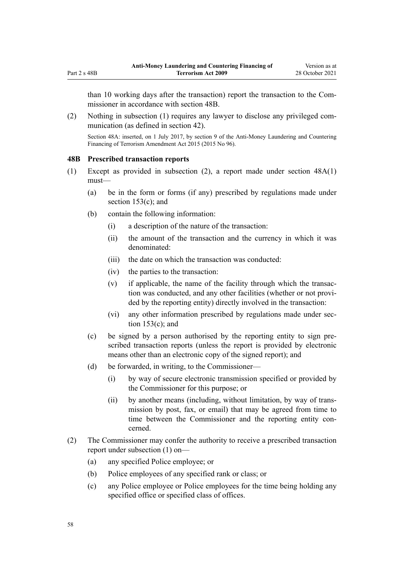than 10 working days after the transaction) report the transaction to the Com‐ missioner in accordance with section 48B.

(2) Nothing in subsection (1) requires any lawyer to disclose any privileged communication (as defined in [section 42](#page-52-0)).

Section 48A: inserted, on 1 July 2017, by [section 9](http://legislation.govt.nz/pdflink.aspx?id=DLM6602222) of the Anti-Money Laundering and Countering Financing of Terrorism Amendment Act 2015 (2015 No 96).

### **48B Prescribed transaction reports**

- (1) Except as provided in subsection (2), a report made under [section 48A\(1\)](#page-56-0) must—
	- (a) be in the form or forms (if any) prescribed by regulations made under [section 153\(c\);](#page-106-0) and
	- (b) contain the following information:
		- (i) a description of the nature of the transaction:
		- (ii) the amount of the transaction and the currency in which it was denominated:
		- (iii) the date on which the transaction was conducted:
		- (iv) the parties to the transaction:
		- $(v)$  if applicable, the name of the facility through which the transaction was conducted, and any other facilities (whether or not provided by the reporting entity) directly involved in the transaction:
		- (vi) any other information prescribed by regulations made under [sec‐](#page-106-0) [tion 153\(c\);](#page-106-0) and
	- (c) be signed by a person authorised by the reporting entity to sign pre‐ scribed transaction reports (unless the report is provided by electronic means other than an electronic copy of the signed report); and
	- (d) be forwarded, in writing, to the Commissioner—
		- (i) by way of secure electronic transmission specified or provided by the Commissioner for this purpose; or
		- (ii) by another means (including, without limitation, by way of trans‐ mission by post, fax, or email) that may be agreed from time to time between the Commissioner and the reporting entity concerned.
- (2) The Commissioner may confer the authority to receive a prescribed transaction report under subsection (1) on—
	- (a) any specified Police employee; or
	- (b) Police employees of any specified rank or class; or
	- (c) any Police employee or Police employees for the time being holding any specified office or specified class of offices.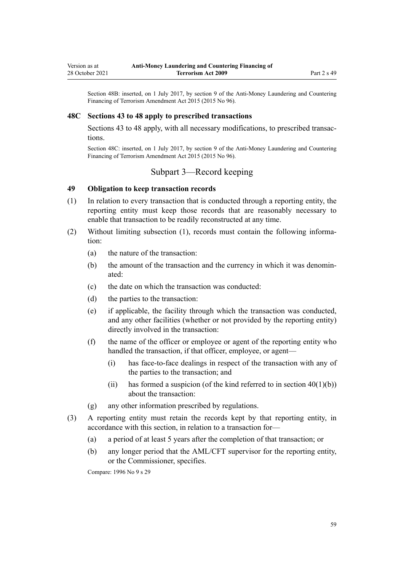<span id="page-58-0"></span>Section 48B: inserted, on 1 July 2017, by [section 9](http://legislation.govt.nz/pdflink.aspx?id=DLM6602222) of the Anti-Money Laundering and Countering Financing of Terrorism Amendment Act 2015 (2015 No 96).

#### **48C Sections 43 to 48 apply to prescribed transactions**

[Sections 43 to 48](#page-52-0) apply, with all necessary modifications, to prescribed transactions.

Section 48C: inserted, on 1 July 2017, by [section 9](http://legislation.govt.nz/pdflink.aspx?id=DLM6602222) of the Anti-Money Laundering and Countering Financing of Terrorism Amendment Act 2015 (2015 No 96).

## Subpart 3—Record keeping

### **49 Obligation to keep transaction records**

- (1) In relation to every transaction that is conducted through a reporting entity, the reporting entity must keep those records that are reasonably necessary to enable that transaction to be readily reconstructed at any time.
- (2) Without limiting subsection (1), records must contain the following information:
	- (a) the nature of the transaction:
	- (b) the amount of the transaction and the currency in which it was denominated:
	- (c) the date on which the transaction was conducted:
	- (d) the parties to the transaction:
	- (e) if applicable, the facility through which the transaction was conducted, and any other facilities (whether or not provided by the reporting entity) directly involved in the transaction:
	- (f) the name of the officer or employee or agent of the reporting entity who handled the transaction, if that officer, employee, or agent—
		- (i) has face-to-face dealings in respect of the transaction with any of the parties to the transaction; and
		- (ii) has formed a suspicion (of the kind referred to in section  $40(1)(b)$ ) about the transaction:
	- (g) any other information prescribed by regulations.
- (3) A reporting entity must retain the records kept by that reporting entity, in accordance with this section, in relation to a transaction for—
	- (a) a period of at least 5 years after the completion of that transaction; or
	- (b) any longer period that the AML/CFT supervisor for the reporting entity, or the Commissioner, specifies.

Compare: 1996 No 9 [s 29](http://legislation.govt.nz/pdflink.aspx?id=DLM374132)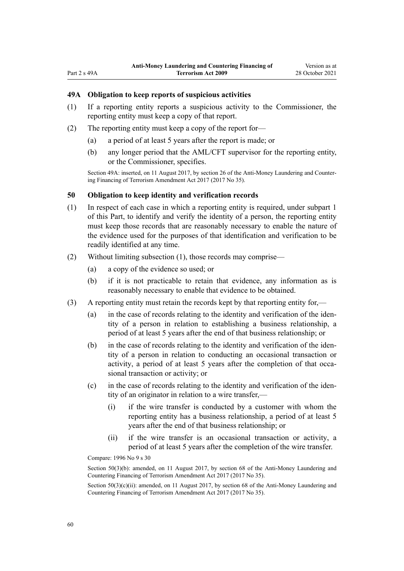### <span id="page-59-0"></span>**49A Obligation to keep reports of suspicious activities**

- (1) If a reporting entity reports a suspicious activity to the Commissioner, the reporting entity must keep a copy of that report.
- (2) The reporting entity must keep a copy of the report for—
	- (a) a period of at least 5 years after the report is made; or
	- (b) any longer period that the AML/CFT supervisor for the reporting entity, or the Commissioner, specifies.

Section 49A: inserted, on 11 August 2017, by [section 26](http://legislation.govt.nz/pdflink.aspx?id=DLM7161306) of the Anti-Money Laundering and Counter‐ ing Financing of Terrorism Amendment Act 2017 (2017 No 35).

#### **50 Obligation to keep identity and verification records**

- (1) In respect of each case in which a reporting entity is required, under [subpart 1](#page-31-0) of this Part, to identify and verify the identity of a person, the reporting entity must keep those records that are reasonably necessary to enable the nature of the evidence used for the purposes of that identification and verification to be readily identified at any time.
- (2) Without limiting subsection (1), those records may comprise—
	- (a) a copy of the evidence so used; or
	- (b) if it is not practicable to retain that evidence, any information as is reasonably necessary to enable that evidence to be obtained.
- (3) A reporting entity must retain the records kept by that reporting entity for,—
	- (a) in the case of records relating to the identity and verification of the identity of a person in relation to establishing a business relationship, a period of at least 5 years after the end of that business relationship; or
	- (b) in the case of records relating to the identity and verification of the identity of a person in relation to conducting an occasional transaction or activity, a period of at least 5 years after the completion of that occasional transaction or activity; or
	- (c) in the case of records relating to the identity and verification of the iden‐ tity of an originator in relation to a wire transfer,—
		- (i) if the wire transfer is conducted by a customer with whom the reporting entity has a business relationship, a period of at least 5 years after the end of that business relationship; or
		- (ii) if the wire transfer is an occasional transaction or activity, a period of at least 5 years after the completion of the wire transfer.

Compare: 1996 No 9 [s 30](http://legislation.govt.nz/pdflink.aspx?id=DLM374134)

Section 50(3)(b): amended, on 11 August 2017, by [section 68](http://legislation.govt.nz/pdflink.aspx?id=DLM7340644) of the Anti-Money Laundering and Countering Financing of Terrorism Amendment Act 2017 (2017 No 35).

Section  $50(3)(c)(ii)$ : amended, on 11 August 2017, by [section 68](http://legislation.govt.nz/pdflink.aspx?id=DLM7340644) of the Anti-Money Laundering and Countering Financing of Terrorism Amendment Act 2017 (2017 No 35).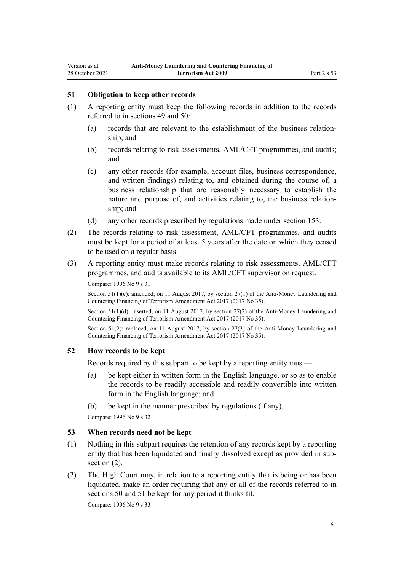### **51 Obligation to keep other records**

- (1) A reporting entity must keep the following records in addition to the records referred to in [sections 49](#page-58-0) and [50](#page-59-0):
	- (a) records that are relevant to the establishment of the business relation‐ ship; and
	- (b) records relating to risk assessments, AML/CFT programmes, and audits; and
	- (c) any other records (for example, account files, business correspondence, and written findings) relating to, and obtained during the course of, a business relationship that are reasonably necessary to establish the nature and purpose of, and activities relating to, the business relation‐ ship; and
	- (d) any other records prescribed by regulations made under [section 153.](#page-106-0)
- (2) The records relating to risk assessment, AML/CFT programmes, and audits must be kept for a period of at least 5 years after the date on which they ceased to be used on a regular basis.
- (3) A reporting entity must make records relating to risk assessments, AML/CFT programmes, and audits available to its AML/CFT supervisor on request. Compare: 1996 No 9 [s 31](http://legislation.govt.nz/pdflink.aspx?id=DLM374136)

Section  $51(1)(c)$ : amended, on 11 August 2017, by [section 27\(1\)](http://legislation.govt.nz/pdflink.aspx?id=DLM7161308) of the Anti-Money Laundering and Countering Financing of Terrorism Amendment Act 2017 (2017 No 35).

Section 51(1)(d): inserted, on 11 August 2017, by [section 27\(2\)](http://legislation.govt.nz/pdflink.aspx?id=DLM7161308) of the Anti-Money Laundering and Countering Financing of Terrorism Amendment Act 2017 (2017 No 35).

Section 51(2): replaced, on 11 August 2017, by [section 27\(3\)](http://legislation.govt.nz/pdflink.aspx?id=DLM7161308) of the Anti-Money Laundering and Countering Financing of Terrorism Amendment Act 2017 (2017 No 35).

### **52 How records to be kept**

Records required by this subpart to be kept by a reporting entity must—

- (a) be kept either in written form in the English language, or so as to enable the records to be readily accessible and readily convertible into written form in the English language; and
- (b) be kept in the manner prescribed by regulations (if any).

Compare: 1996 No 9 [s 32](http://legislation.govt.nz/pdflink.aspx?id=DLM374137)

### **53 When records need not be kept**

- (1) Nothing in this subpart requires the retention of any records kept by a reporting entity that has been liquidated and finally dissolved except as provided in subsection  $(2)$ .
- (2) The High Court may, in relation to a reporting entity that is being or has been liquidated, make an order requiring that any or all of the records referred to in [sections 50](#page-59-0) and 51 be kept for any period it thinks fit.

Compare: 1996 No 9 [s 33](http://legislation.govt.nz/pdflink.aspx?id=DLM374138)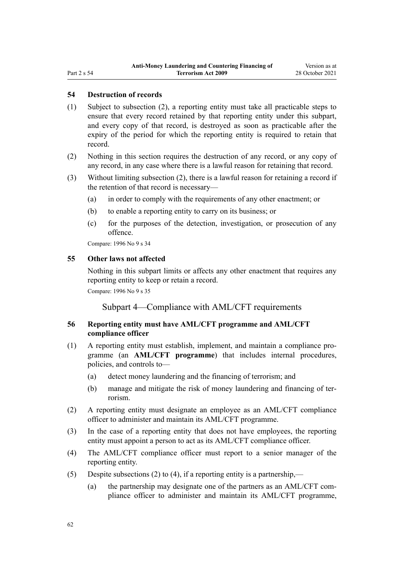### **54 Destruction of records**

- (1) Subject to subsection (2), a reporting entity must take all practicable steps to ensure that every record retained by that reporting entity under this subpart, and every copy of that record, is destroyed as soon as practicable after the expiry of the period for which the reporting entity is required to retain that record.
- (2) Nothing in this section requires the destruction of any record, or any copy of any record, in any case where there is a lawful reason for retaining that record.
- (3) Without limiting subsection (2), there is a lawful reason for retaining a record if the retention of that record is necessary—
	- (a) in order to comply with the requirements of any other enactment; or
	- (b) to enable a reporting entity to carry on its business; or
	- (c) for the purposes of the detection, investigation, or prosecution of any offence.

Compare: 1996 No 9 [s 34](http://legislation.govt.nz/pdflink.aspx?id=DLM374139)

### **55 Other laws not affected**

Nothing in this subpart limits or affects any other enactment that requires any reporting entity to keep or retain a record.

Compare: 1996 No 9 [s 35](http://legislation.govt.nz/pdflink.aspx?id=DLM374140)

### Subpart 4—Compliance with AML/CFT requirements

### **56 Reporting entity must have AML/CFT programme and AML/CFT compliance officer**

- (1) A reporting entity must establish, implement, and maintain a compliance pro‐ gramme (an **AML/CFT programme**) that includes internal procedures, policies, and controls to—
	- (a) detect money laundering and the financing of terrorism; and
	- (b) manage and mitigate the risk of money laundering and financing of ter‐ rorism.
- (2) A reporting entity must designate an employee as an AML/CFT compliance officer to administer and maintain its AML/CFT programme.
- (3) In the case of a reporting entity that does not have employees, the reporting entity must appoint a person to act as its AML/CFT compliance officer.
- (4) The AML/CFT compliance officer must report to a senior manager of the reporting entity.
- (5) Despite subsections (2) to (4), if a reporting entity is a partnership,—
	- (a) the partnership may designate one of the partners as an AML/CFT compliance officer to administer and maintain its AML/CFT programme,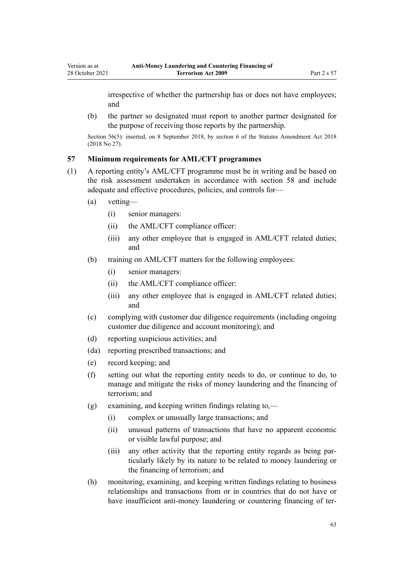irrespective of whether the partnership has or does not have employees; and

(b) the partner so designated must report to another partner designated for the purpose of receiving those reports by the partnership.

Section 56(5): inserted, on 8 September 2018, by [section 6](http://legislation.govt.nz/pdflink.aspx?id=LMS15910) of the Statutes Amendment Act 2018 (2018 No 27).

## **57 Minimum requirements for AML/CFT programmes**

- (1) A reporting entity's AML/CFT programme must be in writing and be based on the risk assessment undertaken in accordance with [section 58](#page-63-0) and include adequate and effective procedures, policies, and controls for—
	- (a) vetting—
		- (i) senior managers:
		- (ii) the AML/CFT compliance officer:
		- (iii) any other employee that is engaged in AML/CFT related duties; and
	- (b) training on AML/CFT matters for the following employees:
		- (i) senior managers:
		- (ii) the AML/CFT compliance officer:
		- (iii) any other employee that is engaged in AML/CFT related duties; and
	- (c) complying with customer due diligence requirements (including ongoing customer due diligence and account monitoring); and
	- (d) reporting suspicious activities; and
	- (da) reporting prescribed transactions; and
	- (e) record keeping; and
	- (f) setting out what the reporting entity needs to do, or continue to do, to manage and mitigate the risks of money laundering and the financing of terrorism; and
	- (g) examining, and keeping written findings relating to,—
		- (i) complex or unusually large transactions; and
		- (ii) unusual patterns of transactions that have no apparent economic or visible lawful purpose; and
		- (iii) any other activity that the reporting entity regards as being par‐ ticularly likely by its nature to be related to money laundering or the financing of terrorism; and
	- (h) monitoring, examining, and keeping written findings relating to business relationships and transactions from or in countries that do not have or have insufficient anti-money laundering or countering financing of ter-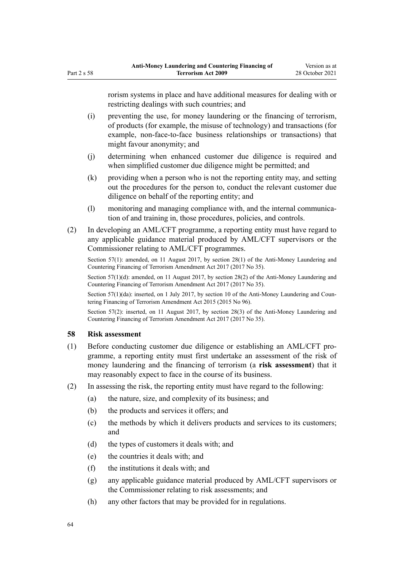<span id="page-63-0"></span>rorism systems in place and have additional measures for dealing with or restricting dealings with such countries; and

- (i) preventing the use, for money laundering or the financing of terrorism, of products (for example, the misuse of technology) and transactions (for example, non-face-to-face business relationships or transactions) that might favour anonymity; and
- (j) determining when enhanced customer due diligence is required and when simplified customer due diligence might be permitted; and
- (k) providing when a person who is not the reporting entity may, and setting out the procedures for the person to, conduct the relevant customer due diligence on behalf of the reporting entity; and
- (l) monitoring and managing compliance with, and the internal communication of and training in, those procedures, policies, and controls.
- (2) In developing an AML/CFT programme, a reporting entity must have regard to any applicable guidance material produced by AML/CFT supervisors or the Commissioner relating to AML/CFT programmes.

Section 57(1): amended, on 11 August 2017, by [section 28\(1\)](http://legislation.govt.nz/pdflink.aspx?id=DLM7161309) of the Anti-Money Laundering and Countering Financing of Terrorism Amendment Act 2017 (2017 No 35).

Section 57(1)(d): amended, on 11 August 2017, by [section 28\(2\)](http://legislation.govt.nz/pdflink.aspx?id=DLM7161309) of the Anti-Money Laundering and Countering Financing of Terrorism Amendment Act 2017 (2017 No 35).

Section  $57(1)(da)$ : inserted, on 1 July 2017, by [section 10](http://legislation.govt.nz/pdflink.aspx?id=DLM6602227) of the Anti-Money Laundering and Countering Financing of Terrorism Amendment Act 2015 (2015 No 96).

Section 57(2): inserted, on 11 August 2017, by [section 28\(3\)](http://legislation.govt.nz/pdflink.aspx?id=DLM7161309) of the Anti-Money Laundering and Countering Financing of Terrorism Amendment Act 2017 (2017 No 35).

### **58 Risk assessment**

- (1) Before conducting customer due diligence or establishing an AML/CFT pro‐ gramme, a reporting entity must first undertake an assessment of the risk of money laundering and the financing of terrorism (a **risk assessment**) that it may reasonably expect to face in the course of its business.
- (2) In assessing the risk, the reporting entity must have regard to the following:
	- (a) the nature, size, and complexity of its business; and
	- (b) the products and services it offers; and
	- (c) the methods by which it delivers products and services to its customers; and
	- (d) the types of customers it deals with; and
	- (e) the countries it deals with; and
	- (f) the institutions it deals with; and
	- (g) any applicable guidance material produced by AML/CFT supervisors or the Commissioner relating to risk assessments; and
	- (h) any other factors that may be provided for in regulations.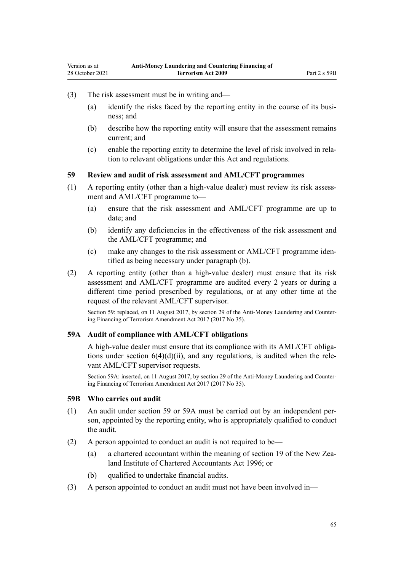- <span id="page-64-0"></span>(3) The risk assessment must be in writing and—
	- (a) identify the risks faced by the reporting entity in the course of its business; and
	- (b) describe how the reporting entity will ensure that the assessment remains current; and
	- (c) enable the reporting entity to determine the level of risk involved in rela‐ tion to relevant obligations under this Act and regulations.

### **59 Review and audit of risk assessment and AML/CFT programmes**

- $(1)$  A reporting entity (other than a high-value dealer) must review its risk assessment and AML/CFT programme to—
	- (a) ensure that the risk assessment and AML/CFT programme are up to date; and
	- (b) identify any deficiencies in the effectiveness of the risk assessment and the AML/CFT programme; and
	- (c) make any changes to the risk assessment or AML/CFT programme iden‐ tified as being necessary under paragraph (b).
- (2) A reporting entity (other than a high-value dealer) must ensure that its risk assessment and AML/CFT programme are audited every 2 years or during a different time period prescribed by regulations, or at any other time at the request of the relevant AML/CFT supervisor.

Section 59: replaced, on 11 August 2017, by [section 29](http://legislation.govt.nz/pdflink.aspx?id=DLM7161310) of the Anti-Money Laundering and Countering Financing of Terrorism Amendment Act 2017 (2017 No 35).

#### **59A Audit of compliance with AML/CFT obligations**

A high-value dealer must ensure that its compliance with its AML/CFT obliga‐ tions under section  $6(4)(d)(ii)$ , and any regulations, is audited when the relevant AML/CFT supervisor requests.

Section 59A: inserted, on 11 August 2017, by [section 29](http://legislation.govt.nz/pdflink.aspx?id=DLM7161310) of the Anti-Money Laundering and Countering Financing of Terrorism Amendment Act 2017 (2017 No 35).

#### **59B Who carries out audit**

- (1) An audit under section 59 or 59A must be carried out by an independent per‐ son, appointed by the reporting entity, who is appropriately qualified to conduct the audit.
- (2) A person appointed to conduct an audit is not required to be
	- (a) a chartered accountant within the meaning of [section 19](http://legislation.govt.nz/pdflink.aspx?id=DLM391422) of the New Zealand Institute of Chartered Accountants Act 1996; or
	- (b) qualified to undertake financial audits.
- (3) A person appointed to conduct an audit must not have been involved in—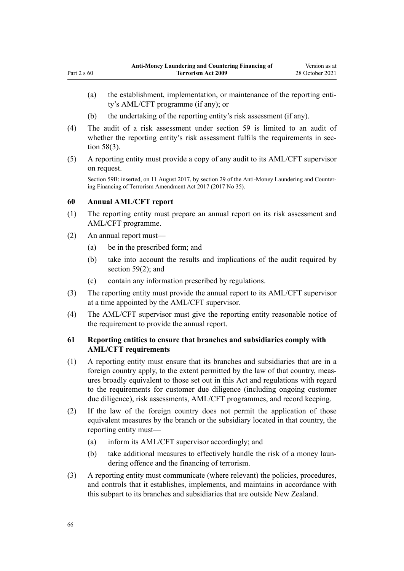- (a) the establishment, implementation, or maintenance of the reporting entity's AML/CFT programme (if any); or
- (b) the undertaking of the reporting entity's risk assessment (if any).
- (4) The audit of a risk assessment under [section 59](#page-64-0) is limited to an audit of whether the reporting entity's risk assessment fulfils the requirements in sec[tion 58\(3\).](#page-63-0)
- (5) A reporting entity must provide a copy of any audit to its AML/CFT supervisor on request.

Section 59B: inserted, on 11 August 2017, by [section 29](http://legislation.govt.nz/pdflink.aspx?id=DLM7161310) of the Anti-Money Laundering and Countering Financing of Terrorism Amendment Act 2017 (2017 No 35).

### **60 Annual AML/CFT report**

Part  $2 \times 60$ 

- (1) The reporting entity must prepare an annual report on its risk assessment and AML/CFT programme.
- (2) An annual report must—
	- (a) be in the prescribed form; and
	- (b) take into account the results and implications of the audit required by [section 59\(2\);](#page-64-0) and
	- (c) contain any information prescribed by regulations.
- (3) The reporting entity must provide the annual report to its AML/CFT supervisor at a time appointed by the AML/CFT supervisor.
- (4) The AML/CFT supervisor must give the reporting entity reasonable notice of the requirement to provide the annual report.

## **61 Reporting entities to ensure that branches and subsidiaries comply with AML/CFT requirements**

- (1) A reporting entity must ensure that its branches and subsidiaries that are in a foreign country apply, to the extent permitted by the law of that country, measures broadly equivalent to those set out in this Act and regulations with regard to the requirements for customer due diligence (including ongoing customer due diligence), risk assessments, AML/CFT programmes, and record keeping.
- (2) If the law of the foreign country does not permit the application of those equivalent measures by the branch or the subsidiary located in that country, the reporting entity must—
	- (a) inform its AML/CFT supervisor accordingly; and
	- (b) take additional measures to effectively handle the risk of a money laundering offence and the financing of terrorism.
- (3) A reporting entity must communicate (where relevant) the policies, procedures, and controls that it establishes, implements, and maintains in accordance with this subpart to its branches and subsidiaries that are outside New Zealand.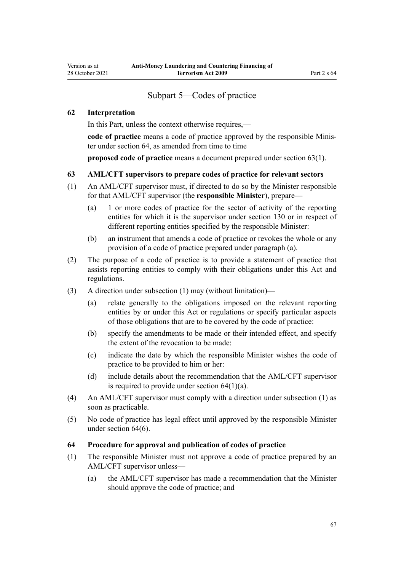## Subpart 5—Codes of practice

### <span id="page-66-0"></span>**62 Interpretation**

In this Part, unless the context otherwise requires,—

code of practice means a code of practice approved by the responsible Minister under section 64, as amended from time to time

**proposed code of practice** means a document prepared under section 63(1).

### **63 AML/CFT supervisors to prepare codes of practice for relevant sectors**

- (1) An AML/CFT supervisor must, if directed to do so by the Minister responsible for that AML/CFT supervisor (the **responsible Minister**), prepare—
	- (a) 1 or more codes of practice for the sector of activity of the reporting entities for which it is the supervisor under [section 130](#page-90-0) or in respect of different reporting entities specified by the responsible Minister:
	- (b) an instrument that amends a code of practice or revokes the whole or any provision of a code of practice prepared under paragraph (a).
- (2) The purpose of a code of practice is to provide a statement of practice that assists reporting entities to comply with their obligations under this Act and regulations.
- (3) A direction under subsection (1) may (without limitation)—
	- (a) relate generally to the obligations imposed on the relevant reporting entities by or under this Act or regulations or specify particular aspects of those obligations that are to be covered by the code of practice:
	- (b) specify the amendments to be made or their intended effect, and specify the extent of the revocation to be made:
	- (c) indicate the date by which the responsible Minister wishes the code of practice to be provided to him or her:
	- (d) include details about the recommendation that the AML/CFT supervisor is required to provide under section  $64(1)(a)$ .
- (4) An AML/CFT supervisor must comply with a direction under subsection (1) as soon as practicable.
- (5) No code of practice has legal effect until approved by the responsible Minister under section 64(6).

### **64 Procedure for approval and publication of codes of practice**

- (1) The responsible Minister must not approve a code of practice prepared by an AML/CFT supervisor unless—
	- (a) the AML/CFT supervisor has made a recommendation that the Minister should approve the code of practice; and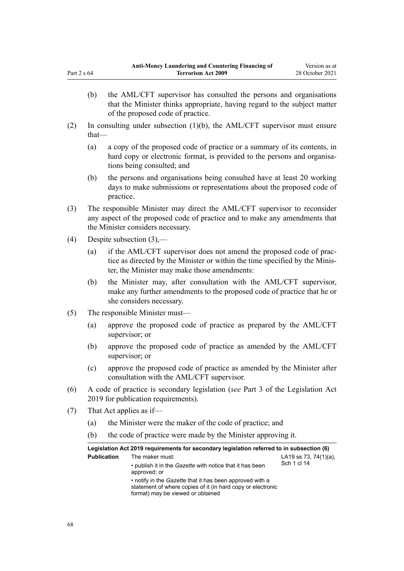- (b) the AML/CFT supervisor has consulted the persons and organisations that the Minister thinks appropriate, having regard to the subject matter of the proposed code of practice.
- (2) In consulting under subsection (1)(b), the AML/CFT supervisor must ensure that—
	- (a) a copy of the proposed code of practice or a summary of its contents, in hard copy or electronic format, is provided to the persons and organisations being consulted; and
	- (b) the persons and organisations being consulted have at least 20 working days to make submissions or representations about the proposed code of practice.
- (3) The responsible Minister may direct the AML/CFT supervisor to reconsider any aspect of the proposed code of practice and to make any amendments that the Minister considers necessary.
- (4) Despite subsection (3),—

Part 2 s 64

- (a) if the AML/CFT supervisor does not amend the proposed code of practice as directed by the Minister or within the time specified by the Minis‐ ter, the Minister may make those amendments:
- (b) the Minister may, after consultation with the AML/CFT supervisor, make any further amendments to the proposed code of practice that he or she considers necessary.
- (5) The responsible Minister must—
	- (a) approve the proposed code of practice as prepared by the AML/CFT supervisor; or
	- (b) approve the proposed code of practice as amended by the AML/CFT supervisor; or
	- (c) approve the proposed code of practice as amended by the Minister after consultation with the AML/CFT supervisor.
- (6) A code of practice is secondary legislation (*see* [Part 3](http://legislation.govt.nz/pdflink.aspx?id=DLM7298343) of the Legislation Act 2019 for publication requirements).
- (7) That Act applies as if—
	- (a) the Minister were the maker of the code of practice; and
	- (b) the code of practice were made by the Minister approving it.

| Legislation Act 2019 requirements for secondary legislation referred to in subsection (6) |                                                                                                                                                              |                                          |  |  |  |  |
|-------------------------------------------------------------------------------------------|--------------------------------------------------------------------------------------------------------------------------------------------------------------|------------------------------------------|--|--|--|--|
| <b>Publication</b>                                                                        | The maker must:<br>• publish it in the Gazette with notice that it has been<br>approved; or                                                                  | LA19 ss 73, 74 $(1)(a)$ ,<br>Sch 1 cl 14 |  |  |  |  |
|                                                                                           | • notify in the Gazette that it has been approved with a<br>statement of where copies of it (in hard copy or electronic<br>format) may be viewed or obtained |                                          |  |  |  |  |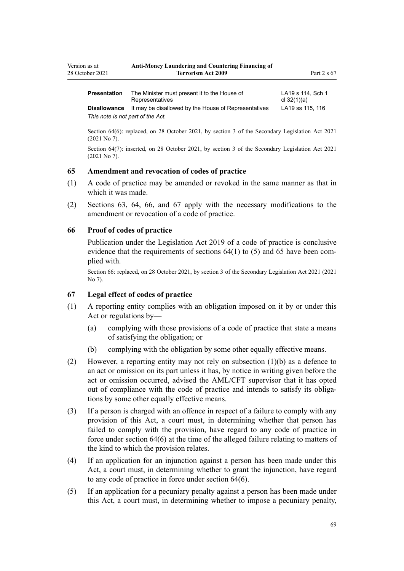| Version as at       | <b>Anti-Money Laundering and Countering Financing of</b> |                       |  |  |
|---------------------|----------------------------------------------------------|-----------------------|--|--|
| 28 October 2021     | <b>Terrorism Act 2009</b>                                | Part 2 s 67           |  |  |
| <b>Dessautation</b> | The Minister must propose it to the United of            | $1.110 - 111$ $0 - 1$ |  |  |

| Presentation                      | The Minister must present it to the House of<br>Representatives          | LA 19 S 114. SCII 1<br>cl $32(1)(a)$ |
|-----------------------------------|--------------------------------------------------------------------------|--------------------------------------|
|                                   | <b>Disallowance</b> It may be disallowed by the House of Representatives | LA19 ss 115, 116                     |
| This note is not part of the Act. |                                                                          |                                      |

Section 64(6): replaced, on 28 October 2021, by [section 3](http://legislation.govt.nz/pdflink.aspx?id=LMS268932) of the Secondary Legislation Act 2021 (2021 No 7).

Section 64(7): inserted, on 28 October 2021, by [section 3](http://legislation.govt.nz/pdflink.aspx?id=LMS268932) of the Secondary Legislation Act 2021 (2021 No 7).

#### **65 Amendment and revocation of codes of practice**

- (1) A code of practice may be amended or revoked in the same manner as that in which it was made.
- (2) [Sections 63](#page-66-0), [64,](#page-66-0) 66, and 67 apply with the necessary modifications to the amendment or revocation of a code of practice.

#### **66 Proof of codes of practice**

Publication under the [Legislation Act 2019](http://legislation.govt.nz/pdflink.aspx?id=DLM7298104) of a code of practice is conclusive evidence that the requirements of sections  $64(1)$  to  $(5)$  and  $65$  have been complied with.

Section 66: replaced, on 28 October 2021, by [section 3](http://legislation.govt.nz/pdflink.aspx?id=LMS268932) of the Secondary Legislation Act 2021 (2021 No 7).

### **67 Legal effect of codes of practice**

- (1) A reporting entity complies with an obligation imposed on it by or under this Act or regulations by—
	- (a) complying with those provisions of a code of practice that state a means of satisfying the obligation; or
	- (b) complying with the obligation by some other equally effective means.
- (2) However, a reporting entity may not rely on subsection (1)(b) as a defence to an act or omission on its part unless it has, by notice in writing given before the act or omission occurred, advised the AML/CFT supervisor that it has opted out of compliance with the code of practice and intends to satisfy its obligations by some other equally effective means.
- (3) If a person is charged with an offence in respect of a failure to comply with any provision of this Act, a court must, in determining whether that person has failed to comply with the provision, have regard to any code of practice in force under [section 64\(6\)](#page-66-0) at the time of the alleged failure relating to matters of the kind to which the provision relates.
- (4) If an application for an injunction against a person has been made under this Act, a court must, in determining whether to grant the injunction, have regard to any code of practice in force under [section 64\(6\).](#page-66-0)
- (5) If an application for a pecuniary penalty against a person has been made under this Act, a court must, in determining whether to impose a pecuniary penalty,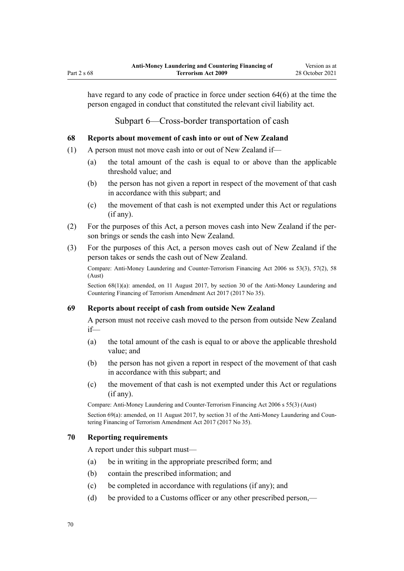have regard to any code of practice in force under [section 64\(6\)](#page-66-0) at the time the person engaged in conduct that constituted the relevant civil liability act.

Subpart 6—Cross-border transportation of cash

## **68 Reports about movement of cash into or out of New Zealand**

- (1) A person must not move cash into or out of New Zealand if—
	- (a) the total amount of the cash is equal to or above than the applicable threshold value; and
	- (b) the person has not given a report in respect of the movement of that cash in accordance with this subpart; and
	- (c) the movement of that cash is not exempted under this Act or regulations (if any).
- (2) For the purposes of this Act, a person moves cash into New Zealand if the per‐ son brings or sends the cash into New Zealand.
- (3) For the purposes of this Act, a person moves cash out of New Zealand if the person takes or sends the cash out of New Zealand.

Compare: Anti-Money Laundering and Counter-Terrorism Financing Act 2006 ss 53(3), 57(2), 58 (Aust)

Section 68(1)(a): amended, on 11 August 2017, by [section 30](http://legislation.govt.nz/pdflink.aspx?id=DLM7161314) of the Anti-Money Laundering and Countering Financing of Terrorism Amendment Act 2017 (2017 No 35).

### **69 Reports about receipt of cash from outside New Zealand**

A person must not receive cash moved to the person from outside New Zealand if—

- (a) the total amount of the cash is equal to or above the applicable threshold value; and
- (b) the person has not given a report in respect of the movement of that cash in accordance with this subpart; and
- (c) the movement of that cash is not exempted under this Act or regulations (if any).

Compare: Anti-Money Laundering and Counter-Terrorism Financing Act 2006 s 55(3) (Aust)

Section 69(a): amended, on 11 August 2017, by [section 31](http://legislation.govt.nz/pdflink.aspx?id=DLM7161315) of the Anti-Money Laundering and Countering Financing of Terrorism Amendment Act 2017 (2017 No 35).

### **70 Reporting requirements**

A report under this subpart must—

- (a) be in writing in the appropriate prescribed form; and
- (b) contain the prescribed information; and
- (c) be completed in accordance with regulations (if any); and
- (d) be provided to a Customs officer or any other prescribed person,—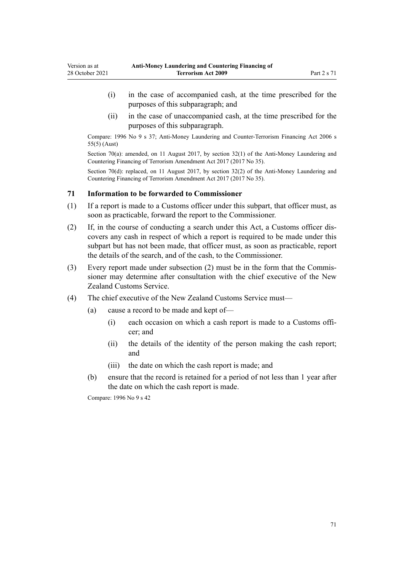- (i) in the case of accompanied cash, at the time prescribed for the purposes of this subparagraph; and
- (ii) in the case of unaccompanied cash, at the time prescribed for the purposes of this subparagraph.

Compare: 1996 No 9 [s 37](http://legislation.govt.nz/pdflink.aspx?id=DLM374143); Anti-Money Laundering and Counter-Terrorism Financing Act 2006 s 55(5) (Aust)

Section 70(a): amended, on 11 August 2017, by section  $32(1)$  of the Anti-Money Laundering and Countering Financing of Terrorism Amendment Act 2017 (2017 No 35).

Section 70(d): replaced, on 11 August 2017, by [section 32\(2\)](http://legislation.govt.nz/pdflink.aspx?id=DLM7161316) of the Anti-Money Laundering and Countering Financing of Terrorism Amendment Act 2017 (2017 No 35).

### **71 Information to be forwarded to Commissioner**

Version as at

- (1) If a report is made to a Customs officer under this subpart, that officer must, as soon as practicable, forward the report to the Commissioner.
- (2) If, in the course of conducting a search under this Act, a Customs officer dis‐ covers any cash in respect of which a report is required to be made under this subpart but has not been made, that officer must, as soon as practicable, report the details of the search, and of the cash, to the Commissioner.
- (3) Every report made under subsection (2) must be in the form that the Commis‐ sioner may determine after consultation with the chief executive of the New Zealand Customs Service.
- (4) The chief executive of the New Zealand Customs Service must—
	- (a) cause a record to be made and kept of—
		- (i) each occasion on which a cash report is made to a Customs offi‐ cer; and
		- (ii) the details of the identity of the person making the cash report; and
		- (iii) the date on which the cash report is made; and
	- (b) ensure that the record is retained for a period of not less than 1 year after the date on which the cash report is made.

Compare: 1996 No 9 [s 42](http://legislation.govt.nz/pdflink.aspx?id=DLM374162)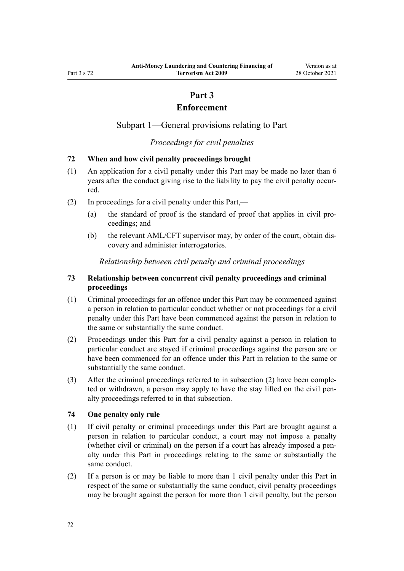# **Part 3**

## **Enforcement**

Subpart 1—General provisions relating to Part

*Proceedings for civil penalties*

### **72 When and how civil penalty proceedings brought**

- (1) An application for a civil penalty under this Part may be made no later than 6 years after the conduct giving rise to the liability to pay the civil penalty occurred.
- (2) In proceedings for a civil penalty under this Part,—
	- (a) the standard of proof is the standard of proof that applies in civil pro‐ ceedings; and
	- (b) the relevant AML/CFT supervisor may, by order of the court, obtain discovery and administer interrogatories.

### *Relationship between civil penalty and criminal proceedings*

### **73 Relationship between concurrent civil penalty proceedings and criminal proceedings**

- (1) Criminal proceedings for an offence under this Part may be commenced against a person in relation to particular conduct whether or not proceedings for a civil penalty under this Part have been commenced against the person in relation to the same or substantially the same conduct.
- (2) Proceedings under this Part for a civil penalty against a person in relation to particular conduct are stayed if criminal proceedings against the person are or have been commenced for an offence under this Part in relation to the same or substantially the same conduct.
- (3) After the criminal proceedings referred to in subsection (2) have been comple‐ ted or withdrawn, a person may apply to have the stay lifted on the civil pen‐ alty proceedings referred to in that subsection.

### **74 One penalty only rule**

- (1) If civil penalty or criminal proceedings under this Part are brought against a person in relation to particular conduct, a court may not impose a penalty (whether civil or criminal) on the person if a court has already imposed a pen‐ alty under this Part in proceedings relating to the same or substantially the same conduct.
- (2) If a person is or may be liable to more than 1 civil penalty under this Part in respect of the same or substantially the same conduct, civil penalty proceedings may be brought against the person for more than 1 civil penalty, but the person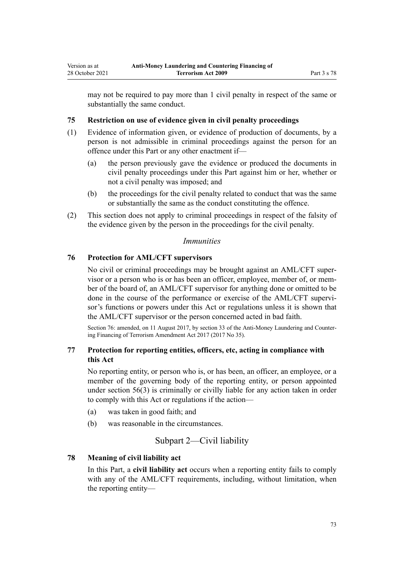<span id="page-72-0"></span>may not be required to pay more than 1 civil penalty in respect of the same or substantially the same conduct.

## **75 Restriction on use of evidence given in civil penalty proceedings**

- (1) Evidence of information given, or evidence of production of documents, by a person is not admissible in criminal proceedings against the person for an offence under this Part or any other enactment if—
	- (a) the person previously gave the evidence or produced the documents in civil penalty proceedings under this Part against him or her, whether or not a civil penalty was imposed; and
	- (b) the proceedings for the civil penalty related to conduct that was the same or substantially the same as the conduct constituting the offence.
- (2) This section does not apply to criminal proceedings in respect of the falsity of the evidence given by the person in the proceedings for the civil penalty.

## *Immunities*

## **76 Protection for AML/CFT supervisors**

No civil or criminal proceedings may be brought against an AML/CFT super‐ visor or a person who is or has been an officer, employee, member of, or member of the board of, an AML/CFT supervisor for anything done or omitted to be done in the course of the performance or exercise of the AML/CFT supervisor's functions or powers under this Act or regulations unless it is shown that the AML/CFT supervisor or the person concerned acted in bad faith.

Section 76: amended, on 11 August 2017, by [section 33](http://legislation.govt.nz/pdflink.aspx?id=DLM7340630) of the Anti-Money Laundering and Countering Financing of Terrorism Amendment Act 2017 (2017 No 35).

## **77 Protection for reporting entities, officers, etc, acting in compliance with this Act**

No reporting entity, or person who is, or has been, an officer, an employee, or a member of the governing body of the reporting entity, or person appointed under [section 56\(3\)](#page-61-0) is criminally or civilly liable for any action taken in order to comply with this Act or regulations if the action—

- (a) was taken in good faith; and
- (b) was reasonable in the circumstances.

## Subpart 2—Civil liability

## **78 Meaning of civil liability act**

In this Part, a **civil liability act** occurs when a reporting entity fails to comply with any of the AML/CFT requirements, including, without limitation, when the reporting entity—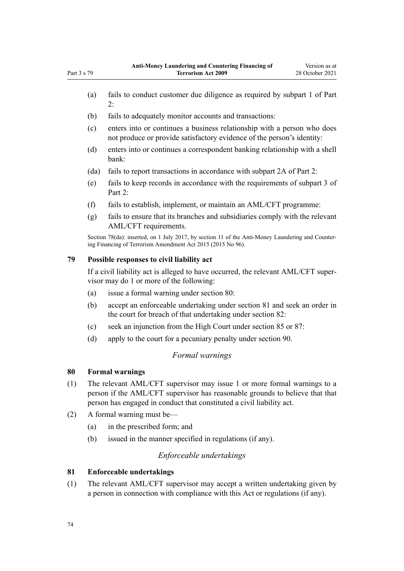- <span id="page-73-0"></span>(a) fails to conduct customer due diligence as required by [subpart 1](#page-31-0) of Part 2:
- (b) fails to adequately monitor accounts and transactions:
- (c) enters into or continues a business relationship with a person who does not produce or provide satisfactory evidence of the person's identity:
- (d) enters into or continues a correspondent banking relationship with a shell bank:
- (da) fails to report transactions in accordance with [subpart 2A](#page-56-0) of Part 2:
- (e) fails to keep records in accordance with the requirements of [subpart 3](#page-58-0) of Part 2:
- (f) fails to establish, implement, or maintain an AML/CFT programme:
- (g) fails to ensure that its branches and subsidiaries comply with the relevant AML/CFT requirements.

Section 78(da): inserted, on 1 July 2017, by [section 11](http://legislation.govt.nz/pdflink.aspx?id=DLM6602228) of the Anti-Money Laundering and Countering Financing of Terrorism Amendment Act 2015 (2015 No 96).

### **79 Possible responses to civil liability act**

If a civil liability act is alleged to have occurred, the relevant AML/CFT super‐ visor may do 1 or more of the following:

- (a) issue a formal warning under section 80:
- (b) accept an enforceable undertaking under section 81 and seek an order in the court for breach of that undertaking under [section 82:](#page-74-0)
- (c) seek an injunction from the High Court under [section 85](#page-75-0) or [87:](#page-75-0)
- (d) apply to the court for a pecuniary penalty under [section 90](#page-76-0).

# *Formal warnings*

## **80 Formal warnings**

- (1) The relevant AML/CFT supervisor may issue 1 or more formal warnings to a person if the AML/CFT supervisor has reasonable grounds to believe that that person has engaged in conduct that constituted a civil liability act.
- (2) A formal warning must be—
	- (a) in the prescribed form; and
	- (b) issued in the manner specified in regulations (if any).

## *Enforceable undertakings*

## **81 Enforceable undertakings**

(1) The relevant AML/CFT supervisor may accept a written undertaking given by a person in connection with compliance with this Act or regulations (if any).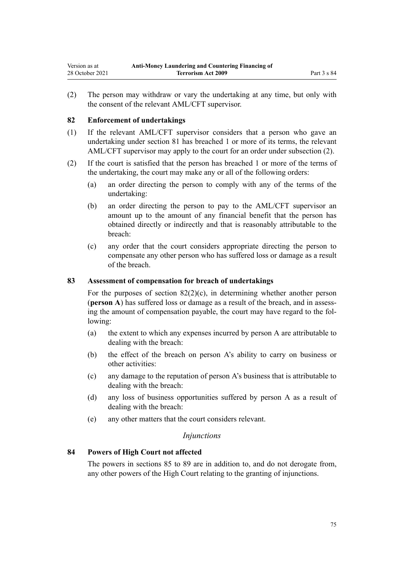<span id="page-74-0"></span>(2) The person may withdraw or vary the undertaking at any time, but only with the consent of the relevant AML/CFT supervisor.

## **82 Enforcement of undertakings**

- (1) If the relevant AML/CFT supervisor considers that a person who gave an undertaking under [section 81](#page-73-0) has breached 1 or more of its terms, the relevant AML/CFT supervisor may apply to the court for an order under subsection (2).
- (2) If the court is satisfied that the person has breached 1 or more of the terms of the undertaking, the court may make any or all of the following orders:
	- (a) an order directing the person to comply with any of the terms of the undertaking:
	- (b) an order directing the person to pay to the AML/CFT supervisor an amount up to the amount of any financial benefit that the person has obtained directly or indirectly and that is reasonably attributable to the breach:
	- (c) any order that the court considers appropriate directing the person to compensate any other person who has suffered loss or damage as a result of the breach.

## **83 Assessment of compensation for breach of undertakings**

For the purposes of section  $82(2)(c)$ , in determining whether another person (**person A**) has suffered loss or damage as a result of the breach, and in assess‐ ing the amount of compensation payable, the court may have regard to the following:

- (a) the extent to which any expenses incurred by person A are attributable to dealing with the breach:
- (b) the effect of the breach on person A's ability to carry on business or other activities:
- (c) any damage to the reputation of person A's business that is attributable to dealing with the breach:
- (d) any loss of business opportunities suffered by person A as a result of dealing with the breach:
- (e) any other matters that the court considers relevant.

## *Injunctions*

## **84 Powers of High Court not affected**

The powers in [sections 85](#page-75-0) to [89](#page-76-0) are in addition to, and do not derogate from, any other powers of the High Court relating to the granting of injunctions.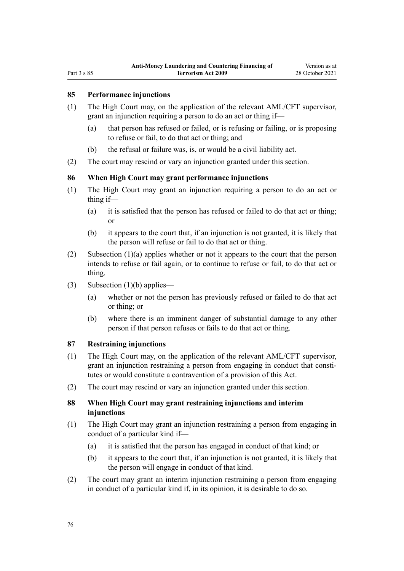## <span id="page-75-0"></span>**85 Performance injunctions**

- (1) The High Court may, on the application of the relevant AML/CFT supervisor, grant an injunction requiring a person to do an act or thing if—
	- (a) that person has refused or failed, or is refusing or failing, or is proposing to refuse or fail, to do that act or thing; and
	- (b) the refusal or failure was, is, or would be a civil liability act.
- (2) The court may rescind or vary an injunction granted under this section.

## **86 When High Court may grant performance injunctions**

- (1) The High Court may grant an injunction requiring a person to do an act or thing if—
	- (a) it is satisfied that the person has refused or failed to do that act or thing; or
	- (b) it appears to the court that, if an injunction is not granted, it is likely that the person will refuse or fail to do that act or thing.
- (2) Subsection (1)(a) applies whether or not it appears to the court that the person intends to refuse or fail again, or to continue to refuse or fail, to do that act or thing.
- (3) Subsection  $(1)(b)$  applies—
	- (a) whether or not the person has previously refused or failed to do that act or thing; or
	- (b) where there is an imminent danger of substantial damage to any other person if that person refuses or fails to do that act or thing.

## **87 Restraining injunctions**

- (1) The High Court may, on the application of the relevant AML/CFT supervisor, grant an injunction restraining a person from engaging in conduct that constitutes or would constitute a contravention of a provision of this Act.
- (2) The court may rescind or vary an injunction granted under this section.

## **88 When High Court may grant restraining injunctions and interim injunctions**

- (1) The High Court may grant an injunction restraining a person from engaging in conduct of a particular kind if—
	- (a) it is satisfied that the person has engaged in conduct of that kind; or
	- (b) it appears to the court that, if an injunction is not granted, it is likely that the person will engage in conduct of that kind.
- (2) The court may grant an interim injunction restraining a person from engaging in conduct of a particular kind if, in its opinion, it is desirable to do so.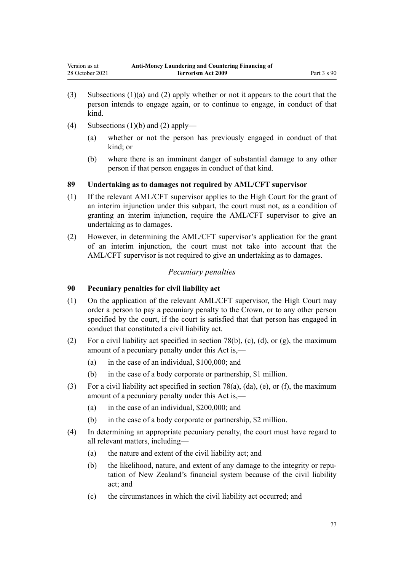- <span id="page-76-0"></span>(3) Subsections (1)(a) and (2) apply whether or not it appears to the court that the person intends to engage again, or to continue to engage, in conduct of that kind.
- (4) Subsections  $(1)(b)$  and  $(2)$  apply—
	- (a) whether or not the person has previously engaged in conduct of that kind; or
	- (b) where there is an imminent danger of substantial damage to any other person if that person engages in conduct of that kind.

## **89 Undertaking as to damages not required by AML/CFT supervisor**

- (1) If the relevant AML/CFT supervisor applies to the High Court for the grant of an interim injunction under this subpart, the court must not, as a condition of granting an interim injunction, require the AML/CFT supervisor to give an undertaking as to damages.
- (2) However, in determining the AML/CFT supervisor's application for the grant of an interim injunction, the court must not take into account that the AML/CFT supervisor is not required to give an undertaking as to damages.

## *Pecuniary penalties*

## **90 Pecuniary penalties for civil liability act**

- (1) On the application of the relevant AML/CFT supervisor, the High Court may order a person to pay a pecuniary penalty to the Crown, or to any other person specified by the court, if the court is satisfied that that person has engaged in conduct that constituted a civil liability act.
- (2) For a civil liability act specified in [section 78\(b\), \(c\), \(d\), or \(g\),](#page-72-0) the maximum amount of a pecuniary penalty under this Act is,—
	- (a) in the case of an individual, \$100,000; and
	- (b) in the case of a body corporate or partnership, \$1 million.
- (3) For a civil liability act specified in [section 78\(a\), \(da\), \(e\), or \(f\)](#page-72-0), the maximum amount of a pecuniary penalty under this Act is,—
	- (a) in the case of an individual, \$200,000; and
	- (b) in the case of a body corporate or partnership, \$2 million.
- (4) In determining an appropriate pecuniary penalty, the court must have regard to all relevant matters, including—
	- (a) the nature and extent of the civil liability act; and
	- (b) the likelihood, nature, and extent of any damage to the integrity or reputation of New Zealand's financial system because of the civil liability act; and
	- (c) the circumstances in which the civil liability act occurred; and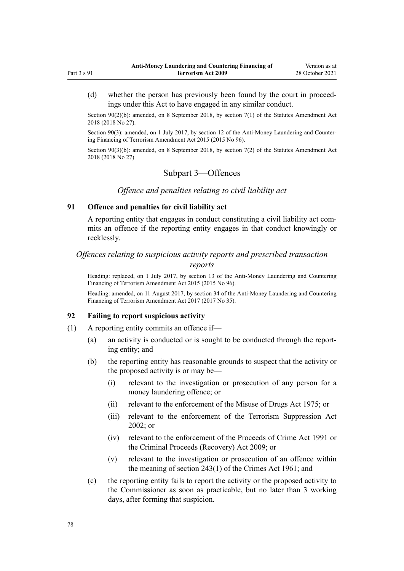<span id="page-77-0"></span>(d) whether the person has previously been found by the court in proceedings under this Act to have engaged in any similar conduct.

Section 90(2)(b): amended, on 8 September 2018, by [section 7\(1\)](http://legislation.govt.nz/pdflink.aspx?id=LMS15913) of the Statutes Amendment Act 2018 (2018 No 27).

Section 90(3): amended, on 1 July 2017, by [section 12](http://legislation.govt.nz/pdflink.aspx?id=DLM6602229) of the Anti-Money Laundering and Countering Financing of Terrorism Amendment Act 2015 (2015 No 96).

Section 90(3)(b): amended, on 8 September 2018, by [section 7\(2\)](http://legislation.govt.nz/pdflink.aspx?id=LMS15913) of the Statutes Amendment Act 2018 (2018 No 27).

## Subpart 3—Offences

## *Offence and penalties relating to civil liability act*

## **91 Offence and penalties for civil liability act**

A reporting entity that engages in conduct constituting a civil liability act com‐ mits an offence if the reporting entity engages in that conduct knowingly or recklessly.

## *Offences relating to suspicious activity reports and prescribed transaction*

## *reports*

Heading: replaced, on 1 July 2017, by [section 13](http://legislation.govt.nz/pdflink.aspx?id=DLM6602230) of the Anti-Money Laundering and Countering Financing of Terrorism Amendment Act 2015 (2015 No 96).

Heading: amended, on 11 August 2017, by [section 34](http://legislation.govt.nz/pdflink.aspx?id=DLM7161317) of the Anti-Money Laundering and Countering Financing of Terrorism Amendment Act 2017 (2017 No 35).

### **92 Failing to report suspicious activity**

- (1) A reporting entity commits an offence if—
	- (a) an activity is conducted or is sought to be conducted through the report‐ ing entity; and
	- (b) the reporting entity has reasonable grounds to suspect that the activity or the proposed activity is or may be—
		- (i) relevant to the investigation or prosecution of any person for a money laundering offence; or
		- (ii) relevant to the enforcement of the [Misuse of Drugs Act 1975;](http://legislation.govt.nz/pdflink.aspx?id=DLM436100) or
		- (iii) relevant to the enforcement of the [Terrorism Suppression Act](http://legislation.govt.nz/pdflink.aspx?id=DLM151490) [2002](http://legislation.govt.nz/pdflink.aspx?id=DLM151490); or
		- (iv) relevant to the enforcement of the [Proceeds of Crime Act 1991](http://legislation.govt.nz/pdflink.aspx?id=DLM250668) or the [Criminal Proceeds \(Recovery\) Act 2009](http://legislation.govt.nz/pdflink.aspx?id=BILL-SCDRAFT-7242); or
		- (v) relevant to the investigation or prosecution of an offence within the meaning of [section 243\(1\)](http://legislation.govt.nz/pdflink.aspx?id=DLM330289) of the Crimes Act 1961; and
	- (c) the reporting entity fails to report the activity or the proposed activity to the Commissioner as soon as practicable, but no later than 3 working days, after forming that suspicion.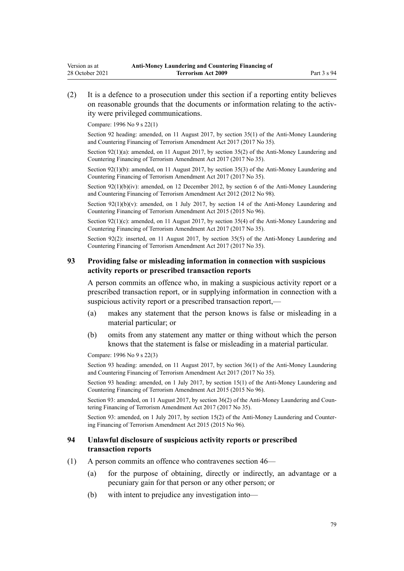(2) It is a defence to a prosecution under this section if a reporting entity believes on reasonable grounds that the documents or information relating to the activity were privileged communications.

Compare: 1996 No 9 [s 22\(1\)](http://legislation.govt.nz/pdflink.aspx?id=DLM374118)

Section 92 heading: amended, on 11 August 2017, by [section 35\(1\)](http://legislation.govt.nz/pdflink.aspx?id=DLM7161318) of the Anti-Money Laundering and Countering Financing of Terrorism Amendment Act 2017 (2017 No 35).

Section 92(1)(a): amended, on 11 August 2017, by [section 35\(2\)](http://legislation.govt.nz/pdflink.aspx?id=DLM7161318) of the Anti-Money Laundering and Countering Financing of Terrorism Amendment Act 2017 (2017 No 35).

Section 92(1)(b): amended, on 11 August 2017, by [section 35\(3\)](http://legislation.govt.nz/pdflink.aspx?id=DLM7161318) of the Anti-Money Laundering and Countering Financing of Terrorism Amendment Act 2017 (2017 No 35).

Section 92(1)(b)(iv): amended, on 12 December 2012, by [section 6](http://legislation.govt.nz/pdflink.aspx?id=DLM4989304) of the Anti-Money Laundering and Countering Financing of Terrorism Amendment Act 2012 (2012 No 98).

Section  $92(1)(b)(v)$ : amended, on 1 July 2017, by [section 14](http://legislation.govt.nz/pdflink.aspx?id=DLM6602232) of the Anti-Money Laundering and Countering Financing of Terrorism Amendment Act 2015 (2015 No 96).

Section  $92(1)(c)$ : amended, on 11 August 2017, by [section 35\(4\)](http://legislation.govt.nz/pdflink.aspx?id=DLM7161318) of the Anti-Money Laundering and Countering Financing of Terrorism Amendment Act 2017 (2017 No 35).

Section 92(2): inserted, on 11 August 2017, by [section 35\(5\)](http://legislation.govt.nz/pdflink.aspx?id=DLM7161318) of the Anti-Money Laundering and Countering Financing of Terrorism Amendment Act 2017 (2017 No 35).

### **93 Providing false or misleading information in connection with suspicious activity reports or prescribed transaction reports**

A person commits an offence who, in making a suspicious activity report or a prescribed transaction report, or in supplying information in connection with a suspicious activity report or a prescribed transaction report,—

- (a) makes any statement that the person knows is false or misleading in a material particular; or
- (b) omits from any statement any matter or thing without which the person knows that the statement is false or misleading in a material particular.

Compare: 1996 No 9 [s 22\(3\)](http://legislation.govt.nz/pdflink.aspx?id=DLM374118)

Section 93 heading: amended, on 11 August 2017, by [section 36\(1\)](http://legislation.govt.nz/pdflink.aspx?id=DLM7161319) of the Anti-Money Laundering and Countering Financing of Terrorism Amendment Act 2017 (2017 No 35).

Section 93 heading: amended, on 1 July 2017, by [section 15\(1\)](http://legislation.govt.nz/pdflink.aspx?id=DLM6602233) of the Anti-Money Laundering and Countering Financing of Terrorism Amendment Act 2015 (2015 No 96).

Section 93: amended, on 11 August 2017, by [section 36\(2\)](http://legislation.govt.nz/pdflink.aspx?id=DLM7161319) of the Anti-Money Laundering and Countering Financing of Terrorism Amendment Act 2017 (2017 No 35).

Section 93: amended, on 1 July 2017, by [section 15\(2\)](http://legislation.govt.nz/pdflink.aspx?id=DLM6602233) of the Anti-Money Laundering and Countering Financing of Terrorism Amendment Act 2015 (2015 No 96).

### **94 Unlawful disclosure of suspicious activity reports or prescribed transaction reports**

- (1) A person commits an offence who contravenes [section 46—](#page-54-0)
	- (a) for the purpose of obtaining, directly or indirectly, an advantage or a pecuniary gain for that person or any other person; or
	- (b) with intent to prejudice any investigation into—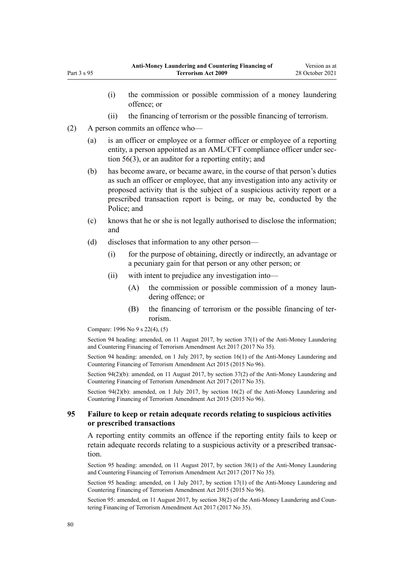- (i) the commission or possible commission of a money laundering offence; or
- (ii) the financing of terrorism or the possible financing of terrorism.
- (2) A person commits an offence who—

Part 3 s 95

- (a) is an officer or employee or a former officer or employee of a reporting entity, a person appointed as an AML/CFT compliance officer under sec[tion 56\(3\),](#page-61-0) or an auditor for a reporting entity; and
- (b) has become aware, or became aware, in the course of that person's duties as such an officer or employee, that any investigation into any activity or proposed activity that is the subject of a suspicious activity report or a prescribed transaction report is being, or may be, conducted by the Police; and
- (c) knows that he or she is not legally authorised to disclose the information; and
- (d) discloses that information to any other person—
	- (i) for the purpose of obtaining, directly or indirectly, an advantage or a pecuniary gain for that person or any other person; or
	- (ii) with intent to prejudice any investigation into—
		- (A) the commission or possible commission of a money laundering offence; or
		- (B) the financing of terrorism or the possible financing of terrorism.

Compare: 1996 No 9 [s 22\(4\), \(5\)](http://legislation.govt.nz/pdflink.aspx?id=DLM374118)

Section 94 heading: amended, on 11 August 2017, by [section 37\(1\)](http://legislation.govt.nz/pdflink.aspx?id=DLM7161320) of the Anti-Money Laundering and Countering Financing of Terrorism Amendment Act 2017 (2017 No 35).

Section 94 heading: amended, on 1 July 2017, by [section 16\(1\)](http://legislation.govt.nz/pdflink.aspx?id=DLM6602234) of the Anti-Money Laundering and Countering Financing of Terrorism Amendment Act 2015 (2015 No 96).

Section 94(2)(b): amended, on 11 August 2017, by [section 37\(2\)](http://legislation.govt.nz/pdflink.aspx?id=DLM7161320) of the Anti-Money Laundering and Countering Financing of Terrorism Amendment Act 2017 (2017 No 35).

Section 94(2)(b): amended, on 1 July 2017, by [section 16\(2\)](http://legislation.govt.nz/pdflink.aspx?id=DLM6602234) of the Anti-Money Laundering and Countering Financing of Terrorism Amendment Act 2015 (2015 No 96).

## **95 Failure to keep or retain adequate records relating to suspicious activities or prescribed transactions**

A reporting entity commits an offence if the reporting entity fails to keep or retain adequate records relating to a suspicious activity or a prescribed transaction.

Section 95 heading: amended, on 11 August 2017, by [section 38\(1\)](http://legislation.govt.nz/pdflink.aspx?id=DLM7161321) of the Anti-Money Laundering and Countering Financing of Terrorism Amendment Act 2017 (2017 No 35).

Section 95 heading: amended, on 1 July 2017, by [section 17\(1\)](http://legislation.govt.nz/pdflink.aspx?id=DLM6602235) of the Anti-Money Laundering and Countering Financing of Terrorism Amendment Act 2015 (2015 No 96).

Section 95: amended, on 11 August 2017, by [section 38\(2\)](http://legislation.govt.nz/pdflink.aspx?id=DLM7161321) of the Anti-Money Laundering and Countering Financing of Terrorism Amendment Act 2017 (2017 No 35).

80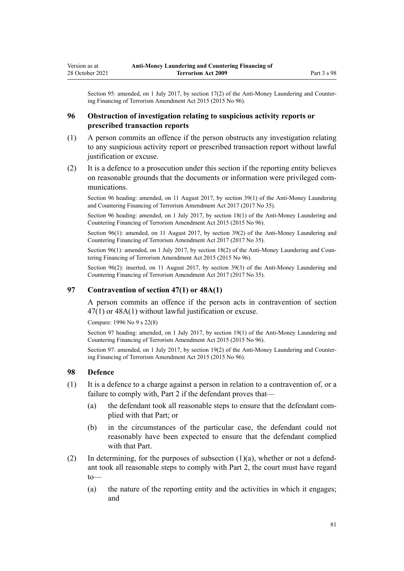Section 95: amended, on 1 July 2017, by [section 17\(2\)](http://legislation.govt.nz/pdflink.aspx?id=DLM6602235) of the Anti-Money Laundering and Countering Financing of Terrorism Amendment Act 2015 (2015 No 96).

## **96 Obstruction of investigation relating to suspicious activity reports or prescribed transaction reports**

- (1) A person commits an offence if the person obstructs any investigation relating to any suspicious activity report or prescribed transaction report without lawful justification or excuse.
- (2) It is a defence to a prosecution under this section if the reporting entity believes on reasonable grounds that the documents or information were privileged com‐ munications.

Section 96 heading: amended, on 11 August 2017, by [section 39\(1\)](http://legislation.govt.nz/pdflink.aspx?id=DLM7161322) of the Anti-Money Laundering and Countering Financing of Terrorism Amendment Act 2017 (2017 No 35).

Section 96 heading: amended, on 1 July 2017, by [section 18\(1\)](http://legislation.govt.nz/pdflink.aspx?id=DLM6602236) of the Anti-Money Laundering and Countering Financing of Terrorism Amendment Act 2015 (2015 No 96).

Section 96(1): amended, on 11 August 2017, by [section 39\(2\)](http://legislation.govt.nz/pdflink.aspx?id=DLM7161322) of the Anti-Money Laundering and Countering Financing of Terrorism Amendment Act 2017 (2017 No 35).

Section 96(1): amended, on 1 July 2017, by [section 18\(2\)](http://legislation.govt.nz/pdflink.aspx?id=DLM6602236) of the Anti-Money Laundering and Countering Financing of Terrorism Amendment Act 2015 (2015 No 96).

Section 96(2): inserted, on 11 August 2017, by [section 39\(3\)](http://legislation.govt.nz/pdflink.aspx?id=DLM7161322) of the Anti-Money Laundering and Countering Financing of Terrorism Amendment Act 2017 (2017 No 35).

## **97 Contravention of section 47(1) or 48A(1)**

A person commits an offence if the person acts in contravention of [section](#page-56-0) [47\(1\)](#page-56-0) or [48A\(1\)](#page-56-0) without lawful justification or excuse.

Compare: 1996 No 9 [s 22\(8\)](http://legislation.govt.nz/pdflink.aspx?id=DLM374118)

Section 97 heading: amended, on 1 July 2017, by [section 19\(1\)](http://legislation.govt.nz/pdflink.aspx?id=DLM6602237) of the Anti-Money Laundering and Countering Financing of Terrorism Amendment Act 2015 (2015 No 96).

Section 97: amended, on 1 July 2017, by [section 19\(2\)](http://legislation.govt.nz/pdflink.aspx?id=DLM6602237) of the Anti-Money Laundering and Countering Financing of Terrorism Amendment Act 2015 (2015 No 96).

### **98 Defence**

- (1) It is a defence to a charge against a person in relation to a contravention of, or a failure to comply with, [Part 2](#page-31-0) if the defendant proves that—
	- (a) the defendant took all reasonable steps to ensure that the defendant complied with that Part; or
	- (b) in the circumstances of the particular case, the defendant could not reasonably have been expected to ensure that the defendant complied with that Part.
- (2) In determining, for the purposes of subsection  $(1)(a)$ , whether or not a defendant took all reasonable steps to comply with [Part 2](#page-31-0), the court must have regard to—
	- (a) the nature of the reporting entity and the activities in which it engages; and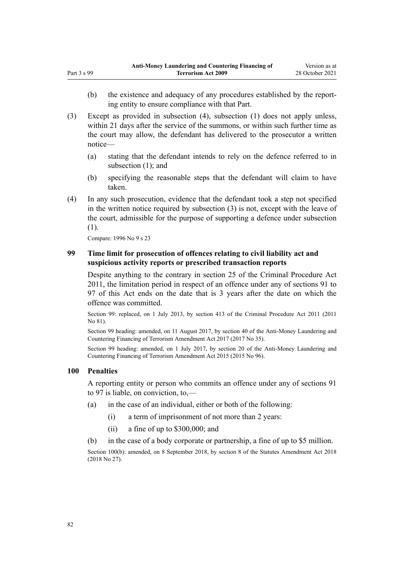- (b) the existence and adequacy of any procedures established by the reporting entity to ensure compliance with that Part.
- (3) Except as provided in subsection (4), subsection (1) does not apply unless, within 21 days after the service of the summons, or within such further time as the court may allow, the defendant has delivered to the prosecutor a written notice—
	- (a) stating that the defendant intends to rely on the defence referred to in subsection (1); and
	- (b) specifying the reasonable steps that the defendant will claim to have taken.
- (4) In any such prosecution, evidence that the defendant took a step not specified in the written notice required by subsection (3) is not, except with the leave of the court, admissible for the purpose of supporting a defence under subsection (1).

Compare: 1996 No 9 [s 23](http://legislation.govt.nz/pdflink.aspx?id=DLM374121)

## **99 Time limit for prosecution of offences relating to civil liability act and suspicious activity reports or prescribed transaction reports**

Despite anything to the contrary in [section 25](http://legislation.govt.nz/pdflink.aspx?id=DLM3360067) of the Criminal Procedure Act 2011, the limitation period in respect of an offence under any of [sections 91 to](#page-77-0) [97](#page-77-0) of this Act ends on the date that is 3 years after the date on which the offence was committed.

Section 99: replaced, on 1 July 2013, by [section 413](http://legislation.govt.nz/pdflink.aspx?id=DLM3360714) of the Criminal Procedure Act 2011 (2011 No 81).

Section 99 heading: amended, on 11 August 2017, by [section 40](http://legislation.govt.nz/pdflink.aspx?id=DLM7161323) of the Anti-Money Laundering and Countering Financing of Terrorism Amendment Act 2017 (2017 No 35).

Section 99 heading: amended, on 1 July 2017, by [section 20](http://legislation.govt.nz/pdflink.aspx?id=DLM6602238) of the Anti-Money Laundering and Countering Financing of Terrorism Amendment Act 2015 (2015 No 96).

## **100 Penalties**

A reporting entity or person who commits an offence under any of [sections 91](#page-77-0) [to 97](#page-77-0) is liable, on conviction, to,—

- (a) in the case of an individual, either or both of the following:
	- (i) a term of imprisonment of not more than 2 years:
	- (ii) a fine of up to \$300,000; and
- (b) in the case of a body corporate or partnership, a fine of up to \$5 million.

Section 100(b): amended, on 8 September 2018, by [section 8](http://legislation.govt.nz/pdflink.aspx?id=LMS15920) of the Statutes Amendment Act 2018 (2018 No 27).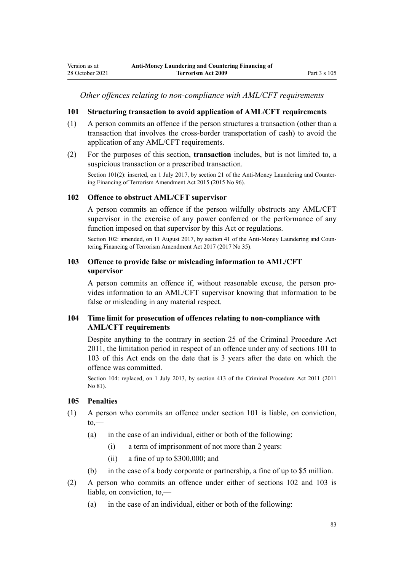*Other offences relating to non-compliance with AML/CFT requirements*

## **101 Structuring transaction to avoid application of AML/CFT requirements**

- (1) A person commits an offence if the person structures a transaction (other than a transaction that involves the cross-border transportation of cash) to avoid the application of any AML/CFT requirements.
- (2) For the purposes of this section, **transaction** includes, but is not limited to, a suspicious transaction or a prescribed transaction.

Section 101(2): inserted, on 1 July 2017, by [section 21](http://legislation.govt.nz/pdflink.aspx?id=DLM6602239) of the Anti-Money Laundering and Countering Financing of Terrorism Amendment Act 2015 (2015 No 96).

## **102 Offence to obstruct AML/CFT supervisor**

A person commits an offence if the person wilfully obstructs any AML/CFT supervisor in the exercise of any power conferred or the performance of any function imposed on that supervisor by this Act or regulations.

Section 102: amended, on 11 August 2017, by [section 41](http://legislation.govt.nz/pdflink.aspx?id=DLM7340631) of the Anti-Money Laundering and Countering Financing of Terrorism Amendment Act 2017 (2017 No 35).

## **103 Offence to provide false or misleading information to AML/CFT supervisor**

A person commits an offence if, without reasonable excuse, the person pro‐ vides information to an AML/CFT supervisor knowing that information to be false or misleading in any material respect.

## **104 Time limit for prosecution of offences relating to non-compliance with AML/CFT requirements**

Despite anything to the contrary in [section 25](http://legislation.govt.nz/pdflink.aspx?id=DLM3360067) of the Criminal Procedure Act 2011, the limitation period in respect of an offence under any of sections 101 to 103 of this Act ends on the date that is 3 years after the date on which the offence was committed.

Section 104: replaced, on 1 July 2013, by [section 413](http://legislation.govt.nz/pdflink.aspx?id=DLM3360714) of the Criminal Procedure Act 2011 (2011 No 81).

#### **105 Penalties**

- (1) A person who commits an offence under section 101 is liable, on conviction,  $to$ —
	- (a) in the case of an individual, either or both of the following:
		- (i) a term of imprisonment of not more than 2 years:
		- (ii) a fine of up to \$300,000; and
	- (b) in the case of a body corporate or partnership, a fine of up to \$5 million.
- (2) A person who commits an offence under either of sections 102 and 103 is liable, on conviction, to,—
	- (a) in the case of an individual, either or both of the following: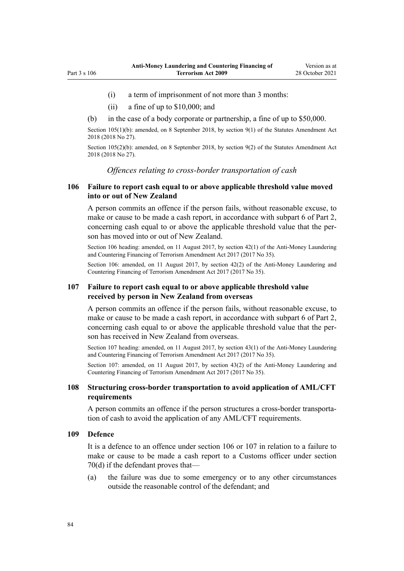- <span id="page-83-0"></span>(i) a term of imprisonment of not more than 3 months:
- (ii) a fine of up to \$10,000; and
- (b) in the case of a body corporate or partnership, a fine of up to \$50,000.

Section 105(1)(b): amended, on 8 September 2018, by [section 9\(1\)](http://legislation.govt.nz/pdflink.aspx?id=LMS15921) of the Statutes Amendment Act 2018 (2018 No 27).

Section 105(2)(b): amended, on 8 September 2018, by [section 9\(2\)](http://legislation.govt.nz/pdflink.aspx?id=LMS15921) of the Statutes Amendment Act 2018 (2018 No 27).

*Offences relating to cross-border transportation of cash*

## **106 Failure to report cash equal to or above applicable threshold value moved into or out of New Zealand**

A person commits an offence if the person fails, without reasonable excuse, to make or cause to be made a cash report, in accordance with [subpart 6](#page-69-0) of Part 2, concerning cash equal to or above the applicable threshold value that the person has moved into or out of New Zealand.

Section 106 heading: amended, on 11 August 2017, by [section 42\(1\)](http://legislation.govt.nz/pdflink.aspx?id=DLM7161324) of the Anti-Money Laundering and Countering Financing of Terrorism Amendment Act 2017 (2017 No 35).

Section 106: amended, on 11 August 2017, by [section 42\(2\)](http://legislation.govt.nz/pdflink.aspx?id=DLM7161324) of the Anti-Money Laundering and Countering Financing of Terrorism Amendment Act 2017 (2017 No 35).

### **107 Failure to report cash equal to or above applicable threshold value received by person in New Zealand from overseas**

A person commits an offence if the person fails, without reasonable excuse, to make or cause to be made a cash report, in accordance with [subpart 6](#page-69-0) of Part 2, concerning cash equal to or above the applicable threshold value that the per‐ son has received in New Zealand from overseas.

Section 107 heading: amended, on 11 August 2017, by [section 43\(1\)](http://legislation.govt.nz/pdflink.aspx?id=DLM7161325) of the Anti-Money Laundering and Countering Financing of Terrorism Amendment Act 2017 (2017 No 35).

Section 107: amended, on 11 August 2017, by [section 43\(2\)](http://legislation.govt.nz/pdflink.aspx?id=DLM7161325) of the Anti-Money Laundering and Countering Financing of Terrorism Amendment Act 2017 (2017 No 35).

### **108 Structuring cross-border transportation to avoid application of AML/CFT requirements**

A person commits an offence if the person structures a cross-border transporta‐ tion of cash to avoid the application of any AML/CFT requirements.

### **109 Defence**

It is a defence to an offence under section 106 or 107 in relation to a failure to make or cause to be made a cash report to a Customs officer under [section](#page-69-0) [70\(d\)](#page-69-0) if the defendant proves that—

(a) the failure was due to some emergency or to any other circumstances outside the reasonable control of the defendant; and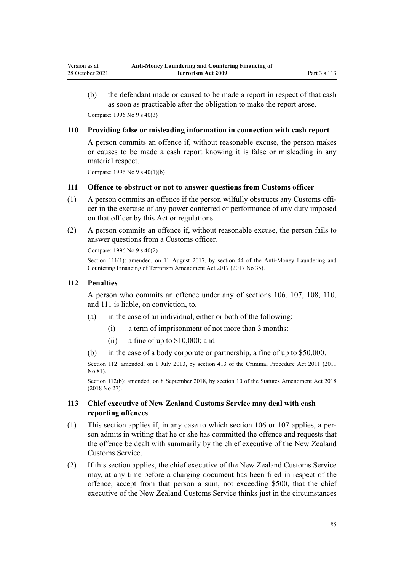<span id="page-84-0"></span>(b) the defendant made or caused to be made a report in respect of that cash as soon as practicable after the obligation to make the report arose. Compare: 1996 No 9 [s 40\(3\)](http://legislation.govt.nz/pdflink.aspx?id=DLM374157)

### **110 Providing false or misleading information in connection with cash report**

A person commits an offence if, without reasonable excuse, the person makes or causes to be made a cash report knowing it is false or misleading in any material respect.

Compare: 1996 No 9 [s 40\(1\)\(b\)](http://legislation.govt.nz/pdflink.aspx?id=DLM374157)

#### **111 Offence to obstruct or not to answer questions from Customs officer**

- (1) A person commits an offence if the person wilfully obstructs any Customs offi‐ cer in the exercise of any power conferred or performance of any duty imposed on that officer by this Act or regulations.
- (2) A person commits an offence if, without reasonable excuse, the person fails to answer questions from a Customs officer.

Compare: 1996 No 9 [s 40\(2\)](http://legislation.govt.nz/pdflink.aspx?id=DLM374157)

Section 111(1): amended, on 11 August 2017, by [section 44](http://legislation.govt.nz/pdflink.aspx?id=DLM7340632) of the Anti-Money Laundering and Countering Financing of Terrorism Amendment Act 2017 (2017 No 35).

#### **112 Penalties**

A person who commits an offence under any of [sections 106,](#page-83-0) [107](#page-83-0), [108](#page-83-0), 110, and 111 is liable, on conviction, to,—

- (a) in the case of an individual, either or both of the following:
	- (i) a term of imprisonment of not more than 3 months:
	- (ii) a fine of up to \$10,000; and
- (b) in the case of a body corporate or partnership, a fine of up to \$50,000.

Section 112: amended, on 1 July 2013, by [section 413](http://legislation.govt.nz/pdflink.aspx?id=DLM3360714) of the Criminal Procedure Act 2011 (2011 No 81).

Section 112(b): amended, on 8 September 2018, by [section 10](http://legislation.govt.nz/pdflink.aspx?id=LMS15922) of the Statutes Amendment Act 2018 (2018 No 27).

## **113 Chief executive of New Zealand Customs Service may deal with cash reporting offences**

- (1) This section applies if, in any case to which [section 106](#page-83-0) or [107](#page-83-0) applies, a per‐ son admits in writing that he or she has committed the offence and requests that the offence be dealt with summarily by the chief executive of the New Zealand Customs Service.
- (2) If this section applies, the chief executive of the New Zealand Customs Service may, at any time before a charging document has been filed in respect of the offence, accept from that person a sum, not exceeding \$500, that the chief executive of the New Zealand Customs Service thinks just in the circumstances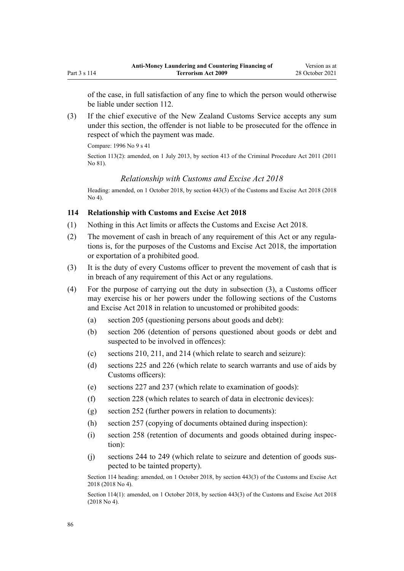<span id="page-85-0"></span>of the case, in full satisfaction of any fine to which the person would otherwise be liable under [section 112.](#page-84-0)

(3) If the chief executive of the New Zealand Customs Service accepts any sum under this section, the offender is not liable to be prosecuted for the offence in respect of which the payment was made.

Compare: 1996 No 9 [s 41](http://legislation.govt.nz/pdflink.aspx?id=DLM374160)

Section 113(2): amended, on 1 July 2013, by [section 413](http://legislation.govt.nz/pdflink.aspx?id=DLM3360714) of the Criminal Procedure Act 2011 (2011 No 81).

## *Relationship with Customs and Excise Act 2018*

Heading: amended, on 1 October 2018, by [section 443\(3\)](http://legislation.govt.nz/pdflink.aspx?id=DLM7039957) of the Customs and Excise Act 2018 (2018 No 4).

## **114 Relationship with Customs and Excise Act 2018**

- (1) Nothing in this Act limits or affects the [Customs and Excise Act 2018.](http://legislation.govt.nz/pdflink.aspx?id=DLM7038920)
- (2) The movement of cash in breach of any requirement of this Act or any regula‐ tions is, for the purposes of the [Customs and Excise Act 2018,](http://legislation.govt.nz/pdflink.aspx?id=DLM7038920) the importation or exportation of a prohibited good.
- (3) It is the duty of every Customs officer to prevent the movement of cash that is in breach of any requirement of this Act or any regulations.
- (4) For the purpose of carrying out the duty in subsection (3), a Customs officer may exercise his or her powers under the following sections of the [Customs](http://legislation.govt.nz/pdflink.aspx?id=DLM7038920) [and Excise Act 2018](http://legislation.govt.nz/pdflink.aspx?id=DLM7038920) in relation to uncustomed or prohibited goods:
	- (a) [section 205](http://legislation.govt.nz/pdflink.aspx?id=DLM7039465) (questioning persons about goods and debt):
	- (b) [section 206](http://legislation.govt.nz/pdflink.aspx?id=DLM7039466) (detention of persons questioned about goods or debt and suspected to be involved in offences):
	- (c) [sections 210](http://legislation.govt.nz/pdflink.aspx?id=DLM7039472), [211,](http://legislation.govt.nz/pdflink.aspx?id=DLM7039474) and [214](http://legislation.govt.nz/pdflink.aspx?id=DLM7039477) (which relate to search and seizure):
	- (d) [sections 225](http://legislation.govt.nz/pdflink.aspx?id=DLM7039495) and [226](http://legislation.govt.nz/pdflink.aspx?id=DLM7039500) (which relate to search warrants and use of aids by Customs officers):
	- (e) [sections 227](http://legislation.govt.nz/pdflink.aspx?id=DLM7039502) and [237](http://legislation.govt.nz/pdflink.aspx?id=DLM7039529) (which relate to examination of goods):
	- (f) [section 228](http://legislation.govt.nz/pdflink.aspx?id=DLM7039503) (which relates to search of data in electronic devices):
	- (g) [section 252](http://legislation.govt.nz/pdflink.aspx?id=DLM7039555) (further powers in relation to documents):
	- (h) [section 257](http://legislation.govt.nz/pdflink.aspx?id=DLM7039565) (copying of documents obtained during inspection):
	- (i) [section 258](http://legislation.govt.nz/pdflink.aspx?id=DLM7039566) (retention of documents and goods obtained during inspec‐ tion):
	- (j) [sections 244 to 249](http://legislation.govt.nz/pdflink.aspx?id=DLM7039537) (which relate to seizure and detention of goods sus‐ pected to be tainted property).

Section 114 heading: amended, on 1 October 2018, by [section 443\(3\)](http://legislation.govt.nz/pdflink.aspx?id=DLM7039957) of the Customs and Excise Act 2018 (2018 No 4).

Section 114(1): amended, on 1 October 2018, by [section 443\(3\)](http://legislation.govt.nz/pdflink.aspx?id=DLM7039957) of the Customs and Excise Act 2018 (2018 No 4).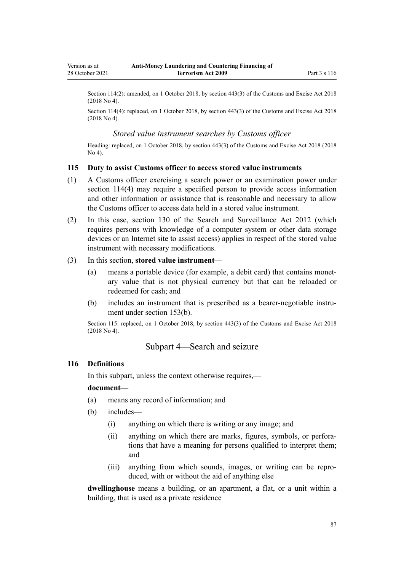Section 114(2): amended, on 1 October 2018, by [section 443\(3\)](http://legislation.govt.nz/pdflink.aspx?id=DLM7039957) of the Customs and Excise Act 2018 (2018 No 4).

Section 114(4): replaced, on 1 October 2018, by [section 443\(3\)](http://legislation.govt.nz/pdflink.aspx?id=DLM7039957) of the Customs and Excise Act 2018 (2018 No 4).

### *Stored value instrument searches by Customs officer*

Heading: replaced, on 1 October 2018, by [section 443\(3\)](http://legislation.govt.nz/pdflink.aspx?id=DLM7039957) of the Customs and Excise Act 2018 (2018 No 4).

### **115 Duty to assist Customs officer to access stored value instruments**

- (1) A Customs officer exercising a search power or an examination power under [section 114\(4\)](#page-85-0) may require a specified person to provide access information and other information or assistance that is reasonable and necessary to allow the Customs officer to access data held in a stored value instrument.
- (2) In this case, [section 130](http://legislation.govt.nz/pdflink.aspx?id=DLM4355803) of the Search and Surveillance Act 2012 (which requires persons with knowledge of a computer system or other data storage devices or an Internet site to assist access) applies in respect of the stored value instrument with necessary modifications.

### (3) In this section, **stored value instrument**—

- (a) means a portable device (for example, a debit card) that contains monet‐ ary value that is not physical currency but that can be reloaded or redeemed for cash; and
- (b) includes an instrument that is prescribed as a bearer-negotiable instrument under [section 153\(b\)](#page-106-0).

Section 115: replaced, on 1 October 2018, by [section 443\(3\)](http://legislation.govt.nz/pdflink.aspx?id=DLM7039957) of the Customs and Excise Act 2018 (2018 No 4).

## Subpart 4—Search and seizure

#### **116 Definitions**

In this subpart, unless the context otherwise requires,—

#### **document**—

- (a) means any record of information; and
- (b) includes—
	- (i) anything on which there is writing or any image; and
	- (ii) anything on which there are marks, figures, symbols, or perforations that have a meaning for persons qualified to interpret them; and
	- (iii) anything from which sounds, images, or writing can be repro‐ duced, with or without the aid of anything else

**dwellinghouse** means a building, or an apartment, a flat, or a unit within a building, that is used as a private residence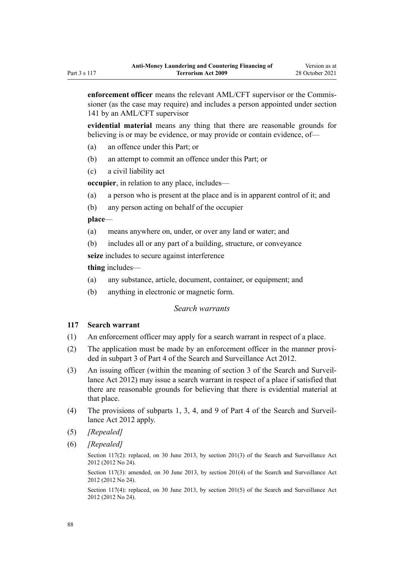<span id="page-87-0"></span>**enforcement officer** means the relevant AML/CFT supervisor or the Commis‐ sioner (as the case may require) and includes a person appointed under [section](#page-99-0) [141](#page-99-0) by an AML/CFT supervisor

**evidential material** means any thing that there are reasonable grounds for believing is or may be evidence, or may provide or contain evidence, of—

- (a) an offence under this Part; or
- (b) an attempt to commit an offence under this Part; or
- (c) a civil liability act

**occupier**, in relation to any place, includes—

- (a) a person who is present at the place and is in apparent control of it; and
- (b) any person acting on behalf of the occupier

**place**—

- (a) means anywhere on, under, or over any land or water; and
- (b) includes all or any part of a building, structure, or conveyance

**seize** includes to secure against interference

**thing** includes—

- (a) any substance, article, document, container, or equipment; and
- (b) anything in electronic or magnetic form.

## *Search warrants*

### **117 Search warrant**

- (1) An enforcement officer may apply for a search warrant in respect of a place.
- (2) The application must be made by an enforcement officer in the manner provided in [subpart 3](http://legislation.govt.nz/pdflink.aspx?id=DLM2136781) of Part 4 of the Search and Surveillance Act 2012.
- (3) An issuing officer (within the meaning of [section 3](http://legislation.govt.nz/pdflink.aspx?id=DLM2136542) of the Search and Surveil‐ lance Act 2012) may issue a search warrant in respect of a place if satisfied that there are reasonable grounds for believing that there is evidential material at that place.
- (4) The provisions of [subparts 1](http://legislation.govt.nz/pdflink.aspx?id=DLM2136771), [3,](http://legislation.govt.nz/pdflink.aspx?id=DLM2136781) [4](http://legislation.govt.nz/pdflink.aspx?id=DLM2136801), and [9](http://legislation.govt.nz/pdflink.aspx?id=DLM2136888) of Part 4 of the Search and Surveil‐ lance Act 2012 apply.
- (5) *[Repealed]*
- (6) *[Repealed]*

Section 117(2): replaced, on 30 June 2013, by [section 201\(3\)](http://legislation.govt.nz/pdflink.aspx?id=DLM4355905) of the Search and Surveillance Act 2012 (2012 No 24).

Section 117(3): amended, on 30 June 2013, by [section 201\(4\)](http://legislation.govt.nz/pdflink.aspx?id=DLM4355905) of the Search and Surveillance Act 2012 (2012 No 24).

Section 117(4): replaced, on 30 June 2013, by [section 201\(5\)](http://legislation.govt.nz/pdflink.aspx?id=DLM4355905) of the Search and Surveillance Act 2012 (2012 No 24).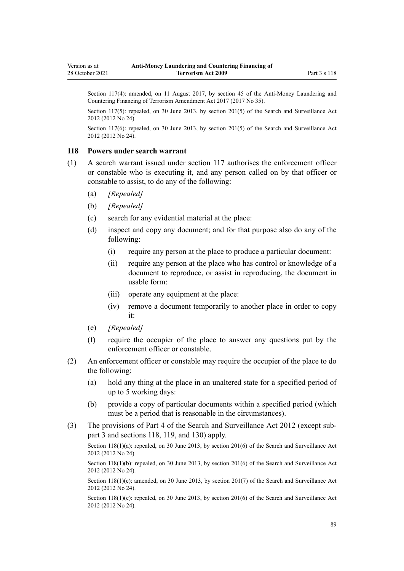Section 117(4): amended, on 11 August 2017, by [section 45](http://legislation.govt.nz/pdflink.aspx?id=DLM7161326) of the Anti-Money Laundering and Countering Financing of Terrorism Amendment Act 2017 (2017 No 35).

Section 117(5): repealed, on 30 June 2013, by [section 201\(5\)](http://legislation.govt.nz/pdflink.aspx?id=DLM4355905) of the Search and Surveillance Act 2012 (2012 No 24).

Section 117(6): repealed, on 30 June 2013, by [section 201\(5\)](http://legislation.govt.nz/pdflink.aspx?id=DLM4355905) of the Search and Surveillance Act 2012 (2012 No 24).

#### **118 Powers under search warrant**

- (1) A search warrant issued under [section 117](#page-87-0) authorises the enforcement officer or constable who is executing it, and any person called on by that officer or constable to assist, to do any of the following:
	- (a) *[Repealed]*
	- (b) *[Repealed]*
	- (c) search for any evidential material at the place:
	- (d) inspect and copy any document; and for that purpose also do any of the following:
		- (i) require any person at the place to produce a particular document:
		- (ii) require any person at the place who has control or knowledge of a document to reproduce, or assist in reproducing, the document in usable form:
		- (iii) operate any equipment at the place:
		- (iv) remove a document temporarily to another place in order to copy it:
	- (e) *[Repealed]*
	- (f) require the occupier of the place to answer any questions put by the enforcement officer or constable.
- (2) An enforcement officer or constable may require the occupier of the place to do the following:
	- (a) hold any thing at the place in an unaltered state for a specified period of up to 5 working days:
	- (b) provide a copy of particular documents within a specified period (which must be a period that is reasonable in the circumstances).
- (3) The provisions of [Part 4](http://legislation.govt.nz/pdflink.aspx?id=DLM2136770) of the Search and Surveillance Act 2012 (except [sub‐](http://legislation.govt.nz/pdflink.aspx?id=DLM2136781) [part 3](http://legislation.govt.nz/pdflink.aspx?id=DLM2136781) and [sections 118,](http://legislation.govt.nz/pdflink.aspx?id=DLM2136813) [119](http://legislation.govt.nz/pdflink.aspx?id=DLM2136815), and [130\)](http://legislation.govt.nz/pdflink.aspx?id=DLM4355803) apply.

Section 118(1)(a): repealed, on 30 June 2013, by [section 201\(6\)](http://legislation.govt.nz/pdflink.aspx?id=DLM4355905) of the Search and Surveillance Act 2012 (2012 No 24).

Section 118(1)(b): repealed, on 30 June 2013, by [section 201\(6\)](http://legislation.govt.nz/pdflink.aspx?id=DLM4355905) of the Search and Surveillance Act 2012 (2012 No 24).

Section 118(1)(c): amended, on 30 June 2013, by [section 201\(7\)](http://legislation.govt.nz/pdflink.aspx?id=DLM4355905) of the Search and Surveillance Act 2012 (2012 No 24).

Section 118(1)(e): repealed, on 30 June 2013, by [section 201\(6\)](http://legislation.govt.nz/pdflink.aspx?id=DLM4355905) of the Search and Surveillance Act 2012 (2012 No 24).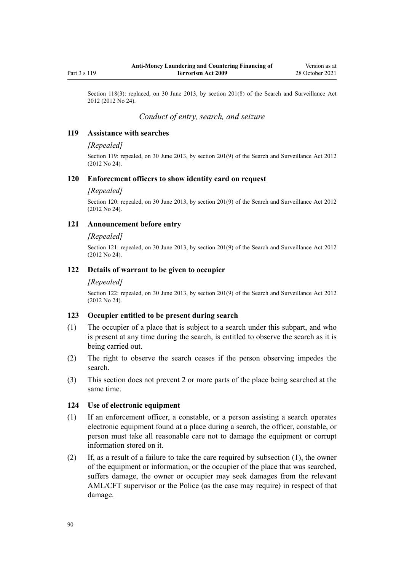Section 118(3): replaced, on 30 June 2013, by [section 201\(8\)](http://legislation.govt.nz/pdflink.aspx?id=DLM4355905) of the Search and Surveillance Act 2012 (2012 No 24).

## *Conduct of entry, search, and seizure*

### **119 Assistance with searches**

#### *[Repealed]*

Section 119: repealed, on 30 June 2013, by [section 201\(9\)](http://legislation.govt.nz/pdflink.aspx?id=DLM4355905) of the Search and Surveillance Act 2012 (2012 No 24).

#### **120 Enforcement officers to show identity card on request**

### *[Repealed]*

Section 120: repealed, on 30 June 2013, by [section 201\(9\)](http://legislation.govt.nz/pdflink.aspx?id=DLM4355905) of the Search and Surveillance Act 2012 (2012 No 24).

### **121 Announcement before entry**

#### *[Repealed]*

Section 121: repealed, on 30 June 2013, by [section 201\(9\)](http://legislation.govt.nz/pdflink.aspx?id=DLM4355905) of the Search and Surveillance Act 2012 (2012 No 24).

### **122 Details of warrant to be given to occupier**

#### *[Repealed]*

Section 122: repealed, on 30 June 2013, by [section 201\(9\)](http://legislation.govt.nz/pdflink.aspx?id=DLM4355905) of the Search and Surveillance Act 2012 (2012 No 24).

## **123 Occupier entitled to be present during search**

- (1) The occupier of a place that is subject to a search under this subpart, and who is present at any time during the search, is entitled to observe the search as it is being carried out.
- (2) The right to observe the search ceases if the person observing impedes the search.
- (3) This section does not prevent 2 or more parts of the place being searched at the same time.

### **124 Use of electronic equipment**

- (1) If an enforcement officer, a constable, or a person assisting a search operates electronic equipment found at a place during a search, the officer, constable, or person must take all reasonable care not to damage the equipment or corrupt information stored on it.
- (2) If, as a result of a failure to take the care required by subsection (1), the owner of the equipment or information, or the occupier of the place that was searched, suffers damage, the owner or occupier may seek damages from the relevant AML/CFT supervisor or the Police (as the case may require) in respect of that damage.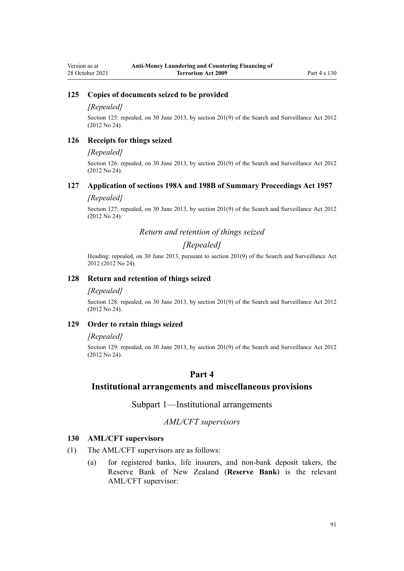## **125 Copies of documents seized to be provided**

#### *[Repealed]*

Section 125: repealed, on 30 June 2013, by [section 201\(9\)](http://legislation.govt.nz/pdflink.aspx?id=DLM4355905) of the Search and Surveillance Act 2012 (2012 No 24).

#### **126 Receipts for things seized**

#### *[Repealed]*

Section 126: repealed, on 30 June 2013, by [section 201\(9\)](http://legislation.govt.nz/pdflink.aspx?id=DLM4355905) of the Search and Surveillance Act 2012 (2012 No 24).

#### **127 Application of sections 198A and 198B of Summary Proceedings Act 1957**

### *[Repealed]*

Section 127: repealed, on 30 June 2013, by [section 201\(9\)](http://legislation.govt.nz/pdflink.aspx?id=DLM4355905) of the Search and Surveillance Act 2012 (2012 No 24).

## *Return and retention of things seized*

## *[Repealed]*

Heading: repealed, on 30 June 2013, pursuant to [section 201\(9\)](http://legislation.govt.nz/pdflink.aspx?id=DLM4355905) of the Search and Surveillance Act 2012 (2012 No 24).

### **128 Return and retention of things seized**

#### *[Repealed]*

Section 128: repealed, on 30 June 2013, by [section 201\(9\)](http://legislation.govt.nz/pdflink.aspx?id=DLM4355905) of the Search and Surveillance Act 2012 (2012 No 24).

## **129 Order to retain things seized**

#### *[Repealed]*

Section 129: repealed, on 30 June 2013, by [section 201\(9\)](http://legislation.govt.nz/pdflink.aspx?id=DLM4355905) of the Search and Surveillance Act 2012 (2012 No 24).

# **Part 4**

# **Institutional arrangements and miscellaneous provisions**

Subpart 1—Institutional arrangements

## *AML/CFT supervisors*

## **130 AML/CFT supervisors**

- (1) The AML/CFT supervisors are as follows:
	- (a) for registered banks, life insurers, and non-bank deposit takers, the Reserve Bank of New Zealand (**Reserve Bank**) is the relevant AML/CFT supervisor: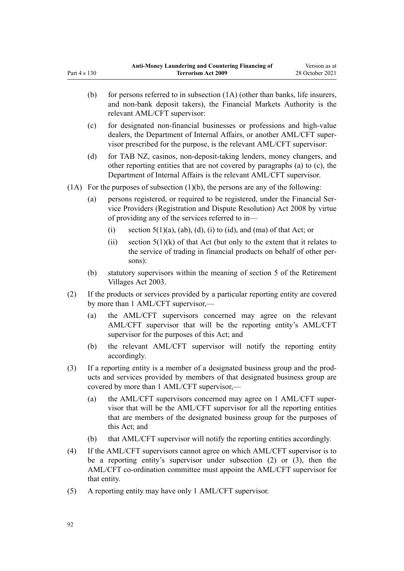|      | (b)                                                                                                                                                                                                          | for persons referred to in subsection (1A) (other than banks, life insurers,<br>and non-bank deposit takers), the Financial Markets Authority is the<br>relevant AML/CFT supervisor:                                                  |  |  |  |
|------|--------------------------------------------------------------------------------------------------------------------------------------------------------------------------------------------------------------|---------------------------------------------------------------------------------------------------------------------------------------------------------------------------------------------------------------------------------------|--|--|--|
|      | (c)                                                                                                                                                                                                          | for designated non-financial businesses or professions and high-value<br>dealers, the Department of Internal Affairs, or another AML/CFT super-<br>visor prescribed for the purpose, is the relevant AML/CFT supervisor:              |  |  |  |
|      | (d)                                                                                                                                                                                                          | for TAB NZ, casinos, non-deposit-taking lenders, money changers, and<br>other reporting entities that are not covered by paragraphs (a) to (c), the<br>Department of Internal Affairs is the relevant AML/CFT supervisor.             |  |  |  |
| (1A) | For the purposes of subsection $(1)(b)$ , the persons are any of the following:                                                                                                                              |                                                                                                                                                                                                                                       |  |  |  |
|      | (a)                                                                                                                                                                                                          | persons registered, or required to be registered, under the Financial Ser-<br>vice Providers (Registration and Dispute Resolution) Act 2008 by virtue<br>of providing any of the services referred to in-                             |  |  |  |
|      |                                                                                                                                                                                                              | section $5(1)(a)$ , $(ab)$ , $(d)$ , $(i)$ to $(id)$ , and $(ma)$ of that Act; or<br>(i)                                                                                                                                              |  |  |  |
|      |                                                                                                                                                                                                              | section $5(1)(k)$ of that Act (but only to the extent that it relates to<br>(ii)<br>the service of trading in financial products on behalf of other per-<br>sons):                                                                    |  |  |  |
|      | (b)                                                                                                                                                                                                          | statutory supervisors within the meaning of section 5 of the Retirement<br>Villages Act 2003.                                                                                                                                         |  |  |  |
| (2)  | If the products or services provided by a particular reporting entity are covered<br>by more than 1 AML/CFT supervisor,—                                                                                     |                                                                                                                                                                                                                                       |  |  |  |
|      | (a)                                                                                                                                                                                                          | the AML/CFT supervisors concerned may agree on the relevant<br>AML/CFT supervisor that will be the reporting entity's AML/CFT<br>supervisor for the purposes of this Act; and                                                         |  |  |  |
|      | (b)                                                                                                                                                                                                          | the relevant AML/CFT supervisor will notify the reporting entity<br>accordingly.                                                                                                                                                      |  |  |  |
| (3)  | If a reporting entity is a member of a designated business group and the prod-<br>ucts and services provided by members of that designated business group are<br>covered by more than 1 AML/CFT supervisor,- |                                                                                                                                                                                                                                       |  |  |  |
|      | (a)                                                                                                                                                                                                          | the AML/CFT supervisors concerned may agree on 1 AML/CFT super-<br>visor that will be the AML/CFT supervisor for all the reporting entities<br>that are members of the designated business group for the purposes of<br>this Act; and |  |  |  |
|      | (b)                                                                                                                                                                                                          | that AML/CFT supervisor will notify the reporting entities accordingly.                                                                                                                                                               |  |  |  |
| (4)  | that entity.                                                                                                                                                                                                 | If the AML/CFT supervisors cannot agree on which AML/CFT supervisor is to<br>be a reporting entity's supervisor under subsection $(2)$ or $(3)$ , then the<br>AML/CFT co-ordination committee must appoint the AML/CFT supervisor for |  |  |  |

(5) A reporting entity may have only 1 AML/CFT supervisor.

Part 4 s 130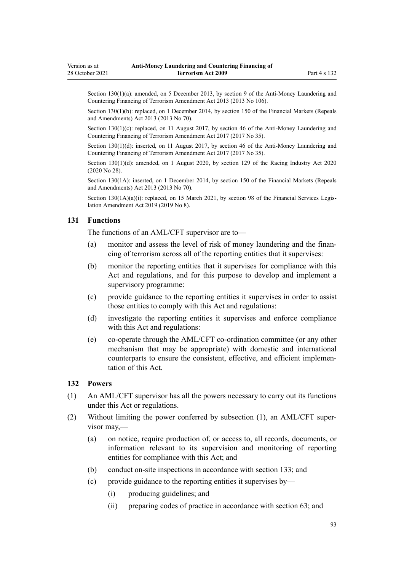<span id="page-92-0"></span>Section 130(1)(a): amended, on 5 December 2013, by [section 9](http://legislation.govt.nz/pdflink.aspx?id=DLM5621513) of the Anti-Money Laundering and Countering Financing of Terrorism Amendment Act 2013 (2013 No 106).

Section 130(1)(b): replaced, on 1 December 2014, by [section 150](http://legislation.govt.nz/pdflink.aspx?id=DLM5561603) of the Financial Markets (Repeals and Amendments) Act 2013 (2013 No 70).

Section 130(1)(c): replaced, on 11 August 2017, by [section 46](http://legislation.govt.nz/pdflink.aspx?id=DLM7161327) of the Anti-Money Laundering and Countering Financing of Terrorism Amendment Act 2017 (2017 No 35).

Section 130(1)(d): inserted, on 11 August 2017, by [section 46](http://legislation.govt.nz/pdflink.aspx?id=DLM7161327) of the Anti-Money Laundering and Countering Financing of Terrorism Amendment Act 2017 (2017 No 35).

Section 130(1)(d): amended, on 1 August 2020, by [section 129](http://legislation.govt.nz/pdflink.aspx?id=LMS292230) of the Racing Industry Act 2020 (2020 No 28).

Section 130(1A): inserted, on 1 December 2014, by [section 150](http://legislation.govt.nz/pdflink.aspx?id=DLM5561603) of the Financial Markets (Repeals and Amendments) Act 2013 (2013 No 70).

Section  $130(1A)(a)(i)$ : replaced, on 15 March 2021, by [section 98](http://legislation.govt.nz/pdflink.aspx?id=DLM7386624) of the Financial Services Legislation Amendment Act 2019 (2019 No 8).

## **131 Functions**

The functions of an AML/CFT supervisor are to—

- (a) monitor and assess the level of risk of money laundering and the financing of terrorism across all of the reporting entities that it supervises:
- (b) monitor the reporting entities that it supervises for compliance with this Act and regulations, and for this purpose to develop and implement a supervisory programme:
- (c) provide guidance to the reporting entities it supervises in order to assist those entities to comply with this Act and regulations:
- (d) investigate the reporting entities it supervises and enforce compliance with this Act and regulations:
- (e) co-operate through the AML/CFT co-ordination committee (or any other mechanism that may be appropriate) with domestic and international counterparts to ensure the consistent, effective, and efficient implemen‐ tation of this Act.

## **132 Powers**

- (1) An AML/CFT supervisor has all the powers necessary to carry out its functions under this Act or regulations.
- (2) Without limiting the power conferred by subsection (1), an AML/CFT super‐ visor may,—
	- (a) on notice, require production of, or access to, all records, documents, or information relevant to its supervision and monitoring of reporting entities for compliance with this Act; and
	- (b) conduct on-site inspections in accordance with [section 133;](#page-93-0) and
	- (c) provide guidance to the reporting entities it supervises by—
		- (i) producing guidelines; and
		- (ii) preparing codes of practice in accordance with [section 63;](#page-66-0) and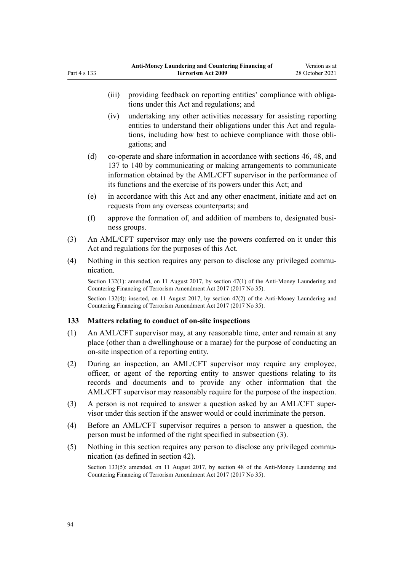- <span id="page-93-0"></span>(iv) undertaking any other activities necessary for assisting reporting entities to understand their obligations under this Act and regula‐ tions, including how best to achieve compliance with those obli‐ gations; and
- (d) co-operate and share information in accordance with [sections 46](#page-54-0), [48,](#page-56-0) and [137 to 140](#page-95-0) by communicating or making arrangements to communicate information obtained by the AML/CFT supervisor in the performance of its functions and the exercise of its powers under this Act; and
- (e) in accordance with this Act and any other enactment, initiate and act on requests from any overseas counterparts; and
- (f) approve the formation of, and addition of members to, designated busi‐ ness groups.
- (3) An AML/CFT supervisor may only use the powers conferred on it under this Act and regulations for the purposes of this Act.
- (4) Nothing in this section requires any person to disclose any privileged communication.

Section 132(1): amended, on 11 August 2017, by [section 47\(1\)](http://legislation.govt.nz/pdflink.aspx?id=DLM7340633) of the Anti-Money Laundering and Countering Financing of Terrorism Amendment Act 2017 (2017 No 35).

Section 132(4): inserted, on 11 August 2017, by [section 47\(2\)](http://legislation.govt.nz/pdflink.aspx?id=DLM7340633) of the Anti-Money Laundering and Countering Financing of Terrorism Amendment Act 2017 (2017 No 35).

## **133 Matters relating to conduct of on-site inspections**

- (1) An AML/CFT supervisor may, at any reasonable time, enter and remain at any place (other than a dwellinghouse or a marae) for the purpose of conducting an on-site inspection of a reporting entity.
- (2) During an inspection, an AML/CFT supervisor may require any employee, officer, or agent of the reporting entity to answer questions relating to its records and documents and to provide any other information that the AML/CFT supervisor may reasonably require for the purpose of the inspection.
- (3) A person is not required to answer a question asked by an AML/CFT super‐ visor under this section if the answer would or could incriminate the person.
- (4) Before an AML/CFT supervisor requires a person to answer a question, the person must be informed of the right specified in subsection (3).
- (5) Nothing in this section requires any person to disclose any privileged communication (as defined in [section 42\)](#page-52-0).

Section 133(5): amended, on 11 August 2017, by [section 48](http://legislation.govt.nz/pdflink.aspx?id=DLM7340634) of the Anti-Money Laundering and Countering Financing of Terrorism Amendment Act 2017 (2017 No 35).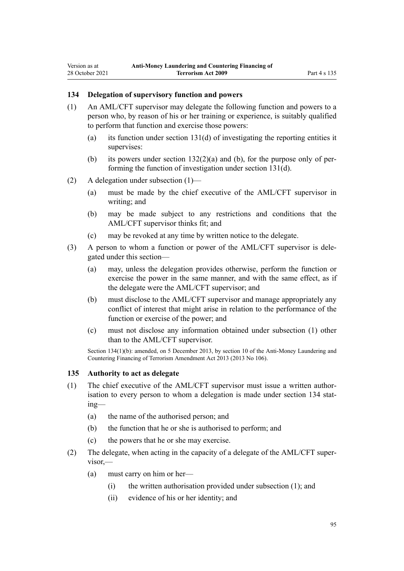## <span id="page-94-0"></span>**134 Delegation of supervisory function and powers**

- (1) An AML/CFT supervisor may delegate the following function and powers to a person who, by reason of his or her training or experience, is suitably qualified to perform that function and exercise those powers:
	- (a) its function under [section 131\(d\)](#page-92-0) of investigating the reporting entities it supervises:
	- (b) its powers under section  $132(2)(a)$  and (b), for the purpose only of performing the function of investigation under [section 131\(d\)](#page-92-0).
- (2) A delegation under subsection (1)—
	- (a) must be made by the chief executive of the AML/CFT supervisor in writing; and
	- (b) may be made subject to any restrictions and conditions that the AML/CFT supervisor thinks fit; and
	- (c) may be revoked at any time by written notice to the delegate.
- (3) A person to whom a function or power of the AML/CFT supervisor is dele‐ gated under this section—
	- (a) may, unless the delegation provides otherwise, perform the function or exercise the power in the same manner, and with the same effect, as if the delegate were the AML/CFT supervisor; and
	- (b) must disclose to the AML/CFT supervisor and manage appropriately any conflict of interest that might arise in relation to the performance of the function or exercise of the power; and
	- (c) must not disclose any information obtained under subsection (1) other than to the AML/CFT supervisor.

Section 134(1)(b): amended, on 5 December 2013, by [section 10](http://legislation.govt.nz/pdflink.aspx?id=DLM5621514) of the Anti-Money Laundering and Countering Financing of Terrorism Amendment Act 2013 (2013 No 106).

### **135 Authority to act as delegate**

- $(1)$  The chief executive of the AML/CFT supervisor must issue a written authorisation to every person to whom a delegation is made under section 134 stating—
	- (a) the name of the authorised person; and
	- (b) the function that he or she is authorised to perform; and
	- (c) the powers that he or she may exercise.
- (2) The delegate, when acting in the capacity of a delegate of the AML/CFT super‐ visor,—
	- (a) must carry on him or her—
		- (i) the written authorisation provided under subsection (1); and
		- (ii) evidence of his or her identity; and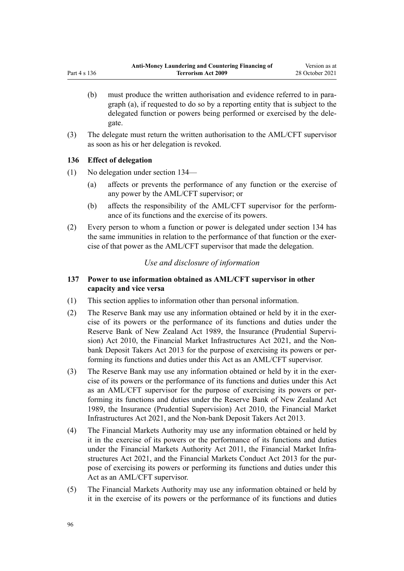- <span id="page-95-0"></span>(b) must produce the written authorisation and evidence referred to in paragraph (a), if requested to do so by a reporting entity that is subject to the delegated function or powers being performed or exercised by the dele‐ gate.
- (3) The delegate must return the written authorisation to the AML/CFT supervisor as soon as his or her delegation is revoked.

## **136 Effect of delegation**

- (1) No delegation under [section 134—](#page-94-0)
	- (a) affects or prevents the performance of any function or the exercise of any power by the AML/CFT supervisor; or
	- (b) affects the responsibility of the AML/CFT supervisor for the perform‐ ance of its functions and the exercise of its powers.
- (2) Every person to whom a function or power is delegated under [section 134](#page-94-0) has the same immunities in relation to the performance of that function or the exercise of that power as the AML/CFT supervisor that made the delegation.

## *Use and disclosure of information*

## **137 Power to use information obtained as AML/CFT supervisor in other capacity and vice versa**

- (1) This section applies to information other than personal information.
- (2) The Reserve Bank may use any information obtained or held by it in the exercise of its powers or the performance of its functions and duties under the [Reserve Bank of New Zealand Act 1989,](http://legislation.govt.nz/pdflink.aspx?id=DLM199363) the Insurance (Prudential Supervi[sion\) Act 2010](http://legislation.govt.nz/pdflink.aspx?id=DLM2478100), the [Financial Market Infrastructures Act 2021,](http://legislation.govt.nz/pdflink.aspx?id=LMS102904) and the [Non](http://legislation.govt.nz/pdflink.aspx?id=DLM3918902)[bank Deposit Takers Act 2013](http://legislation.govt.nz/pdflink.aspx?id=DLM3918902) for the purpose of exercising its powers or per‐ forming its functions and duties under this Act as an AML/CFT supervisor.
- (3) The Reserve Bank may use any information obtained or held by it in the exercise of its powers or the performance of its functions and duties under this Act as an AML/CFT supervisor for the purpose of exercising its powers or per‐ forming its functions and duties under the [Reserve Bank of New Zealand Act](http://legislation.govt.nz/pdflink.aspx?id=DLM199363) [1989](http://legislation.govt.nz/pdflink.aspx?id=DLM199363), the [Insurance \(Prudential Supervision\) Act 2010,](http://legislation.govt.nz/pdflink.aspx?id=DLM2478100) the [Financial Market](http://legislation.govt.nz/pdflink.aspx?id=LMS102904) [Infrastructures Act 2021,](http://legislation.govt.nz/pdflink.aspx?id=LMS102904) and the [Non-bank Deposit Takers Act 2013](http://legislation.govt.nz/pdflink.aspx?id=DLM3918902).
- (4) The Financial Markets Authority may use any information obtained or held by it in the exercise of its powers or the performance of its functions and duties under the [Financial Markets Authority Act 2011,](http://legislation.govt.nz/pdflink.aspx?id=DLM3231004) the Financial Market Infra[structures Act 2021,](http://legislation.govt.nz/pdflink.aspx?id=LMS102904) and the [Financial Markets Conduct Act 2013](http://legislation.govt.nz/pdflink.aspx?id=DLM4090503) for the pur‐ pose of exercising its powers or performing its functions and duties under this Act as an AML/CFT supervisor.
- (5) The Financial Markets Authority may use any information obtained or held by it in the exercise of its powers or the performance of its functions and duties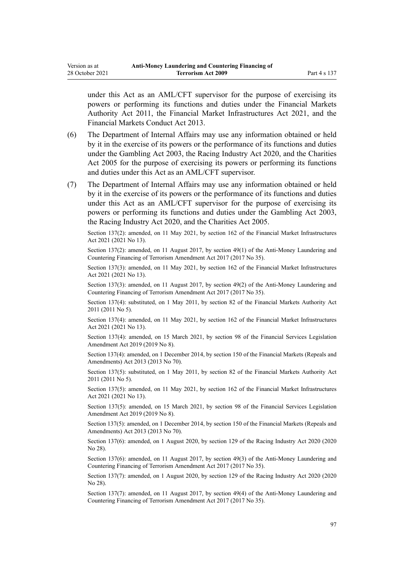under this Act as an AML/CFT supervisor for the purpose of exercising its powers or performing its functions and duties under the [Financial Markets](http://legislation.govt.nz/pdflink.aspx?id=DLM3231004) [Authority Act 2011](http://legislation.govt.nz/pdflink.aspx?id=DLM3231004), the [Financial Market Infrastructures Act 2021,](http://legislation.govt.nz/pdflink.aspx?id=LMS102904) and the [Financial Markets Conduct Act 2013.](http://legislation.govt.nz/pdflink.aspx?id=DLM4090503)

- (6) The Department of Internal Affairs may use any information obtained or held by it in the exercise of its powers or the performance of its functions and duties under the [Gambling Act 2003,](http://legislation.govt.nz/pdflink.aspx?id=DLM207496) the [Racing Industry Act 2020](http://legislation.govt.nz/pdflink.aspx?id=LMS291909), and the [Charities](http://legislation.govt.nz/pdflink.aspx?id=DLM344367) [Act 2005](http://legislation.govt.nz/pdflink.aspx?id=DLM344367) for the purpose of exercising its powers or performing its functions and duties under this Act as an AML/CFT supervisor.
- (7) The Department of Internal Affairs may use any information obtained or held by it in the exercise of its powers or the performance of its functions and duties under this Act as an AML/CFT supervisor for the purpose of exercising its powers or performing its functions and duties under the [Gambling Act 2003](http://legislation.govt.nz/pdflink.aspx?id=DLM207496), the [Racing Industry Act 2020](http://legislation.govt.nz/pdflink.aspx?id=LMS291909), and the [Charities Act 2005](http://legislation.govt.nz/pdflink.aspx?id=DLM344367).

Section 137(2): amended, on 11 May 2021, by [section 162](http://legislation.govt.nz/pdflink.aspx?id=LMS464809) of the Financial Market Infrastructures Act 2021 (2021 No 13).

Section 137(2): amended, on 11 August 2017, by [section 49\(1\)](http://legislation.govt.nz/pdflink.aspx?id=DLM7161328) of the Anti-Money Laundering and Countering Financing of Terrorism Amendment Act 2017 (2017 No 35).

Section 137(3): amended, on 11 May 2021, by [section 162](http://legislation.govt.nz/pdflink.aspx?id=LMS464809) of the Financial Market Infrastructures Act 2021 (2021 No 13).

Section 137(3): amended, on 11 August 2017, by [section 49\(2\)](http://legislation.govt.nz/pdflink.aspx?id=DLM7161328) of the Anti-Money Laundering and Countering Financing of Terrorism Amendment Act 2017 (2017 No 35).

Section 137(4): substituted, on 1 May 2011, by [section 82](http://legislation.govt.nz/pdflink.aspx?id=DLM3231793) of the Financial Markets Authority Act 2011 (2011 No 5).

Section 137(4): amended, on 11 May 2021, by [section 162](http://legislation.govt.nz/pdflink.aspx?id=LMS464809) of the Financial Market Infrastructures Act 2021 (2021 No 13).

Section 137(4): amended, on 15 March 2021, by [section 98](http://legislation.govt.nz/pdflink.aspx?id=DLM7386624) of the Financial Services Legislation Amendment Act 2019 (2019 No 8).

Section 137(4): amended, on 1 December 2014, by [section 150](http://legislation.govt.nz/pdflink.aspx?id=DLM5561603) of the Financial Markets (Repeals and Amendments) Act 2013 (2013 No 70).

Section 137(5): substituted, on 1 May 2011, by [section 82](http://legislation.govt.nz/pdflink.aspx?id=DLM3231793) of the Financial Markets Authority Act 2011 (2011 No 5).

Section 137(5): amended, on 11 May 2021, by [section 162](http://legislation.govt.nz/pdflink.aspx?id=LMS464809) of the Financial Market Infrastructures Act 2021 (2021 No 13).

Section 137(5): amended, on 15 March 2021, by [section 98](http://legislation.govt.nz/pdflink.aspx?id=DLM7386624) of the Financial Services Legislation Amendment Act 2019 (2019 No 8).

Section 137(5): amended, on 1 December 2014, by [section 150](http://legislation.govt.nz/pdflink.aspx?id=DLM5561603) of the Financial Markets (Repeals and Amendments) Act 2013 (2013 No 70).

Section 137(6): amended, on 1 August 2020, by [section 129](http://legislation.govt.nz/pdflink.aspx?id=LMS292230) of the Racing Industry Act 2020 (2020 No 28).

Section 137(6): amended, on 11 August 2017, by [section 49\(3\)](http://legislation.govt.nz/pdflink.aspx?id=DLM7161328) of the Anti-Money Laundering and Countering Financing of Terrorism Amendment Act 2017 (2017 No 35).

Section 137(7): amended, on 1 August 2020, by [section 129](http://legislation.govt.nz/pdflink.aspx?id=LMS292230) of the Racing Industry Act 2020 (2020 No 28).

Section 137(7): amended, on 11 August 2017, by [section 49\(4\)](http://legislation.govt.nz/pdflink.aspx?id=DLM7161328) of the Anti-Money Laundering and Countering Financing of Terrorism Amendment Act 2017 (2017 No 35).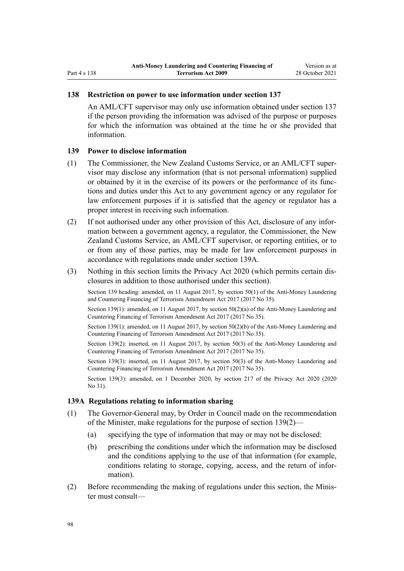### **138 Restriction on power to use information under section 137**

An AML/CFT supervisor may only use information obtained under [section 137](#page-95-0) if the person providing the information was advised of the purpose or purposes for which the information was obtained at the time he or she provided that information.

### **139 Power to disclose information**

- (1) The Commissioner, the New Zealand Customs Service, or an AML/CFT super‐ visor may disclose any information (that is not personal information) supplied or obtained by it in the exercise of its powers or the performance of its func‐ tions and duties under this Act to any government agency or any regulator for law enforcement purposes if it is satisfied that the agency or regulator has a proper interest in receiving such information.
- (2) If not authorised under any other provision of this Act, disclosure of any infor‐ mation between a government agency, a regulator, the Commissioner, the New Zealand Customs Service, an AML/CFT supervisor, or reporting entities, or to or from any of those parties, may be made for law enforcement purposes in accordance with regulations made under section 139A.
- (3) Nothing in this section limits the [Privacy Act 2020](http://legislation.govt.nz/pdflink.aspx?id=LMS23193) (which permits certain dis‐ closures in addition to those authorised under this section).

Section 139 heading: amended, on 11 August 2017, by [section 50\(1\)](http://legislation.govt.nz/pdflink.aspx?id=DLM7161329) of the Anti-Money Laundering and Countering Financing of Terrorism Amendment Act 2017 (2017 No 35).

Section 139(1): amended, on 11 August 2017, by [section 50\(2\)\(a\)](http://legislation.govt.nz/pdflink.aspx?id=DLM7161329) of the Anti-Money Laundering and Countering Financing of Terrorism Amendment Act 2017 (2017 No 35).

Section 139(1): amended, on 11 August 2017, by [section 50\(2\)\(b\)](http://legislation.govt.nz/pdflink.aspx?id=DLM7161329) of the Anti-Money Laundering and Countering Financing of Terrorism Amendment Act 2017 (2017 No 35).

Section 139(2): inserted, on 11 August 2017, by [section 50\(3\)](http://legislation.govt.nz/pdflink.aspx?id=DLM7161329) of the Anti-Money Laundering and Countering Financing of Terrorism Amendment Act 2017 (2017 No 35).

Section 139(3): inserted, on 11 August 2017, by [section 50\(3\)](http://legislation.govt.nz/pdflink.aspx?id=DLM7161329) of the Anti-Money Laundering and Countering Financing of Terrorism Amendment Act 2017 (2017 No 35).

Section 139(3): amended, on 1 December 2020, by [section 217](http://legislation.govt.nz/pdflink.aspx?id=LMS23706) of the Privacy Act 2020 (2020) No 31).

## **139A Regulations relating to information sharing**

- (1) The Governor-General may, by Order in Council made on the recommendation of the Minister, make regulations for the purpose of section 139(2)—
	- (a) specifying the type of information that may or may not be disclosed:
	- (b) prescribing the conditions under which the information may be disclosed and the conditions applying to the use of that information (for example, conditions relating to storage, copying, access, and the return of information).
- (2) Before recommending the making of regulations under this section, the Minis‐ ter must consult—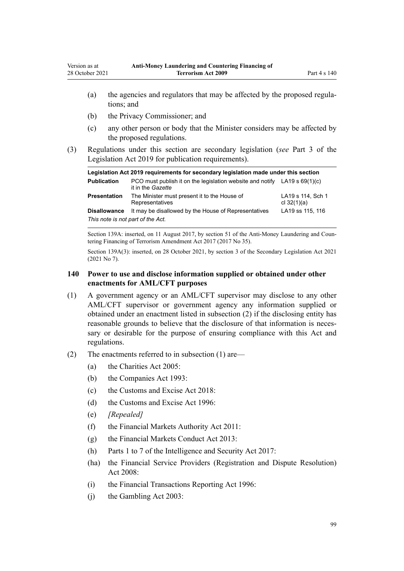- (a) the agencies and regulators that may be affected by the proposed regulations; and
- (b) the Privacy Commissioner; and
- (c) any other person or body that the Minister considers may be affected by the proposed regulations.
- (3) Regulations under this section are secondary legislation (*see* [Part 3](http://legislation.govt.nz/pdflink.aspx?id=DLM7298343) of the Legislation Act 2019 for publication requirements).

| Legislation Act 2019 requirements for secondary legislation made under this section |                                                                                                  |                                    |  |  |
|-------------------------------------------------------------------------------------|--------------------------------------------------------------------------------------------------|------------------------------------|--|--|
| <b>Publication</b>                                                                  | PCO must publish it on the legislation website and notify LA19 s $69(1)(c)$<br>it in the Gazette |                                    |  |  |
| <b>Presentation</b>                                                                 | The Minister must present it to the House of<br>Representatives                                  | LA19 s 114, Sch 1<br>cl $32(1)(a)$ |  |  |
| <b>Disallowance</b>                                                                 | It may be disallowed by the House of Representatives                                             | LA19 ss 115, 116                   |  |  |
| This note is not part of the Act.                                                   |                                                                                                  |                                    |  |  |

Section 139A: inserted, on 11 August 2017, by [section 51](http://legislation.govt.nz/pdflink.aspx?id=DLM7340635) of the Anti-Money Laundering and Countering Financing of Terrorism Amendment Act 2017 (2017 No 35).

Section 139A(3): inserted, on 28 October 2021, by [section 3](http://legislation.govt.nz/pdflink.aspx?id=LMS268932) of the Secondary Legislation Act 2021 (2021 No 7).

## **140 Power to use and disclose information supplied or obtained under other enactments for AML/CFT purposes**

- (1) A government agency or an AML/CFT supervisor may disclose to any other AML/CFT supervisor or government agency any information supplied or obtained under an enactment listed in subsection (2) if the disclosing entity has reasonable grounds to believe that the disclosure of that information is necessary or desirable for the purpose of ensuring compliance with this Act and regulations.
- (2) The enactments referred to in subsection (1) are—
	- (a) the [Charities Act 2005](http://legislation.govt.nz/pdflink.aspx?id=DLM344367):
	- (b) the [Companies Act 1993](http://legislation.govt.nz/pdflink.aspx?id=DLM319569):
	- (c) the [Customs and Excise Act 2018:](http://legislation.govt.nz/pdflink.aspx?id=DLM7038920)
	- (d) the [Customs and Excise Act 1996:](http://legislation.govt.nz/pdflink.aspx?id=DLM377336)
	- (e) *[Repealed]*
	- (f) the [Financial Markets Authority Act 2011](http://legislation.govt.nz/pdflink.aspx?id=DLM3231004):
	- (g) the [Financial Markets Conduct Act 2013:](http://legislation.govt.nz/pdflink.aspx?id=DLM4090503)
	- (h) [Parts 1 to 7](http://legislation.govt.nz/pdflink.aspx?id=DLM6920828) of the Intelligence and Security Act 2017:
	- (ha) the [Financial Service Providers \(Registration and Dispute Resolution\)](http://legislation.govt.nz/pdflink.aspx?id=DLM1109400) [Act 2008:](http://legislation.govt.nz/pdflink.aspx?id=DLM1109400)
	- (i) the [Financial Transactions Reporting Act 1996](http://legislation.govt.nz/pdflink.aspx?id=DLM373803):
	- (j) the [Gambling Act 2003](http://legislation.govt.nz/pdflink.aspx?id=DLM207496):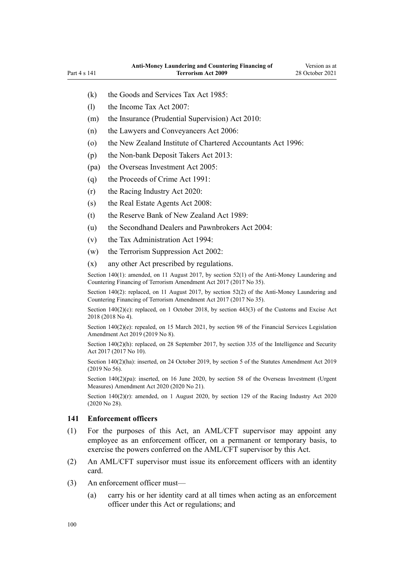- <span id="page-99-0"></span>(k) the [Goods and Services Tax Act 1985:](http://legislation.govt.nz/pdflink.aspx?id=DLM81034)
- (l) the [Income Tax Act 2007:](http://legislation.govt.nz/pdflink.aspx?id=DLM1512300)
- (m) the [Insurance \(Prudential Supervision\) Act 2010:](http://legislation.govt.nz/pdflink.aspx?id=DLM2478100)
- (n) the [Lawyers and Conveyancers Act 2006:](http://legislation.govt.nz/pdflink.aspx?id=DLM364938)
- (o) the [New Zealand Institute of Chartered Accountants Act 1996:](http://legislation.govt.nz/pdflink.aspx?id=DLM391363)
- (p) the [Non-bank Deposit Takers Act 2013](http://legislation.govt.nz/pdflink.aspx?id=DLM3918902):
- (pa) the [Overseas Investment Act 2005:](http://legislation.govt.nz/pdflink.aspx?id=DLM356880)
- (q) the [Proceeds of Crime Act 1991](http://legislation.govt.nz/pdflink.aspx?id=DLM250668):
- (r) the [Racing Industry Act 2020](http://legislation.govt.nz/pdflink.aspx?id=LMS291909):
- (s) the [Real Estate Agents Act 2008:](http://legislation.govt.nz/pdflink.aspx?id=DLM1151900)
- (t) the [Reserve Bank of New Zealand Act 1989:](http://legislation.govt.nz/pdflink.aspx?id=DLM199363)
- (u) the [Secondhand Dealers and Pawnbrokers Act 2004](http://legislation.govt.nz/pdflink.aspx?id=DLM305111):
- (v) the [Tax Administration Act 1994](http://legislation.govt.nz/pdflink.aspx?id=DLM348342):
- (w) the [Terrorism Suppression Act 2002:](http://legislation.govt.nz/pdflink.aspx?id=DLM151490)
- (x) any other Act prescribed by regulations.

Section 140(1): amended, on 11 August 2017, by [section 52\(1\)](http://legislation.govt.nz/pdflink.aspx?id=DLM7161332) of the Anti-Money Laundering and Countering Financing of Terrorism Amendment Act 2017 (2017 No 35).

Section 140(2): replaced, on 11 August 2017, by [section 52\(2\)](http://legislation.govt.nz/pdflink.aspx?id=DLM7161332) of the Anti-Money Laundering and Countering Financing of Terrorism Amendment Act 2017 (2017 No 35).

Section  $140(2)(c)$ : replaced, on 1 October 2018, by [section 443\(3\)](http://legislation.govt.nz/pdflink.aspx?id=DLM7039957) of the Customs and Excise Act 2018 (2018 No 4).

Section 140(2)(e): repealed, on 15 March 2021, by [section 98](http://legislation.govt.nz/pdflink.aspx?id=DLM7386624) of the Financial Services Legislation Amendment Act 2019 (2019 No 8).

Section 140(2)(h): replaced, on 28 September 2017, by [section 335](http://legislation.govt.nz/pdflink.aspx?id=DLM6921475) of the Intelligence and Security Act 2017 (2017 No 10).

Section 140(2)(ha): inserted, on 24 October 2019, by [section 5](http://legislation.govt.nz/pdflink.aspx?id=LMS58873) of the Statutes Amendment Act 2019 (2019 No 56).

Section 140(2)(pa): inserted, on 16 June 2020, by [section 58](http://legislation.govt.nz/pdflink.aspx?id=LMS342576) of the Overseas Investment (Urgent Measures) Amendment Act 2020 (2020 No 21).

Section  $140(2)(r)$ : amended, on 1 August 2020, by [section 129](http://legislation.govt.nz/pdflink.aspx?id=LMS292230) of the Racing Industry Act 2020 (2020 No 28).

## **141 Enforcement officers**

- (1) For the purposes of this Act, an AML/CFT supervisor may appoint any employee as an enforcement officer, on a permanent or temporary basis, to exercise the powers conferred on the AML/CFT supervisor by this Act.
- (2) An AML/CFT supervisor must issue its enforcement officers with an identity card.
- (3) An enforcement officer must—
	- (a) carry his or her identity card at all times when acting as an enforcement officer under this Act or regulations; and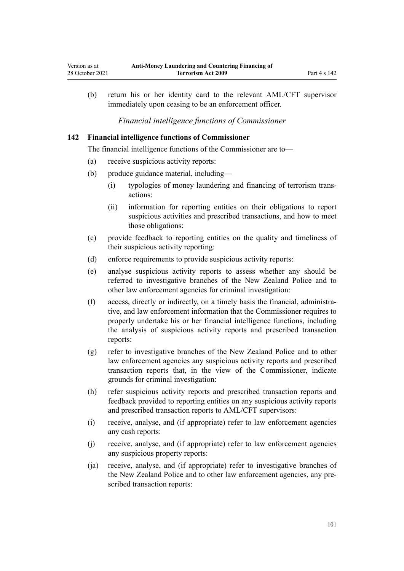(b) return his or her identity card to the relevant AML/CFT supervisor immediately upon ceasing to be an enforcement officer.

*Financial intelligence functions of Commissioner*

### **142 Financial intelligence functions of Commissioner**

The financial intelligence functions of the Commissioner are to—

- (a) receive suspicious activity reports:
- (b) produce guidance material, including—
	- (i) typologies of money laundering and financing of terrorism trans‐ actions:
	- (ii) information for reporting entities on their obligations to report suspicious activities and prescribed transactions, and how to meet those obligations:
- (c) provide feedback to reporting entities on the quality and timeliness of their suspicious activity reporting:
- (d) enforce requirements to provide suspicious activity reports:
- (e) analyse suspicious activity reports to assess whether any should be referred to investigative branches of the New Zealand Police and to other law enforcement agencies for criminal investigation:
- (f) access, directly or indirectly, on a timely basis the financial, administra‐ tive, and law enforcement information that the Commissioner requires to properly undertake his or her financial intelligence functions, including the analysis of suspicious activity reports and prescribed transaction reports:
- (g) refer to investigative branches of the New Zealand Police and to other law enforcement agencies any suspicious activity reports and prescribed transaction reports that, in the view of the Commissioner, indicate grounds for criminal investigation:
- (h) refer suspicious activity reports and prescribed transaction reports and feedback provided to reporting entities on any suspicious activity reports and prescribed transaction reports to AML/CFT supervisors:
- (i) receive, analyse, and (if appropriate) refer to law enforcement agencies any cash reports:
- (j) receive, analyse, and (if appropriate) refer to law enforcement agencies any suspicious property reports:
- (ja) receive, analyse, and (if appropriate) refer to investigative branches of the New Zealand Police and to other law enforcement agencies, any pre‐ scribed transaction reports: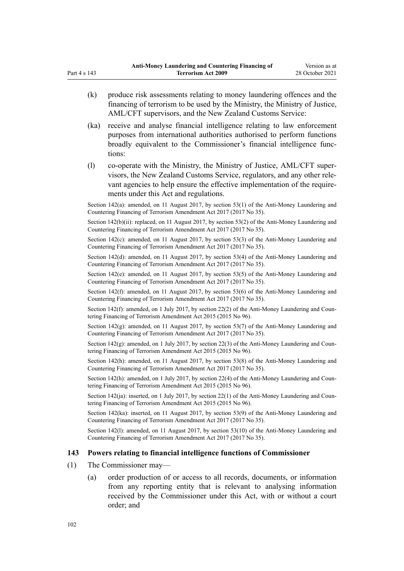- (k) produce risk assessments relating to money laundering offences and the financing of terrorism to be used by the Ministry, the Ministry of Justice, AML/CFT supervisors, and the New Zealand Customs Service:
- (ka) receive and analyse financial intelligence relating to law enforcement purposes from international authorities authorised to perform functions broadly equivalent to the Commissioner's financial intelligence func‐ tions:
- (l) co-operate with the Ministry, the Ministry of Justice, AML/CFT super‐ visors, the New Zealand Customs Service, regulators, and any other rele‐ vant agencies to help ensure the effective implementation of the requirements under this Act and regulations.

Section 142(a): amended, on 11 August 2017, by [section 53\(1\)](http://legislation.govt.nz/pdflink.aspx?id=DLM7161335) of the Anti-Money Laundering and Countering Financing of Terrorism Amendment Act 2017 (2017 No 35).

Section 142(b)(ii): replaced, on 11 August 2017, by [section 53\(2\)](http://legislation.govt.nz/pdflink.aspx?id=DLM7161335) of the Anti-Money Laundering and Countering Financing of Terrorism Amendment Act 2017 (2017 No 35).

Section 142(c): amended, on 11 August 2017, by [section 53\(3\)](http://legislation.govt.nz/pdflink.aspx?id=DLM7161335) of the Anti-Money Laundering and Countering Financing of Terrorism Amendment Act 2017 (2017 No 35).

Section 142(d): amended, on 11 August 2017, by [section 53\(4\)](http://legislation.govt.nz/pdflink.aspx?id=DLM7161335) of the Anti-Money Laundering and Countering Financing of Terrorism Amendment Act 2017 (2017 No 35).

Section 142(e): amended, on 11 August 2017, by [section 53\(5\)](http://legislation.govt.nz/pdflink.aspx?id=DLM7161335) of the Anti-Money Laundering and Countering Financing of Terrorism Amendment Act 2017 (2017 No 35).

Section 142(f): amended, on 11 August 2017, by [section 53\(6\)](http://legislation.govt.nz/pdflink.aspx?id=DLM7161335) of the Anti-Money Laundering and Countering Financing of Terrorism Amendment Act 2017 (2017 No 35).

Section 142(f): amended, on 1 July 2017, by [section 22\(2\)](http://legislation.govt.nz/pdflink.aspx?id=DLM6602241) of the Anti-Money Laundering and Countering Financing of Terrorism Amendment Act 2015 (2015 No 96).

Section 142(g): amended, on 11 August 2017, by [section 53\(7\)](http://legislation.govt.nz/pdflink.aspx?id=DLM7161335) of the Anti-Money Laundering and Countering Financing of Terrorism Amendment Act 2017 (2017 No 35).

Section  $142(g)$ : amended, on 1 July 2017, by [section 22\(3\)](http://legislation.govt.nz/pdflink.aspx?id=DLM6602241) of the Anti-Money Laundering and Countering Financing of Terrorism Amendment Act 2015 (2015 No 96).

Section 142(h): amended, on 11 August 2017, by [section 53\(8\)](http://legislation.govt.nz/pdflink.aspx?id=DLM7161335) of the Anti-Money Laundering and Countering Financing of Terrorism Amendment Act 2017 (2017 No 35).

Section 142(h): amended, on 1 July 2017, by [section 22\(4\)](http://legislation.govt.nz/pdflink.aspx?id=DLM6602241) of the Anti-Money Laundering and Countering Financing of Terrorism Amendment Act 2015 (2015 No 96).

Section 142(ja): inserted, on 1 July 2017, by [section 22\(1\)](http://legislation.govt.nz/pdflink.aspx?id=DLM6602241) of the Anti-Money Laundering and Countering Financing of Terrorism Amendment Act 2015 (2015 No 96).

Section 142(ka): inserted, on 11 August 2017, by [section 53\(9\)](http://legislation.govt.nz/pdflink.aspx?id=DLM7161335) of the Anti-Money Laundering and Countering Financing of Terrorism Amendment Act 2017 (2017 No 35).

Section 142(l): amended, on 11 August 2017, by [section 53\(10\)](http://legislation.govt.nz/pdflink.aspx?id=DLM7161335) of the Anti-Money Laundering and Countering Financing of Terrorism Amendment Act 2017 (2017 No 35).

#### **143 Powers relating to financial intelligence functions of Commissioner**

- (1) The Commissioner may—
	- (a) order production of or access to all records, documents, or information from any reporting entity that is relevant to analysing information received by the Commissioner under this Act, with or without a court order; and

<span id="page-101-0"></span>Part 4 s 143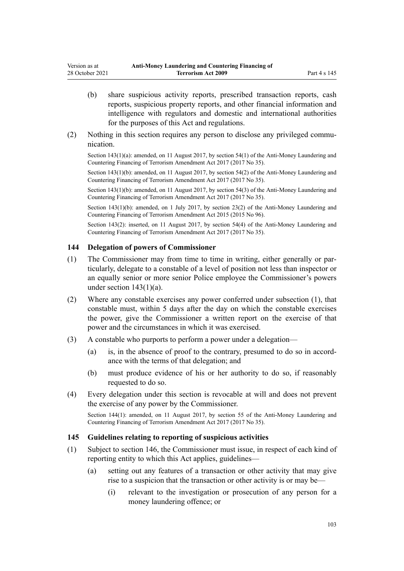- <span id="page-102-0"></span>(b) share suspicious activity reports, prescribed transaction reports, cash reports, suspicious property reports, and other financial information and intelligence with regulators and domestic and international authorities for the purposes of this Act and regulations.
- (2) Nothing in this section requires any person to disclose any privileged communication.

Section 143(1)(a): amended, on 11 August 2017, by [section 54\(1\)](http://legislation.govt.nz/pdflink.aspx?id=DLM7161336) of the Anti-Money Laundering and Countering Financing of Terrorism Amendment Act 2017 (2017 No 35).

Section 143(1)(b): amended, on 11 August 2017, by [section 54\(2\)](http://legislation.govt.nz/pdflink.aspx?id=DLM7161336) of the Anti-Money Laundering and Countering Financing of Terrorism Amendment Act 2017 (2017 No 35).

Section 143(1)(b): amended, on 11 August 2017, by [section 54\(3\)](http://legislation.govt.nz/pdflink.aspx?id=DLM7161336) of the Anti-Money Laundering and Countering Financing of Terrorism Amendment Act 2017 (2017 No 35).

Section 143(1)(b): amended, on 1 July 2017, by [section 23\(2\)](http://legislation.govt.nz/pdflink.aspx?id=DLM6602242) of the Anti-Money Laundering and Countering Financing of Terrorism Amendment Act 2015 (2015 No 96).

Section 143(2): inserted, on 11 August 2017, by [section 54\(4\)](http://legislation.govt.nz/pdflink.aspx?id=DLM7161336) of the Anti-Money Laundering and Countering Financing of Terrorism Amendment Act 2017 (2017 No 35).

## **144 Delegation of powers of Commissioner**

- (1) The Commissioner may from time to time in writing, either generally or par‐ ticularly, delegate to a constable of a level of position not less than inspector or an equally senior or more senior Police employee the Commissioner's powers under section  $143(1)(a)$ .
- (2) Where any constable exercises any power conferred under subsection (1), that constable must, within 5 days after the day on which the constable exercises the power, give the Commissioner a written report on the exercise of that power and the circumstances in which it was exercised.
- (3) A constable who purports to perform a power under a delegation—
	- (a) is, in the absence of proof to the contrary, presumed to do so in accord‐ ance with the terms of that delegation; and
	- (b) must produce evidence of his or her authority to do so, if reasonably requested to do so.
- (4) Every delegation under this section is revocable at will and does not prevent the exercise of any power by the Commissioner.

Section 144(1): amended, on 11 August 2017, by [section 55](http://legislation.govt.nz/pdflink.aspx?id=DLM7161338) of the Anti-Money Laundering and Countering Financing of Terrorism Amendment Act 2017 (2017 No 35).

#### **145 Guidelines relating to reporting of suspicious activities**

- (1) Subject to [section 146,](#page-103-0) the Commissioner must issue, in respect of each kind of reporting entity to which this Act applies, guidelines—
	- (a) setting out any features of a transaction or other activity that may give rise to a suspicion that the transaction or other activity is or may be—
		- (i) relevant to the investigation or prosecution of any person for a money laundering offence; or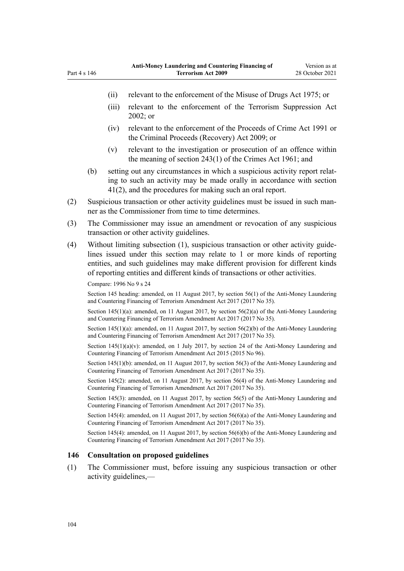- <span id="page-103-0"></span>(ii) relevant to the enforcement of the [Misuse of Drugs Act 1975;](http://legislation.govt.nz/pdflink.aspx?id=DLM436100) or
- (iii) relevant to the enforcement of the [Terrorism Suppression Act](http://legislation.govt.nz/pdflink.aspx?id=DLM151490) [2002](http://legislation.govt.nz/pdflink.aspx?id=DLM151490); or
- (iv) relevant to the enforcement of the [Proceeds of Crime Act 1991](http://legislation.govt.nz/pdflink.aspx?id=DLM250668) or the [Criminal Proceeds \(Recovery\) Act 2009](http://legislation.govt.nz/pdflink.aspx?id=BILL-SCDRAFT-7242); or
- (v) relevant to the investigation or prosecution of an offence within the meaning of [section 243\(1\)](http://legislation.govt.nz/pdflink.aspx?id=DLM330289) of the Crimes Act 1961; and
- (b) setting out any circumstances in which a suspicious activity report relat‐ ing to such an activity may be made orally in accordance with [section](#page-51-0) [41\(2\)](#page-51-0), and the procedures for making such an oral report.
- (2) Suspicious transaction or other activity guidelines must be issued in such man‐ ner as the Commissioner from time to time determines.
- (3) The Commissioner may issue an amendment or revocation of any suspicious transaction or other activity guidelines.
- (4) Without limiting subsection (1), suspicious transaction or other activity guide‐ lines issued under this section may relate to 1 or more kinds of reporting entities, and such guidelines may make different provision for different kinds of reporting entities and different kinds of transactions or other activities.

Compare: 1996 No 9 [s 24](http://legislation.govt.nz/pdflink.aspx?id=DLM374123)

Section 145 heading: amended, on 11 August 2017, by [section 56\(1\)](http://legislation.govt.nz/pdflink.aspx?id=DLM7161339) of the Anti-Money Laundering and Countering Financing of Terrorism Amendment Act 2017 (2017 No 35).

Section 145(1)(a): amended, on 11 August 2017, by [section 56\(2\)\(a\)](http://legislation.govt.nz/pdflink.aspx?id=DLM7161339) of the Anti-Money Laundering and Countering Financing of Terrorism Amendment Act 2017 (2017 No 35).

Section 145(1)(a): amended, on 11 August 2017, by [section 56\(2\)\(b\)](http://legislation.govt.nz/pdflink.aspx?id=DLM7161339) of the Anti-Money Laundering and Countering Financing of Terrorism Amendment Act 2017 (2017 No 35).

Section  $145(1)(a)(v)$ : amended, on 1 July 2017, by [section 24](http://legislation.govt.nz/pdflink.aspx?id=DLM6602243) of the Anti-Money Laundering and Countering Financing of Terrorism Amendment Act 2015 (2015 No 96).

Section 145(1)(b): amended, on 11 August 2017, by [section 56\(3\)](http://legislation.govt.nz/pdflink.aspx?id=DLM7161339) of the Anti-Money Laundering and Countering Financing of Terrorism Amendment Act 2017 (2017 No 35).

Section 145(2): amended, on 11 August 2017, by [section 56\(4\)](http://legislation.govt.nz/pdflink.aspx?id=DLM7161339) of the Anti-Money Laundering and Countering Financing of Terrorism Amendment Act 2017 (2017 No 35).

Section 145(3): amended, on 11 August 2017, by [section 56\(5\)](http://legislation.govt.nz/pdflink.aspx?id=DLM7161339) of the Anti-Money Laundering and Countering Financing of Terrorism Amendment Act 2017 (2017 No 35).

Section 145(4): amended, on 11 August 2017, by [section 56\(6\)\(a\)](http://legislation.govt.nz/pdflink.aspx?id=DLM7161339) of the Anti-Money Laundering and Countering Financing of Terrorism Amendment Act 2017 (2017 No 35).

Section 145(4): amended, on 11 August 2017, by [section 56\(6\)\(b\)](http://legislation.govt.nz/pdflink.aspx?id=DLM7161339) of the Anti-Money Laundering and Countering Financing of Terrorism Amendment Act 2017 (2017 No 35).

### **146 Consultation on proposed guidelines**

(1) The Commissioner must, before issuing any suspicious transaction or other activity guidelines,—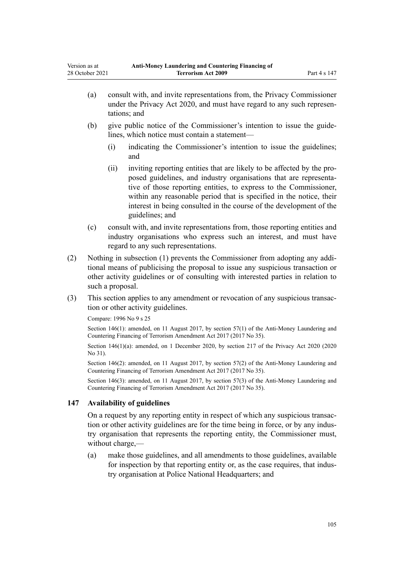- (a) consult with, and invite representations from, the Privacy Commissioner under the [Privacy Act 2020](http://legislation.govt.nz/pdflink.aspx?id=LMS23193), and must have regard to any such representations; and
- (b) give public notice of the Commissioner's intention to issue the guidelines, which notice must contain a statement—
	- (i) indicating the Commissioner's intention to issue the guidelines; and
	- (ii) inviting reporting entities that are likely to be affected by the pro‐ posed guidelines, and industry organisations that are representa‐ tive of those reporting entities, to express to the Commissioner, within any reasonable period that is specified in the notice, their interest in being consulted in the course of the development of the guidelines; and
- (c) consult with, and invite representations from, those reporting entities and industry organisations who express such an interest, and must have regard to any such representations.
- (2) Nothing in subsection (1) prevents the Commissioner from adopting any addi‐ tional means of publicising the proposal to issue any suspicious transaction or other activity guidelines or of consulting with interested parties in relation to such a proposal.
- (3) This section applies to any amendment or revocation of any suspicious transac‐ tion or other activity guidelines.

Compare: 1996 No 9 [s 25](http://legislation.govt.nz/pdflink.aspx?id=DLM374124)

Section 146(1): amended, on 11 August 2017, by [section 57\(1\)](http://legislation.govt.nz/pdflink.aspx?id=DLM7161340) of the Anti-Money Laundering and Countering Financing of Terrorism Amendment Act 2017 (2017 No 35).

Section 146(1)(a): amended, on 1 December 2020, by [section 217](http://legislation.govt.nz/pdflink.aspx?id=LMS23706) of the Privacy Act 2020 (2020) No 31).

Section 146(2): amended, on 11 August 2017, by [section 57\(2\)](http://legislation.govt.nz/pdflink.aspx?id=DLM7161340) of the Anti-Money Laundering and Countering Financing of Terrorism Amendment Act 2017 (2017 No 35).

Section 146(3): amended, on 11 August 2017, by [section 57\(3\)](http://legislation.govt.nz/pdflink.aspx?id=DLM7161340) of the Anti-Money Laundering and Countering Financing of Terrorism Amendment Act 2017 (2017 No 35).

## **147 Availability of guidelines**

On a request by any reporting entity in respect of which any suspicious transac‐ tion or other activity guidelines are for the time being in force, or by any indus‐ try organisation that represents the reporting entity, the Commissioner must, without charge,—

(a) make those guidelines, and all amendments to those guidelines, available for inspection by that reporting entity or, as the case requires, that industry organisation at Police National Headquarters; and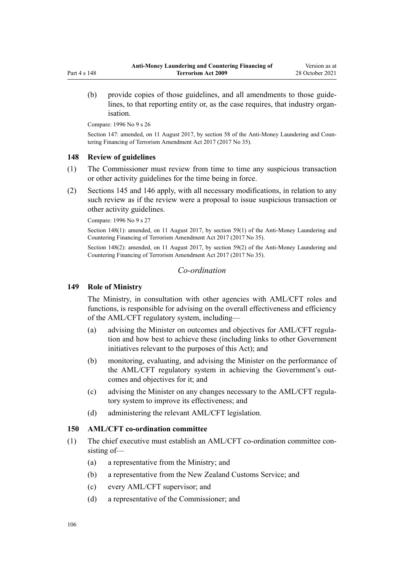(b) provide copies of those guidelines, and all amendments to those guidelines, to that reporting entity or, as the case requires, that industry organisation.

Compare: 1996 No 9 [s 26](http://legislation.govt.nz/pdflink.aspx?id=DLM374125)

Section 147: amended, on 11 August 2017, by [section 58](http://legislation.govt.nz/pdflink.aspx?id=DLM7161341) of the Anti-Money Laundering and Countering Financing of Terrorism Amendment Act 2017 (2017 No 35).

### **148 Review of guidelines**

- (1) The Commissioner must review from time to time any suspicious transaction or other activity guidelines for the time being in force.
- (2) [Sections 145](#page-102-0) and [146](#page-103-0) apply, with all necessary modifications, in relation to any such review as if the review were a proposal to issue suspicious transaction or other activity guidelines.

Compare: 1996 No 9 [s 27](http://legislation.govt.nz/pdflink.aspx?id=DLM374126)

Section 148(1): amended, on 11 August 2017, by [section 59\(1\)](http://legislation.govt.nz/pdflink.aspx?id=DLM7161342) of the Anti-Money Laundering and Countering Financing of Terrorism Amendment Act 2017 (2017 No 35).

Section 148(2): amended, on 11 August 2017, by [section 59\(2\)](http://legislation.govt.nz/pdflink.aspx?id=DLM7161342) of the Anti-Money Laundering and Countering Financing of Terrorism Amendment Act 2017 (2017 No 35).

## *Co-ordination*

### **149 Role of Ministry**

The Ministry, in consultation with other agencies with AML/CFT roles and functions, is responsible for advising on the overall effectiveness and efficiency of the AML/CFT regulatory system, including—

- (a) advising the Minister on outcomes and objectives for AML/CFT regula‐ tion and how best to achieve these (including links to other Government initiatives relevant to the purposes of this Act); and
- (b) monitoring, evaluating, and advising the Minister on the performance of the AML/CFT regulatory system in achieving the Government's out‐ comes and objectives for it; and
- (c) advising the Minister on any changes necessary to the AML/CFT regula‐ tory system to improve its effectiveness; and
- (d) administering the relevant AML/CFT legislation.

### **150 AML/CFT co-ordination committee**

- (1) The chief executive must establish an AML/CFT co-ordination committee con‐ sisting of—
	- (a) a representative from the Ministry; and
	- (b) a representative from the New Zealand Customs Service; and
	- (c) every AML/CFT supervisor; and
	- (d) a representative of the Commissioner; and

Part 4 s 148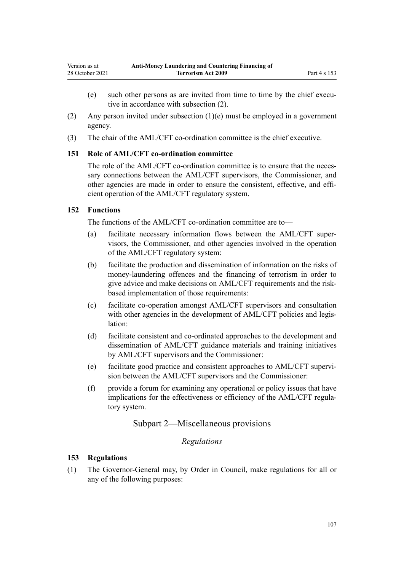- <span id="page-106-0"></span>(e) such other persons as are invited from time to time by the chief executive in accordance with subsection (2).
- (2) Any person invited under subsection (1)(e) must be employed in a government agency.
- (3) The chair of the AML/CFT co-ordination committee is the chief executive.

## **151 Role of AML/CFT co-ordination committee**

The role of the AML/CFT co-ordination committee is to ensure that the necessary connections between the AML/CFT supervisors, the Commissioner, and other agencies are made in order to ensure the consistent, effective, and efficient operation of the AML/CFT regulatory system.

## **152 Functions**

The functions of the AML/CFT co-ordination committee are to—

- (a) facilitate necessary information flows between the AML/CFT super‐ visors, the Commissioner, and other agencies involved in the operation of the AML/CFT regulatory system:
- (b) facilitate the production and dissemination of information on the risks of money-laundering offences and the financing of terrorism in order to give advice and make decisions on AML/CFT requirements and the riskbased implementation of those requirements:
- (c) facilitate co-operation amongst AML/CFT supervisors and consultation with other agencies in the development of AML/CFT policies and legislation:
- (d) facilitate consistent and co-ordinated approaches to the development and dissemination of AML/CFT guidance materials and training initiatives by AML/CFT supervisors and the Commissioner:
- (e) facilitate good practice and consistent approaches to AML/CFT supervi‐ sion between the AML/CFT supervisors and the Commissioner:
- (f) provide a forum for examining any operational or policy issues that have implications for the effectiveness or efficiency of the AML/CFT regulatory system.

# Subpart 2—Miscellaneous provisions

## *Regulations*

## **153 Regulations**

(1) The Governor-General may, by Order in Council, make regulations for all or any of the following purposes: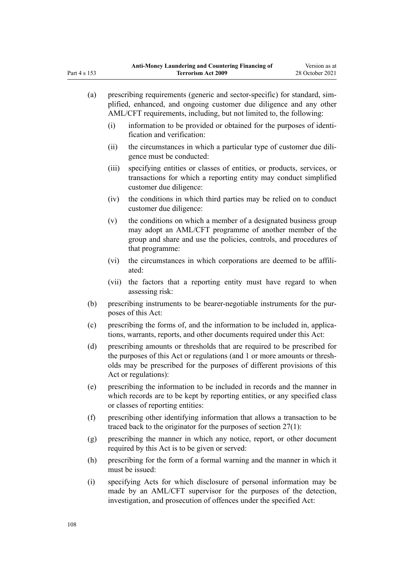| $\left( a\right)$ | prescribing requirements (generic and sector-specific) for standard, sim-<br>plified, enhanced, and ongoing customer due diligence and any other<br>AML/CFT requirements, including, but not limited to, the following:                                  |                                                                                                                                                                                                                    |  |  |
|-------------------|----------------------------------------------------------------------------------------------------------------------------------------------------------------------------------------------------------------------------------------------------------|--------------------------------------------------------------------------------------------------------------------------------------------------------------------------------------------------------------------|--|--|
|                   | (i)                                                                                                                                                                                                                                                      | information to be provided or obtained for the purposes of identi-<br>fication and verification:                                                                                                                   |  |  |
|                   | (ii)                                                                                                                                                                                                                                                     | the circumstances in which a particular type of customer due dili-<br>gence must be conducted:                                                                                                                     |  |  |
|                   | (iii)                                                                                                                                                                                                                                                    | specifying entities or classes of entities, or products, services, or<br>transactions for which a reporting entity may conduct simplified<br>customer due diligence:                                               |  |  |
|                   | (iv)                                                                                                                                                                                                                                                     | the conditions in which third parties may be relied on to conduct<br>customer due diligence:                                                                                                                       |  |  |
|                   | (v)                                                                                                                                                                                                                                                      | the conditions on which a member of a designated business group<br>may adopt an AML/CFT programme of another member of the<br>group and share and use the policies, controls, and procedures of<br>that programme: |  |  |
|                   | (vi)                                                                                                                                                                                                                                                     | the circumstances in which corporations are deemed to be affili-<br>ated:                                                                                                                                          |  |  |
|                   | (vii)                                                                                                                                                                                                                                                    | the factors that a reporting entity must have regard to when<br>assessing risk:                                                                                                                                    |  |  |
| (b)               | prescribing instruments to be bearer-negotiable instruments for the pur-<br>poses of this Act:                                                                                                                                                           |                                                                                                                                                                                                                    |  |  |
| (c)               | prescribing the forms of, and the information to be included in, applica-<br>tions, warrants, reports, and other documents required under this Act:                                                                                                      |                                                                                                                                                                                                                    |  |  |
| (d)               | prescribing amounts or thresholds that are required to be prescribed for<br>the purposes of this Act or regulations (and 1 or more amounts or thresh-<br>olds may be prescribed for the purposes of different provisions of this<br>Act or regulations): |                                                                                                                                                                                                                    |  |  |
| (e)               | prescribing the information to be included in records and the manner in<br>which records are to be kept by reporting entities, or any specified class<br>or classes of reporting entities:                                                               |                                                                                                                                                                                                                    |  |  |
| (f)               | prescribing other identifying information that allows a transaction to be<br>traced back to the originator for the purposes of section $27(1)$ :                                                                                                         |                                                                                                                                                                                                                    |  |  |
| (g)               | prescribing the manner in which any notice, report, or other document<br>required by this Act is to be given or served:                                                                                                                                  |                                                                                                                                                                                                                    |  |  |
| (h)               | prescribing for the form of a formal warning and the manner in which it<br>must be issued:                                                                                                                                                               |                                                                                                                                                                                                                    |  |  |
| (i)               |                                                                                                                                                                                                                                                          | specifying Acts for which disclosure of personal information may be<br>made by an AML/CFT supervisor for the purposes of the detection,                                                                            |  |  |

investigation, and prosecution of offences under the specified Act:

Part 4 s 153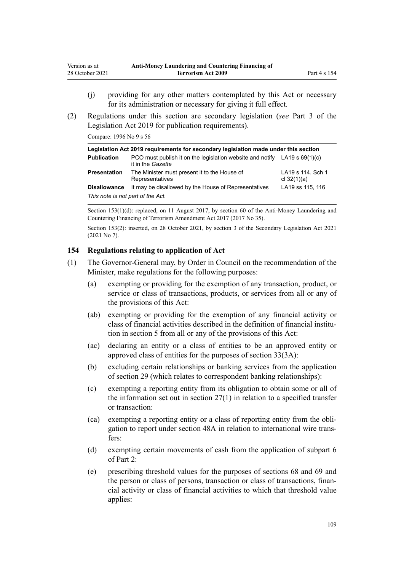- <span id="page-108-0"></span>(i) providing for any other matters contemplated by this Act or necessary for its administration or necessary for giving it full effect.
- (2) Regulations under this section are secondary legislation (*see* [Part 3](http://legislation.govt.nz/pdflink.aspx?id=DLM7298343) of the Legislation Act 2019 for publication requirements).

Compare: 1996 No 9 [s 56](http://legislation.govt.nz/pdflink.aspx?id=DLM374191)

| Legislation Act 2019 requirements for secondary legislation made under this section |                                                                                                  |                                    |
|-------------------------------------------------------------------------------------|--------------------------------------------------------------------------------------------------|------------------------------------|
| <b>Publication</b>                                                                  | PCO must publish it on the legislation website and notify LA19 s $69(1)(c)$<br>it in the Gazette |                                    |
| <b>Presentation</b>                                                                 | The Minister must present it to the House of<br>Representatives                                  | LA19 s 114, Sch 1<br>cl $32(1)(a)$ |
| <b>Disallowance</b>                                                                 | It may be disallowed by the House of Representatives                                             | LA19 ss 115, 116                   |
| This note is not part of the Act.                                                   |                                                                                                  |                                    |

Section 153(1)(d): replaced, on 11 August 2017, by [section 60](http://legislation.govt.nz/pdflink.aspx?id=DLM7161343) of the Anti-Money Laundering and Countering Financing of Terrorism Amendment Act 2017 (2017 No 35).

Section 153(2): inserted, on 28 October 2021, by [section 3](http://legislation.govt.nz/pdflink.aspx?id=LMS268932) of the Secondary Legislation Act 2021 (2021 No 7).

#### **154 Regulations relating to application of Act**

- (1) The Governor-General may, by Order in Council on the recommendation of the Minister, make regulations for the following purposes:
	- (a) exempting or providing for the exemption of any transaction, product, or service or class of transactions, products, or services from all or any of the provisions of this Act:
	- (ab) exempting or providing for the exemption of any financial activity or class of financial activities described in the definition of financial institution in [section 5](#page-10-0) from all or any of the provisions of this Act:
	- (ac) declaring an entity or a class of entities to be an approved entity or approved class of entities for the purposes of [section 33\(3A\):](#page-46-0)
	- (b) excluding certain relationships or banking services from the application of [section 29](#page-42-0) (which relates to correspondent banking relationships):
	- (c) exempting a reporting entity from its obligation to obtain some or all of the information set out in section  $27(1)$  in relation to a specified transfer or transaction:
	- (ca) exempting a reporting entity or a class of reporting entity from the obli‐ gation to report under [section 48A](#page-56-0) in relation to international wire trans‐ fers:
	- (d) exempting certain movements of cash from the application of [subpart 6](#page-69-0) of Part 2:
	- (e) prescribing threshold values for the purposes of [sections 68](#page-69-0) and [69](#page-69-0) and the person or class of persons, transaction or class of transactions, financial activity or class of financial activities to which that threshold value applies: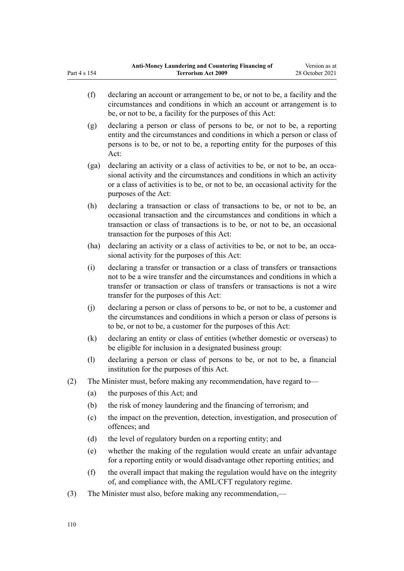- (f) declaring an account or arrangement to be, or not to be, a facility and the circumstances and conditions in which an account or arrangement is to be, or not to be, a facility for the purposes of this Act:
- (g) declaring a person or class of persons to be, or not to be, a reporting entity and the circumstances and conditions in which a person or class of persons is to be, or not to be, a reporting entity for the purposes of this Act:
- (ga) declaring an activity or a class of activities to be, or not to be, an occasional activity and the circumstances and conditions in which an activity or a class of activities is to be, or not to be, an occasional activity for the purposes of the Act:
- (h) declaring a transaction or class of transactions to be, or not to be, an occasional transaction and the circumstances and conditions in which a transaction or class of transactions is to be, or not to be, an occasional transaction for the purposes of this Act:
- (ha) declaring an activity or a class of activities to be, or not to be, an occasional activity for the purposes of this Act:
- (i) declaring a transfer or transaction or a class of transfers or transactions not to be a wire transfer and the circumstances and conditions in which a transfer or transaction or class of transfers or transactions is not a wire transfer for the purposes of this Act:
- (j) declaring a person or class of persons to be, or not to be, a customer and the circumstances and conditions in which a person or class of persons is to be, or not to be, a customer for the purposes of this Act:
- (k) declaring an entity or class of entities (whether domestic or overseas) to be eligible for inclusion in a designated business group:
- (l) declaring a person or class of persons to be, or not to be, a financial institution for the purposes of this Act.
- (2) The Minister must, before making any recommendation, have regard to—
	- (a) the purposes of this Act; and
	- (b) the risk of money laundering and the financing of terrorism; and
	- (c) the impact on the prevention, detection, investigation, and prosecution of offences; and
	- (d) the level of regulatory burden on a reporting entity; and
	- (e) whether the making of the regulation would create an unfair advantage for a reporting entity or would disadvantage other reporting entities; and
	- (f) the overall impact that making the regulation would have on the integrity of, and compliance with, the AML/CFT regulatory regime.
- (3) The Minister must also, before making any recommendation,—

Part 4 s 154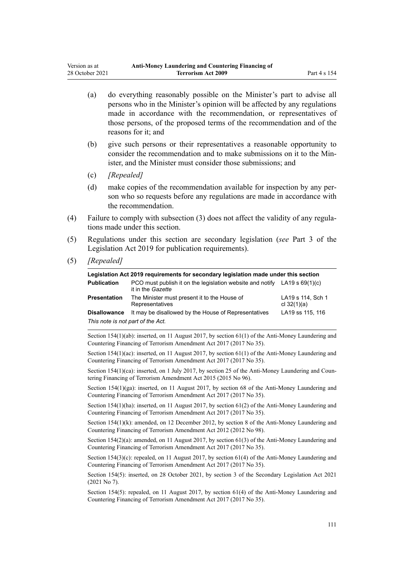- (a) do everything reasonably possible on the Minister's part to advise all persons who in the Minister's opinion will be affected by any regulations made in accordance with the recommendation, or representatives of those persons, of the proposed terms of the recommendation and of the reasons for it; and
- (b) give such persons or their representatives a reasonable opportunity to consider the recommendation and to make submissions on it to the Minister, and the Minister must consider those submissions; and
- (c) *[Repealed]*
- (d) make copies of the recommendation available for inspection by any per‐ son who so requests before any regulations are made in accordance with the recommendation.
- (4) Failure to comply with subsection (3) does not affect the validity of any regula‐ tions made under this section.
- (5) Regulations under this section are secondary legislation (*see* [Part 3](http://legislation.govt.nz/pdflink.aspx?id=DLM7298343) of the Legislation Act 2019 for publication requirements).
- (5) *[Repealed]*

| Legislation Act 2019 requirements for secondary legislation made under this section |                                                                                                         |                                    |  |
|-------------------------------------------------------------------------------------|---------------------------------------------------------------------------------------------------------|------------------------------------|--|
| <b>Publication</b>                                                                  | PCO must publish it on the legislation website and notify LA19 s $69(1)(c)$<br>it in the <i>Gazette</i> |                                    |  |
| <b>Presentation</b>                                                                 | The Minister must present it to the House of<br>Representatives                                         | LA19 s 114, Sch 1<br>cl $32(1)(a)$ |  |
| <b>Disallowance</b>                                                                 | It may be disallowed by the House of Representatives                                                    | LA19 ss 115, 116                   |  |
| This note is not part of the Act.                                                   |                                                                                                         |                                    |  |

Section 154(1)(ab): inserted, on 11 August 2017, by [section 61\(1\)](http://legislation.govt.nz/pdflink.aspx?id=DLM7161344) of the Anti-Money Laundering and Countering Financing of Terrorism Amendment Act 2017 (2017 No 35).

Section 154(1)(ac): inserted, on 11 August 2017, by [section 61\(1\)](http://legislation.govt.nz/pdflink.aspx?id=DLM7161344) of the Anti-Money Laundering and Countering Financing of Terrorism Amendment Act 2017 (2017 No 35).

Section 154(1)(ca): inserted, on 1 July 2017, by [section 25](http://legislation.govt.nz/pdflink.aspx?id=DLM6602244) of the Anti-Money Laundering and Countering Financing of Terrorism Amendment Act 2015 (2015 No 96).

Section 154(1)(ga): inserted, on 11 August 2017, by [section 68](http://legislation.govt.nz/pdflink.aspx?id=DLM7340644) of the Anti-Money Laundering and Countering Financing of Terrorism Amendment Act 2017 (2017 No 35).

Section 154(1)(ha): inserted, on 11 August 2017, by [section 61\(2\)](http://legislation.govt.nz/pdflink.aspx?id=DLM7161344) of the Anti-Money Laundering and Countering Financing of Terrorism Amendment Act 2017 (2017 No 35).

Section 154(1)(k): amended, on 12 December 2012, by [section 8](http://legislation.govt.nz/pdflink.aspx?id=DLM4989306) of the Anti-Money Laundering and Countering Financing of Terrorism Amendment Act 2012 (2012 No 98).

Section 154(2)(a): amended, on 11 August 2017, by [section 61\(3\)](http://legislation.govt.nz/pdflink.aspx?id=DLM7161344) of the Anti-Money Laundering and Countering Financing of Terrorism Amendment Act 2017 (2017 No 35).

Section 154(3)(c): repealed, on 11 August 2017, by [section 61\(4\)](http://legislation.govt.nz/pdflink.aspx?id=DLM7161344) of the Anti-Money Laundering and Countering Financing of Terrorism Amendment Act 2017 (2017 No 35).

Section 154(5): inserted, on 28 October 2021, by [section 3](http://legislation.govt.nz/pdflink.aspx?id=LMS268932) of the Secondary Legislation Act 2021 (2021 No 7).

Section 154(5): repealed, on 11 August 2017, by [section 61\(4\)](http://legislation.govt.nz/pdflink.aspx?id=DLM7161344) of the Anti-Money Laundering and Countering Financing of Terrorism Amendment Act 2017 (2017 No 35).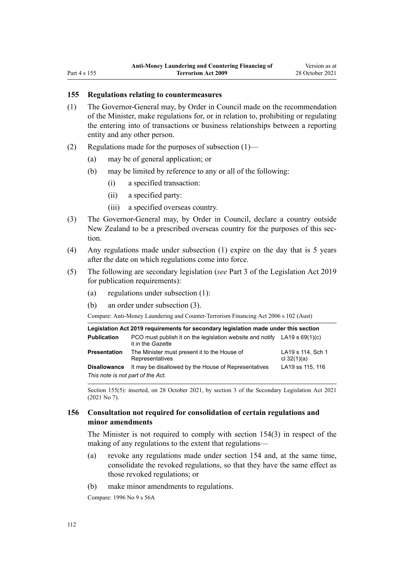# **155 Regulations relating to countermeasures**

- (1) The Governor-General may, by Order in Council made on the recommendation of the Minister, make regulations for, or in relation to, prohibiting or regulating the entering into of transactions or business relationships between a reporting entity and any other person.
- (2) Regulations made for the purposes of subsection (1)—
	- (a) may be of general application; or
	- (b) may be limited by reference to any or all of the following:
		- (i) a specified transaction:
		- (ii) a specified party:
		- (iii) a specified overseas country.
- (3) The Governor-General may, by Order in Council, declare a country outside New Zealand to be a prescribed overseas country for the purposes of this section.
- (4) Any regulations made under subsection (1) expire on the day that is 5 years after the date on which regulations come into force.
- (5) The following are secondary legislation (*see* [Part 3](http://legislation.govt.nz/pdflink.aspx?id=DLM7298343) of the Legislation Act 2019 for publication requirements):
	- (a) regulations under subsection (1):
	- (b) an order under subsection (3).

Compare: Anti-Money Laundering and Counter-Terrorism Financing Act 2006 s 102 (Aust)

| Legislation Act 2019 requirements for secondary legislation made under this section |                                                                                                  |                                    |  |
|-------------------------------------------------------------------------------------|--------------------------------------------------------------------------------------------------|------------------------------------|--|
| <b>Publication</b>                                                                  | PCO must publish it on the legislation website and notify $LA19 s 69(1)(c)$<br>it in the Gazette |                                    |  |
| <b>Presentation</b>                                                                 | The Minister must present it to the House of<br>Representatives                                  | LA19 s 114, Sch 1<br>cl $32(1)(a)$ |  |
| <b>Disallowance</b>                                                                 | It may be disallowed by the House of Representatives                                             | LA19 ss 115, 116                   |  |
| This note is not part of the Act.                                                   |                                                                                                  |                                    |  |

Section 155(5): inserted, on 28 October 2021, by [section 3](http://legislation.govt.nz/pdflink.aspx?id=LMS268932) of the Secondary Legislation Act 2021 (2021 No 7).

## **156 Consultation not required for consolidation of certain regulations and minor amendments**

The Minister is not required to comply with [section 154\(3\)](#page-108-0) in respect of the making of any regulations to the extent that regulations—

- (a) revoke any regulations made under section 154 and, at the same time, consolidate the revoked regulations, so that they have the same effect as those revoked regulations; or
- (b) make minor amendments to regulations.

Compare: 1996 No 9 [s 56A](http://legislation.govt.nz/pdflink.aspx?id=DLM374192)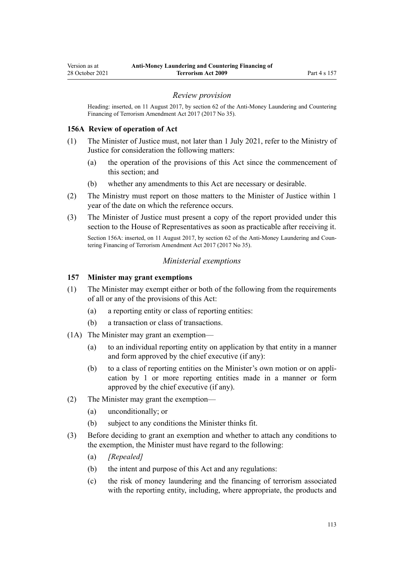### *Review provision*

<span id="page-112-0"></span>Heading: inserted, on 11 August 2017, by [section 62](http://legislation.govt.nz/pdflink.aspx?id=DLM7161345) of the Anti-Money Laundering and Countering Financing of Terrorism Amendment Act 2017 (2017 No 35).

### **156A Review of operation of Act**

- (1) The Minister of Justice must, not later than 1 July 2021, refer to the Ministry of Justice for consideration the following matters:
	- (a) the operation of the provisions of this Act since the commencement of this section; and
	- (b) whether any amendments to this Act are necessary or desirable.
- (2) The Ministry must report on those matters to the Minister of Justice within 1 year of the date on which the reference occurs.
- (3) The Minister of Justice must present a copy of the report provided under this section to the House of Representatives as soon as practicable after receiving it.

Section 156A: inserted, on 11 August 2017, by [section 62](http://legislation.govt.nz/pdflink.aspx?id=DLM7161345) of the Anti-Money Laundering and Countering Financing of Terrorism Amendment Act 2017 (2017 No 35).

### *Ministerial exemptions*

#### **157 Minister may grant exemptions**

- (1) The Minister may exempt either or both of the following from the requirements of all or any of the provisions of this Act:
	- (a) a reporting entity or class of reporting entities:
	- (b) a transaction or class of transactions.
- (1A) The Minister may grant an exemption—
	- (a) to an individual reporting entity on application by that entity in a manner and form approved by the chief executive (if any):
	- (b) to a class of reporting entities on the Minister's own motion or on appli‐ cation by 1 or more reporting entities made in a manner or form approved by the chief executive (if any).
- (2) The Minister may grant the exemption—
	- (a) unconditionally; or
	- (b) subject to any conditions the Minister thinks fit.
- (3) Before deciding to grant an exemption and whether to attach any conditions to the exemption, the Minister must have regard to the following:
	- (a) *[Repealed]*
	- (b) the intent and purpose of this Act and any regulations:
	- (c) the risk of money laundering and the financing of terrorism associated with the reporting entity, including, where appropriate, the products and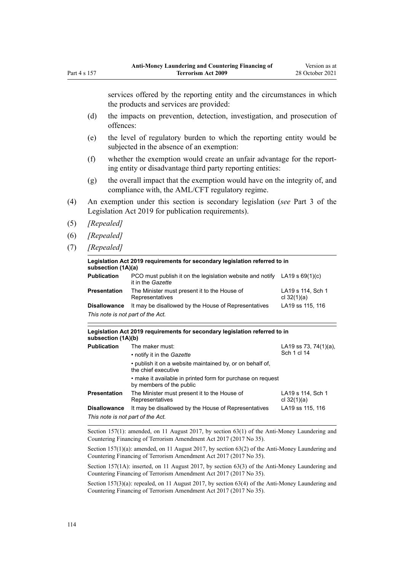services offered by the reporting entity and the circumstances in which the products and services are provided:

- (d) the impacts on prevention, detection, investigation, and prosecution of offences:
- (e) the level of regulatory burden to which the reporting entity would be subjected in the absence of an exemption:
- (f) whether the exemption would create an unfair advantage for the report‐ ing entity or disadvantage third party reporting entities:
- (g) the overall impact that the exemption would have on the integrity of, and compliance with, the AML/CFT regulatory regime.
- (4) An exemption under this section is secondary legislation (*see* [Part 3](http://legislation.govt.nz/pdflink.aspx?id=DLM7298343) of the Legislation Act 2019 for publication requirements).
- (5) *[Repealed]*

Part 4 s 157

- (6) *[Repealed]*
- (7) *[Repealed]*

| Legislation Act 2019 requirements for secondary legislation referred to in<br>subsection (1A)(a) |                                                                                                  |                                    |
|--------------------------------------------------------------------------------------------------|--------------------------------------------------------------------------------------------------|------------------------------------|
| <b>Publication</b>                                                                               | PCO must publish it on the legislation website and notify LA19 s $69(1)(c)$<br>it in the Gazette |                                    |
| <b>Presentation</b>                                                                              | The Minister must present it to the House of<br>Representatives                                  | LA19 s 114, Sch 1<br>cl $32(1)(a)$ |
| <b>Disallowance</b><br>This note is not part of the Act.                                         | It may be disallowed by the House of Representatives                                             | LA19 ss 115, 116                   |

| Legislation Act 2019 requirements for secondary legislation referred to in<br>subsection (1A)(b) |                                                                                         |                                          |  |
|--------------------------------------------------------------------------------------------------|-----------------------------------------------------------------------------------------|------------------------------------------|--|
| <b>Publication</b>                                                                               | The maker must:                                                                         | LA19 ss 73, 74 $(1)(a)$ ,<br>Sch 1 cl 14 |  |
|                                                                                                  | • notify it in the <i>Gazette</i>                                                       |                                          |  |
|                                                                                                  | • publish it on a website maintained by, or on behalf of,<br>the chief executive        |                                          |  |
|                                                                                                  | • make it available in printed form for purchase on request<br>by members of the public |                                          |  |
| <b>Presentation</b>                                                                              | The Minister must present it to the House of<br>Representatives                         | LA19 s 114, Sch 1<br>cl $32(1)(a)$       |  |
| <b>Disallowance</b>                                                                              | It may be disallowed by the House of Representatives                                    | LA19 ss 115, 116                         |  |
| This note is not part of the Act.                                                                |                                                                                         |                                          |  |

Section 157(1): amended, on 11 August 2017, by [section 63\(1\)](http://legislation.govt.nz/pdflink.aspx?id=DLM7340637) of the Anti-Money Laundering and Countering Financing of Terrorism Amendment Act 2017 (2017 No 35).

Section 157(1)(a): amended, on 11 August 2017, by [section 63\(2\)](http://legislation.govt.nz/pdflink.aspx?id=DLM7340637) of the Anti-Money Laundering and Countering Financing of Terrorism Amendment Act 2017 (2017 No 35).

Section 157(1A): inserted, on 11 August 2017, by [section 63\(3\)](http://legislation.govt.nz/pdflink.aspx?id=DLM7340637) of the Anti-Money Laundering and Countering Financing of Terrorism Amendment Act 2017 (2017 No 35).

Section 157(3)(a): repealed, on 11 August 2017, by [section 63\(4\)](http://legislation.govt.nz/pdflink.aspx?id=DLM7340637) of the Anti-Money Laundering and Countering Financing of Terrorism Amendment Act 2017 (2017 No 35).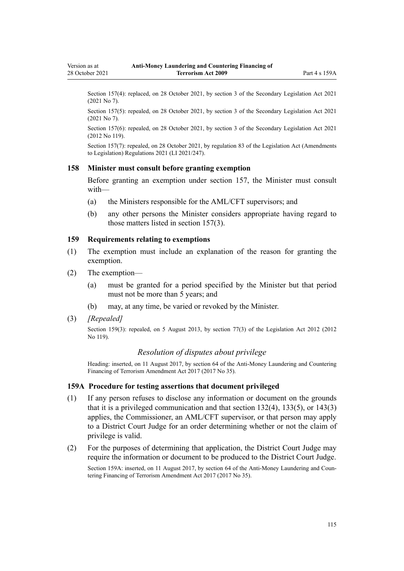Section 157(4): replaced, on 28 October 2021, by [section 3](http://legislation.govt.nz/pdflink.aspx?id=LMS268932) of the Secondary Legislation Act 2021 (2021 No 7).

Section 157(5): repealed, on 28 October 2021, by [section 3](http://legislation.govt.nz/pdflink.aspx?id=LMS268932) of the Secondary Legislation Act 2021 (2021 No 7).

Section 157(6): repealed, on 28 October 2021, by [section 3](http://legislation.govt.nz/pdflink.aspx?id=LMS268932) of the Secondary Legislation Act 2021 (2012 No 119).

Section 157(7): repealed, on 28 October 2021, by [regulation 83](http://legislation.govt.nz/pdflink.aspx?id=LMS504300) of the Legislation Act (Amendments to Legislation) Regulations 2021 (LI 2021/247).

### **158 Minister must consult before granting exemption**

Before granting an exemption under [section 157](#page-112-0), the Minister must consult with—

- (a) the Ministers responsible for the AML/CFT supervisors; and
- (b) any other persons the Minister considers appropriate having regard to those matters listed in section 157(3).

#### **159 Requirements relating to exemptions**

- (1) The exemption must include an explanation of the reason for granting the exemption.
- (2) The exemption—
	- (a) must be granted for a period specified by the Minister but that period must not be more than 5 years; and
	- (b) may, at any time, be varied or revoked by the Minister.
- (3) *[Repealed]*

Section 159(3): repealed, on 5 August 2013, by [section 77\(3\)](http://legislation.govt.nz/pdflink.aspx?id=DLM2998633) of the Legislation Act 2012 (2012 No 119).

#### *Resolution of disputes about privilege*

Heading: inserted, on 11 August 2017, by [section 64](http://legislation.govt.nz/pdflink.aspx?id=DLM7340638) of the Anti-Money Laundering and Countering Financing of Terrorism Amendment Act 2017 (2017 No 35).

#### **159A Procedure for testing assertions that document privileged**

- (1) If any person refuses to disclose any information or document on the grounds that it is a privileged communication and that [section 132\(4\),](#page-92-0) [133\(5\),](#page-93-0) or [143\(3\)](#page-101-0) applies, the Commissioner, an AML/CFT supervisor, or that person may apply to a District Court Judge for an order determining whether or not the claim of privilege is valid.
- (2) For the purposes of determining that application, the District Court Judge may require the information or document to be produced to the District Court Judge.

Section 159A: inserted, on 11 August 2017, by [section 64](http://legislation.govt.nz/pdflink.aspx?id=DLM7340638) of the Anti-Money Laundering and Countering Financing of Terrorism Amendment Act 2017 (2017 No 35).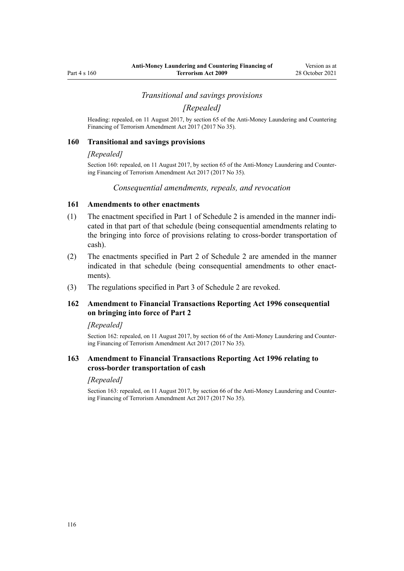#### *Transitional and savings provisions*

*[Repealed]*

<span id="page-115-0"></span>Heading: repealed, on 11 August 2017, by [section 65](http://legislation.govt.nz/pdflink.aspx?id=DLM7340641) of the Anti-Money Laundering and Countering Financing of Terrorism Amendment Act 2017 (2017 No 35).

#### **160 Transitional and savings provisions**

#### *[Repealed]*

Section 160: repealed, on 11 August 2017, by [section 65](http://legislation.govt.nz/pdflink.aspx?id=DLM7340641) of the Anti-Money Laundering and Counter‐ ing Financing of Terrorism Amendment Act 2017 (2017 No 35).

#### *Consequential amendments, repeals, and revocation*

### **161 Amendments to other enactments**

- (1) The enactment specified in [Part 1](#page-119-0) of Schedule 2 is amended in the manner indi‐ cated in that part of that schedule (being consequential amendments relating to the bringing into force of provisions relating to cross-border transportation of cash).
- (2) The enactments specified in [Part 2](#page-119-0) of Schedule 2 are amended in the manner indicated in that schedule (being consequential amendments to other enactments).
- (3) The regulations specified in [Part 3](#page-121-0) of Schedule 2 are revoked.

# **162 Amendment to Financial Transactions Reporting Act 1996 consequential on bringing into force of Part 2**

#### *[Repealed]*

Section 162: repealed, on 11 August 2017, by [section 66](http://legislation.govt.nz/pdflink.aspx?id=DLM7161354) of the Anti-Money Laundering and Countering Financing of Terrorism Amendment Act 2017 (2017 No 35).

# **163 Amendment to Financial Transactions Reporting Act 1996 relating to cross-border transportation of cash**

#### *[Repealed]*

Section 163: repealed, on 11 August 2017, by [section 66](http://legislation.govt.nz/pdflink.aspx?id=DLM7161354) of the Anti-Money Laundering and Countering Financing of Terrorism Amendment Act 2017 (2017 No 35).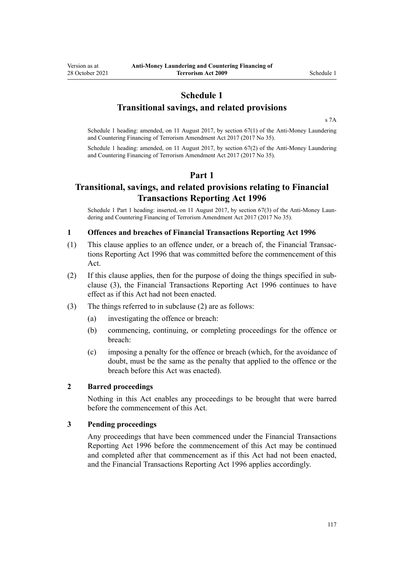# **Schedule 1**

# **Transitional savings, and related provisions**

[s 7A](#page-30-0)

Schedule 1 heading: amended, on 11 August 2017, by [section 67\(1\)](http://legislation.govt.nz/pdflink.aspx?id=DLM7340642) of the Anti-Money Laundering and Countering Financing of Terrorism Amendment Act 2017 (2017 No 35).

Schedule 1 heading: amended, on 11 August 2017, by [section 67\(2\)](http://legislation.govt.nz/pdflink.aspx?id=DLM7340642) of the Anti-Money Laundering and Countering Financing of Terrorism Amendment Act 2017 (2017 No 35).

# **Part 1**

# **Transitional, savings, and related provisions relating to Financial Transactions Reporting Act 1996**

Schedule 1 Part 1 heading: inserted, on 11 August 2017, by [section 67\(3\)](http://legislation.govt.nz/pdflink.aspx?id=DLM7340642) of the Anti-Money Laun– dering and Countering Financing of Terrorism Amendment Act 2017 (2017 No 35).

## **1 Offences and breaches of Financial Transactions Reporting Act 1996**

- (1) This clause applies to an offence under, or a breach of, the [Financial Transac‐](http://legislation.govt.nz/pdflink.aspx?id=DLM373803) [tions Reporting Act 1996](http://legislation.govt.nz/pdflink.aspx?id=DLM373803) that was committed before the commencement of this Act.
- (2) If this clause applies, then for the purpose of doing the things specified in sub‐ clause (3), the [Financial Transactions Reporting Act 1996](http://legislation.govt.nz/pdflink.aspx?id=DLM373803) continues to have effect as if this Act had not been enacted.
- (3) The things referred to in subclause (2) are as follows:
	- (a) investigating the offence or breach:
	- (b) commencing, continuing, or completing proceedings for the offence or breach:
	- (c) imposing a penalty for the offence or breach (which, for the avoidance of doubt, must be the same as the penalty that applied to the offence or the breach before this Act was enacted).

## **2 Barred proceedings**

Nothing in this Act enables any proceedings to be brought that were barred before the commencement of this Act.

#### **3 Pending proceedings**

Any proceedings that have been commenced under the [Financial Transactions](http://legislation.govt.nz/pdflink.aspx?id=DLM373803) [Reporting Act 1996](http://legislation.govt.nz/pdflink.aspx?id=DLM373803) before the commencement of this Act may be continued and completed after that commencement as if this Act had not been enacted, and the Financial Transactions Reporting Act 1996 applies accordingly.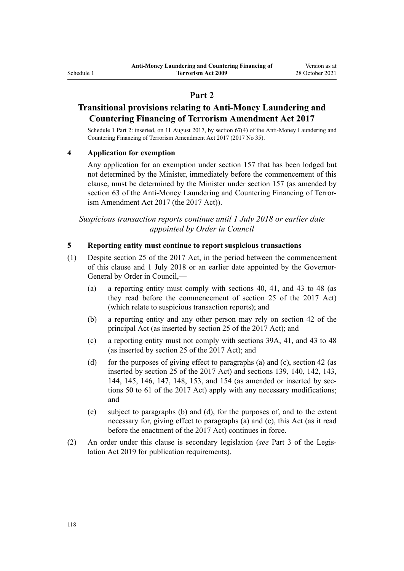# **Part 2**

# **Transitional provisions relating to Anti-Money Laundering and Countering Financing of Terrorism Amendment Act 2017**

Schedule 1 Part 2: inserted, on 11 August 2017, by [section 67\(4\)](http://legislation.govt.nz/pdflink.aspx?id=DLM7340642) of the Anti-Money Laundering and Countering Financing of Terrorism Amendment Act 2017 (2017 No 35).

# **4 Application for exemption**

Any application for an exemption under [section 157](#page-112-0) that has been lodged but not determined by the Minister, immediately before the commencement of this clause, must be determined by the Minister under section 157 (as amended by [section 63](http://legislation.govt.nz/pdflink.aspx?id=DLM7340637) of the Anti-Money Laundering and Countering Financing of Terrorism Amendment Act 2017 (the 2017 Act)).

*Suspicious transaction reports continue until 1 July 2018 or earlier date appointed by Order in Council*

### **5 Reporting entity must continue to report suspicious transactions**

- (1) Despite [section 25](http://legislation.govt.nz/pdflink.aspx?id=DLM7161289) of the 2017 Act, in the period between the commencement of this clause and 1 July 2018 or an earlier date appointed by the Governor-General by Order in Council,—
	- (a) a reporting entity must comply with [sections 40,](#page-50-0) [41,](#page-51-0) and [43 to 48](#page-52-0) (as they read before the commencement of [section 25](http://legislation.govt.nz/pdflink.aspx?id=DLM7161289) of the 2017 Act) (which relate to suspicious transaction reports); and
	- (b) a reporting entity and any other person may rely on [section 42](#page-52-0) of the principal Act (as inserted by [section 25](http://legislation.govt.nz/pdflink.aspx?id=DLM7161289) of the 2017 Act); and
	- (c) a reporting entity must not comply with [sections 39A,](#page-50-0) [41,](#page-51-0) and [43 to 48](#page-52-0) (as inserted by [section 25](http://legislation.govt.nz/pdflink.aspx?id=DLM7161289) of the 2017 Act); and
	- (d) for the purposes of giving effect to paragraphs (a) and (c), [section 42](#page-52-0) (as inserted by [section 25](http://legislation.govt.nz/pdflink.aspx?id=DLM7161289) of the 2017 Act) and [sections 139,](#page-97-0) [140](#page-98-0), [142,](#page-100-0) [143](#page-101-0), [144](#page-102-0), [145,](#page-102-0) [146,](#page-103-0) [147,](#page-104-0) [148,](#page-105-0) [153,](#page-106-0) and [154](#page-108-0) (as amended or inserted by [sec‐](http://legislation.govt.nz/pdflink.aspx?id=DLM7161329) [tions 50 to 61](http://legislation.govt.nz/pdflink.aspx?id=DLM7161329) of the 2017 Act) apply with any necessary modifications; and
	- (e) subject to paragraphs (b) and (d), for the purposes of, and to the extent necessary for, giving effect to paragraphs (a) and (c), this Act (as it read before the enactment of the 2017 Act) continues in force.
- (2) An order under this clause is secondary legislation (*see* [Part 3](http://legislation.govt.nz/pdflink.aspx?id=DLM7298343) of the Legis‐ lation Act 2019 for publication requirements).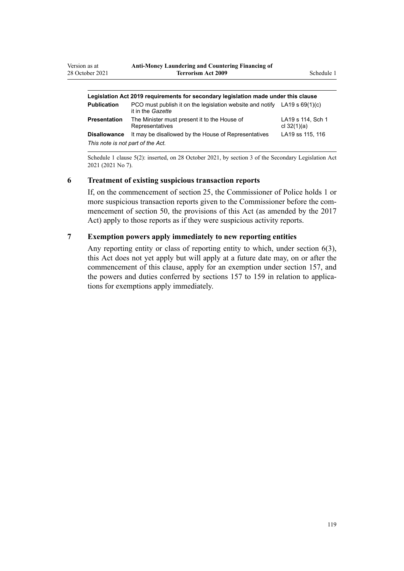| Legislation Act 2019 requirements for secondary legislation made under this clause |                                                                                                  |                                    |  |
|------------------------------------------------------------------------------------|--------------------------------------------------------------------------------------------------|------------------------------------|--|
| <b>Publication</b>                                                                 | PCO must publish it on the legislation website and notify LA19 s $69(1)(c)$<br>it in the Gazette |                                    |  |
| <b>Presentation</b>                                                                | The Minister must present it to the House of<br>Representatives                                  | LA19 s 114, Sch 1<br>cl $32(1)(a)$ |  |
| <b>Disallowance</b>                                                                | It may be disallowed by the House of Representatives                                             | LA19 ss 115, 116                   |  |
| This note is not part of the Act.                                                  |                                                                                                  |                                    |  |

Schedule 1 clause 5(2): inserted, on 28 October 2021, by [section 3](http://legislation.govt.nz/pdflink.aspx?id=LMS268932) of the Secondary Legislation Act 2021 (2021 No 7).

## **6 Treatment of existing suspicious transaction reports**

If, on the commencement of [section 25](http://legislation.govt.nz/pdflink.aspx?id=DLM7161289), the Commissioner of Police holds 1 or more suspicious transaction reports given to the Commissioner before the commencement of [section 50](http://legislation.govt.nz/pdflink.aspx?id=DLM7161329), the provisions of this Act (as amended by the 2017 Act) apply to those reports as if they were suspicious activity reports.

# **7 Exemption powers apply immediately to new reporting entities**

Any reporting entity or class of reporting entity to which, under [section 6\(3\)](#page-28-0), this Act does not yet apply but will apply at a future date may, on or after the commencement of this clause, apply for an exemption under [section 157,](#page-112-0) and the powers and duties conferred by sections 157 to 159 in relation to applications for exemptions apply immediately.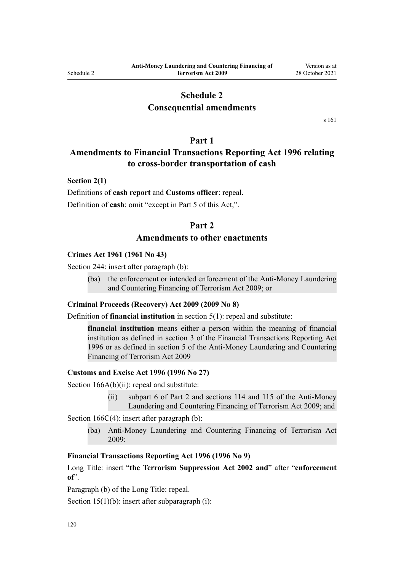# **Schedule 2**

# **Consequential amendments**

[s 161](#page-115-0)

# **Part 1**

# <span id="page-119-0"></span>**Amendments to Financial Transactions Reporting Act 1996 relating to cross-border transportation of cash**

## **Section 2(1)**

Definitions of **cash report** and **Customs officer**: repeal. Definition of **cash**: omit "except in Part 5 of this Act,".

# **Part 2**

# **Amendments to other enactments**

#### **Crimes Act 1961 (1961 No 43)**

[Section 244:](http://legislation.govt.nz/pdflink.aspx?id=DLM330403) insert after paragraph (b):

(ba) the enforcement or intended enforcement of the Anti-Money Laundering and Countering Financing of Terrorism Act 2009; or

#### **Criminal Proceeds (Recovery) Act 2009 (2009 No 8)**

Definition of **financial institution** in [section 5\(1\)](http://legislation.govt.nz/pdflink.aspx?id=DLM1451012): repeal and substitute:

**financial institution** means either a person within the meaning of financial institution as defined in section 3 of the Financial Transactions Reporting Act 1996 or as defined in section 5 of the Anti-Money Laundering and Countering Financing of Terrorism Act 2009

#### **Customs and Excise Act 1996 (1996 No 27)**

[Section 166A\(b\)\(ii\):](http://legislation.govt.nz/pdflink.aspx?id=DLM379246) repeal and substitute:

(ii) subpart 6 of Part 2 and sections 114 and 115 of the Anti-Money Laundering and Countering Financing of Terrorism Act 2009; and

[Section 166C\(4\):](http://legislation.govt.nz/pdflink.aspx?id=DLM379250) insert after paragraph (b):

(ba) Anti-Money Laundering and Countering Financing of Terrorism Act 2009:

# **Financial Transactions Reporting Act 1996 (1996 No 9)**

[Long Title:](http://legislation.govt.nz/pdflink.aspx?id=DLM373806) insert "**the Terrorism Suppression Act 2002 and**" after "**enforcement of**".

Paragraph (b) of the Long Title: repeal.

[Section 15\(1\)\(b\):](http://legislation.govt.nz/pdflink.aspx?id=DLM373899) insert after subparagraph (i):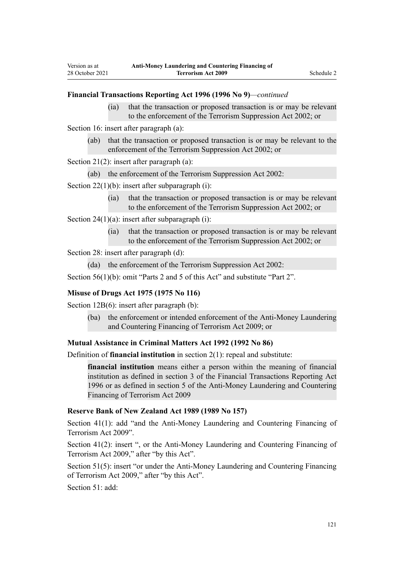## **Financial Transactions Reporting Act 1996 (1996 No 9)***—continued*

(ia) that the transaction or proposed transaction is or may be relevant to the enforcement of the Terrorism Suppression Act 2002; or

[Section 16](http://legislation.govt.nz/pdflink.aspx?id=DLM374103): insert after paragraph (a):

Version as at 28 October 2021

> (ab) that the transaction or proposed transaction is or may be relevant to the enforcement of the Terrorism Suppression Act 2002; or

[Section 21\(2\)](http://legislation.govt.nz/pdflink.aspx?id=DLM374114): insert after paragraph (a):

(ab) the enforcement of the Terrorism Suppression Act 2002:

[Section 22\(1\)\(b\):](http://legislation.govt.nz/pdflink.aspx?id=DLM374118) insert after subparagraph (i):

(ia) that the transaction or proposed transaction is or may be relevant to the enforcement of the Terrorism Suppression Act 2002; or

[Section 24\(1\)\(a\)](http://legislation.govt.nz/pdflink.aspx?id=DLM374123): insert after subparagraph (i):

(ia) that the transaction or proposed transaction is or may be relevant to the enforcement of the Terrorism Suppression Act 2002; or

Section 28: insert after paragraph (d):

(da) the enforcement of the Terrorism Suppression Act 2002:

[Section 56\(1\)\(b\):](http://legislation.govt.nz/pdflink.aspx?id=DLM374191) omit "Parts 2 and 5 of this Act" and substitute "Part 2".

#### **Misuse of Drugs Act 1975 (1975 No 116)**

[Section 12B\(6\)](http://legislation.govt.nz/pdflink.aspx?id=DLM436285): insert after paragraph (b):

(ba) the enforcement or intended enforcement of the Anti-Money Laundering and Countering Financing of Terrorism Act 2009; or

#### **Mutual Assistance in Criminal Matters Act 1992 (1992 No 86)**

Definition of **financial institution** in [section 2\(1\)](http://legislation.govt.nz/pdflink.aspx?id=DLM273063): repeal and substitute:

**financial institution** means either a person within the meaning of financial institution as defined in section 3 of the Financial Transactions Reporting Act 1996 or as defined in section 5 of the Anti-Money Laundering and Countering Financing of Terrorism Act 2009

# **Reserve Bank of New Zealand Act 1989 (1989 No 157)**

[Section 41\(1\)](http://legislation.govt.nz/pdflink.aspx?id=DLM200032): add "and the Anti-Money Laundering and Countering Financing of Terrorism Act 2009".

[Section 41\(2\):](http://legislation.govt.nz/pdflink.aspx?id=DLM200032) insert ", or the Anti-Money Laundering and Countering Financing of Terrorism Act 2009," after "by this Act".

[Section 51\(5\):](http://legislation.govt.nz/pdflink.aspx?id=DLM200048) insert "or under the Anti-Money Laundering and Countering Financing of Terrorism Act 2009," after "by this Act".

[Section 51](http://legislation.govt.nz/pdflink.aspx?id=DLM200048): add: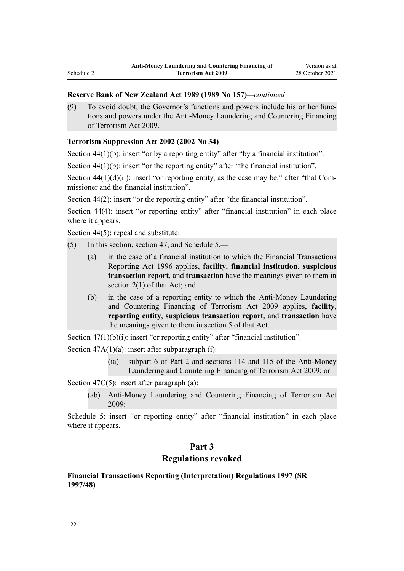# <span id="page-121-0"></span>**Reserve Bank of New Zealand Act 1989 (1989 No 157)***—continued*

(9) To avoid doubt, the Governor's functions and powers include his or her func‐ tions and powers under the Anti-Money Laundering and Countering Financing of Terrorism Act 2009.

# **Terrorism Suppression Act 2002 (2002 No 34)**

[Section 44\(1\)\(b\):](http://legislation.govt.nz/pdflink.aspx?id=DLM152784) insert "or by a reporting entity" after "by a financial institution".

[Section 44\(1\)\(b\):](http://legislation.govt.nz/pdflink.aspx?id=DLM152784) insert "or the reporting entity" after "the financial institution".

Section  $44(1)(d)(ii)$ : insert "or reporting entity, as the case may be," after "that Commissioner and the financial institution".

[Section 44\(2\)](http://legislation.govt.nz/pdflink.aspx?id=DLM152784): insert "or the reporting entity" after "the financial institution".

[Section 44\(4\):](http://legislation.govt.nz/pdflink.aspx?id=DLM152784) insert "or reporting entity" after "financial institution" in each place where it appears.

[Section 44\(5\)](http://legislation.govt.nz/pdflink.aspx?id=DLM152784): repeal and substitute:

- (5) In this section, section 47, and Schedule 5,—
	- (a) in the case of a financial institution to which the Financial Transactions Reporting Act 1996 applies, **facility**, **financial institution**, **suspicious transaction report**, and **transaction** have the meanings given to them in section 2(1) of that Act; and
	- (b) in the case of a reporting entity to which the Anti-Money Laundering and Countering Financing of Terrorism Act 2009 applies, **facility**, **reporting entity**, **suspicious transaction report**, and **transaction** have the meanings given to them in section 5 of that Act.

Section  $47(1)(b)(i)$ : insert "or reporting entity" after "financial institution".

Section  $47A(1)(a)$ : insert after subparagraph (i):

(ia) subpart 6 of Part 2 and sections 114 and 115 of the Anti-Money Laundering and Countering Financing of Terrorism Act 2009; or

[Section 47C\(5\)](http://legislation.govt.nz/pdflink.aspx?id=DLM153305): insert after paragraph (a):

(ab) Anti-Money Laundering and Countering Financing of Terrorism Act 2009:

[Schedule 5:](http://legislation.govt.nz/pdflink.aspx?id=DLM154177) insert "or reporting entity" after "financial institution" in each place where it appears.

# **Part 3**

# **Regulations revoked**

# **Financial Transactions Reporting (Interpretation) Regulations 1997 (SR 1997/48)**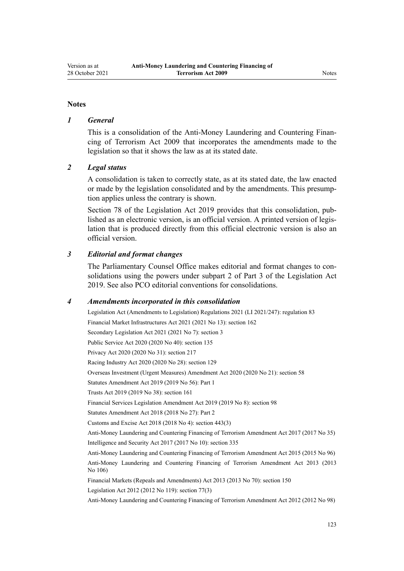#### **Notes**

#### *1 General*

This is a consolidation of the Anti-Money Laundering and Countering Finan‐ cing of Terrorism Act 2009 that incorporates the amendments made to the legislation so that it shows the law as at its stated date.

### *2 Legal status*

A consolidation is taken to correctly state, as at its stated date, the law enacted or made by the legislation consolidated and by the amendments. This presump‐ tion applies unless the contrary is shown.

[Section 78](http://legislation.govt.nz/pdflink.aspx?id=DLM7298365) of the Legislation Act 2019 provides that this consolidation, published as an electronic version, is an official version. A printed version of legis‐ lation that is produced directly from this official electronic version is also an official version.

#### *3 Editorial and format changes*

The Parliamentary Counsel Office makes editorial and format changes to consolidations using the powers under [subpart 2](http://legislation.govt.nz/pdflink.aspx?id=DLM7298371) of Part 3 of the Legislation Act 2019. See also [PCO editorial conventions for consolidations](http://www.pco.govt.nz/editorial-conventions/).

### *4 Amendments incorporated in this consolidation*

Legislation Act (Amendments to Legislation) Regulations 2021 (LI 2021/247): [regulation 83](http://legislation.govt.nz/pdflink.aspx?id=LMS504300) Financial Market Infrastructures Act 2021 (2021 No 13): [section 162](http://legislation.govt.nz/pdflink.aspx?id=LMS464809) Secondary Legislation Act 2021 (2021 No 7): [section 3](http://legislation.govt.nz/pdflink.aspx?id=LMS268932) Public Service Act 2020 (2020 No 40): [section 135](http://legislation.govt.nz/pdflink.aspx?id=LMS176959) Privacy Act 2020 (2020 No 31): [section 217](http://legislation.govt.nz/pdflink.aspx?id=LMS23706) Racing Industry Act 2020 (2020 No 28): [section 129](http://legislation.govt.nz/pdflink.aspx?id=LMS292230) Overseas Investment (Urgent Measures) Amendment Act 2020 (2020 No 21): [section 58](http://legislation.govt.nz/pdflink.aspx?id=LMS342576) Statutes Amendment Act 2019 (2019 No 56): [Part 1](http://legislation.govt.nz/pdflink.aspx?id=LMS58874) Trusts Act 2019 (2019 No 38): [section 161](http://legislation.govt.nz/pdflink.aspx?id=DLM7383110) Financial Services Legislation Amendment Act 2019 (2019 No 8): [section 98](http://legislation.govt.nz/pdflink.aspx?id=DLM7386624) Statutes Amendment Act 2018 (2018 No 27): [Part 2](http://legislation.govt.nz/pdflink.aspx?id=LMS11629) Customs and Excise Act 2018 (2018 No 4): [section 443\(3\)](http://legislation.govt.nz/pdflink.aspx?id=DLM7039957) [Anti-Money Laundering and Countering Financing of Terrorism Amendment Act 2017](http://legislation.govt.nz/pdflink.aspx?id=DLM7161200) (2017 No 35) Intelligence and Security Act 2017 (2017 No 10): [section 335](http://legislation.govt.nz/pdflink.aspx?id=DLM6921475) [Anti-Money Laundering and Countering Financing of Terrorism Amendment Act 2015](http://legislation.govt.nz/pdflink.aspx?id=DLM6602202) (2015 No 96) [Anti-Money Laundering and Countering Financing of Terrorism Amendment Act 2013](http://legislation.govt.nz/pdflink.aspx?id=DLM5621500) (2013 No 106) Financial Markets (Repeals and Amendments) Act 2013 (2013 No 70): [section 150](http://legislation.govt.nz/pdflink.aspx?id=DLM5561603) Legislation Act 2012 (2012 No 119): [section 77\(3\)](http://legislation.govt.nz/pdflink.aspx?id=DLM2998633) [Anti-Money Laundering and Countering Financing of Terrorism Amendment Act 2012](http://legislation.govt.nz/pdflink.aspx?id=DLM4109800) (2012 No 98)